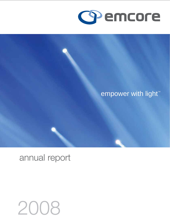

# empower with light<sup> $M$ </sup>

# annual report

# 2008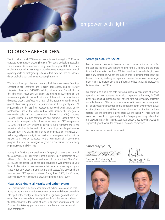

## empower with light™

## TO OUR SHAREHOLDERS:

The first half of fiscal 2008 was successful in transitioning EMCORE as we executed our strategy of growing both our fiber optics and solar photovoltaics businesses. As we announced early in our fiscal year, EMCORE's board of directors authorized a strategy to grow both operating segments through organic growth or strategic acquisitions so that they can each be independently profitable as stand alone operating businesses.

Within our fiber optics business, we acquired the optics assets from Intel Corporation for Enterprise and Telecom applications, and successfully integrated them into EMCORE's existing infrastructure. The addition of these businesses made EMCORE one of the top fiber optics component and subsystem suppliers in the world with one of the most comprehensive and diversified product portfolios. As a result of this acquisition, combined with growth of our existing product lines, our revenue in this segment grew 55% sequentially and the loss from operations narrowed significantly. On the photovoltaics side of the business, fiscal 2008 marked the first year of commercial sales of our concentrated photovoltaics (CPV) products. Through superior product performance and customer support focus, we successfully developed a broad customer base for CPV components. EMCORE's turnkey CPV systems deployed in 2008 represent one of the largest installations in the world of such technology. As the performance and benefit of CPV systems continue to be demonstrated, we believe this technology will generate significant traction in future years. Not only did we replace solar revenue attributed to the termination of a government program, but also we managed to grow revenue within this operating segment sequentially by 15%.

During fiscal 2008, we re-capitalized the Company's balance sheet through the conversion of our convertible debt, a private equity placement of \$94 million to fund the acquisition and integration of the Intel Fiber Optics assets, and the partial sale of non-core securities in WorldWater and Solar Technologies. In the process, we were able to establish a new capability and capacity for CPV product manufacturing and successfully developed and launched our CPV systems business. During fiscal 2008, the Company achieved nearly 40% sequential growth compared to fiscal 2007.

#### Fiscal 2008 Financial Results and Other Events

The Company exited the fiscal year with \$24 million in cash and no debt. However, the macroeconomic environment deteriorated sharply toward the latter part of the fiscal year. In addition to a significant goodwill write-off on our balance sheet related to acquisitions in our fiber optics business, the loss attributed to the launch of our CPV business was substantial. The Company has taken aggressive steps to control operational losses and drive profitability.

#### Strategic Goals for 2009:

Despite these achievements, the economic environment in the second half of the year has created a very challenging time for our Company and the entire industry. It's expected that fiscal 2009 will continue to be a challenging year. Like many companies, we felt the sudden drop in demand throughout our business. Liquidity is clearly an important concern. The focus of the management team is to improve operations efficiency, reduce costs, and aggressively liquidate excess inventory.

We continue to pursue the path towards a profitable separation of our two operating business segments. As an initial step towards that goal, EMCORE plans to conduct a private placement offering for a minority equity interest in our solar business. This capital raise is expected to assist the company with its liquidity requirements through this difficult economic environment as well as strengthen our competitive positions within each of the two business sectors. We are confident that the steps we are taking will help turn this economic crisis into an opportunity for the Company. We firmly believe that the activities initiated in the past year have uniquely positioned EMCORE for significant growth when the economic environment improves.

We thank you for your continued support.

Sincerely yours,

en Friends F

Reuben F. Richards, Jr.<br>Executive Chairman, Chairman of the Board

Hong Hou, Ph.D. Chief Executive Officer

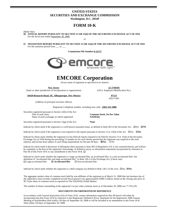#### **UNITED STATES SECURITIES AND EXCHANGE COMMISSION**

**Washington, D.C. 20549**

#### **FORM 10-K**

(Mark One)

**ANNUAL REPORT PURSUANT TO SECTION 13 OR 15(d) OF THE SECURITIES EXCHANGE ACT OF 1934** For the fiscal year ended September 30, 2008

or

**TRANSITION REPORT PURSUANT TO SECTION 13 OR 15(d) OF THE SECURITIES EXCHANGE ACT OF 1934** For the transition period from  $\_\_$  to  $\_\_$ 

**Commission File Number 0-22175**



## **EMCORE Corporation**

(Exact name of registrant as specified in its charter)

**New Jersey** (State or other jurisdiction of incorporation or organization)

**22-2746503** (I.R.S. Employer Identification No.)

**10420 Research Road, SE, Albuquerque, New Mexico**

**87123** (Zip Code)

(Address of principal executive offices)

Registrant's telephone number, including area code: **(505) 332-5000**

Securities registered pursuant to Section 12(b) of the Act:<br>Title of each class:

Name of each exchange on which registered: **NASDAQ**

**Common Stock, No Par Value** 

Securities registered pursuant to Section 12(g) of the Act: **None**

Indicate by check mark if the registrant is a well-known seasoned issuer, as defined in Rule 405 of the Securities Act. **DYes XINO** 

Indicate by check mark if the registrant is not required to file reports pursuant to Section 13 or 15(d) of the Act.  $\Box$  Yes  $\Box$  No

Indicate by check mark whether the registrant (1) has filed all reports required to be filed by Section 13 or 15(d) of the Securities Exchange Act of 1934 during the preceding 12 months (or for such shorter period that the registrant was required to file such reports), and (2) has been subject to such filing requirements for the past 90 days.  $\boxtimes$  Yes  $\Box$  No

Indicate by check mark if disclosure of delinquent filers pursuant to Item 405 of Regulation S-K is not contained herein, and willnot be contained, to the best of the registrant's knowledge, in definitive proxy or information statements incorporated by reference in Part III of this Form 10-K or any amendment to this Form 10-K.  $\Box$ 

Indicate by check mark whether the registrant is a large accelerated filer, an accelerated filer, or a non-accelerated filer. See definition of "accelerated filer and large accelerated filer" in Rule 12b-2 of the Exchange Act. (Check one): Large accelerated filer **Accelerated filer** Non-accelerated filer

Indicate by check mark whether the registrant is a shell company (as defined in Rule 12b-2 of the Act).  $\Box$  Yes  $\Box$  No

The aggregate market value of common stock held by non-affiliates of the registrant as of March 31, 2008 (the last business day of the registrant's most recently completed second fiscal quarter) was approximately \$388.5 million, based on the closing sale price of \$5.76 per share of common stock as reported on The NASDAQ Global Market.

The number of shares outstanding of the registrant's no par value common stock as of December 29, 2008 was 77,791,229.

#### **DOCUMENTS INCORPORATED BY REFERENCE**

In accordance with General Instruction G(3) of Form 10-K, certain information required by Part III hereof will either be incorporated into this Form 10-K by reference to the Registrant's Definitive Proxy Statement for the Registrant's 2009 Annual Meeting of Stockholders filed within 120 days of September 30, 2008 or will be included in an amendment to this Form 10-K filed within 120 days of September 30, 2008.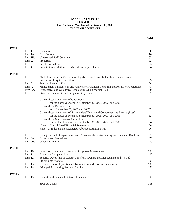#### **EMCORE Corporation FORM 10-K For The Fiscal Year Ended September 30, 2008 TABLE OF CONTENTS**

| Part I   |             |                                                                                       |     |
|----------|-------------|---------------------------------------------------------------------------------------|-----|
|          | Item 1.     | <b>Business</b>                                                                       | 4   |
|          | Item 1A.    | <b>Risk Factors</b>                                                                   | 16  |
|          | Item 1B.    | <b>Unresolved Staff Comments</b>                                                      | 32  |
|          | Item 2.     | Properties                                                                            | 32  |
|          | Item 3.     | <b>Legal Proceedings</b>                                                              | 33  |
|          | Item 4.     | Submission of Matters to a Vote of Security Holders                                   | 34  |
| Part II  |             |                                                                                       |     |
|          | Item 5.     | Market for Registrant's Common Equity, Related Stockholder Matters and Issuer         |     |
|          |             | <b>Purchases of Equity Securities</b>                                                 | 35  |
|          | Item 6.     | <b>Selected Financial Data</b>                                                        | 38  |
|          | Item 7.     | Management's Discussion and Analysis of Financial Condition and Results of Operations | 41  |
|          | Item 7A.    | Quantitative and Qualitative Disclosures About Market Risk                            | 60  |
|          | Item 8.     | Financial Statements and Supplementary Data                                           | 61  |
|          |             | <b>Consolidated Statements of Operations</b>                                          |     |
|          |             | for the fiscal years ended September 30, 2008, 2007, and 2006                         | 61  |
|          |             | <b>Consolidated Balance Sheets</b>                                                    |     |
|          |             | as of September 30, 2008 and 2007                                                     | 62  |
|          |             | Consolidated Statements of Shareholders' Equity and Comprehensive Income (Loss)       |     |
|          |             | for the fiscal years ended September 30, 2008, 2007, and 2006                         | 63  |
|          |             | <b>Consolidated Statements of Cash Flows</b>                                          |     |
|          |             | for the fiscal years ended September 30, 2008, 2007, and 2006                         | 64  |
|          |             | Notes to Consolidated Financial Statements                                            | 66  |
|          |             | Report of Independent Registered Public Accounting Firm                               | 96  |
|          | Item 9.     | Changes in and Disagreements with Accountants on Accounting and Financial Disclosure  | 97  |
|          | Item 9A.    | <b>Controls and Procedures</b>                                                        | 97  |
|          | Item 9B.    | Other Information                                                                     | 100 |
| Part III |             |                                                                                       |     |
|          | Item $10$ . | Directors, Executive Officers and Corporate Governance                                | 100 |
|          | Item 11.    | <b>Executive Compensation</b>                                                         | 100 |
|          | Item 12.    | Security Ownership of Certain Beneficial Owners and Management and Related            |     |
|          |             | <b>Stockholder Matters</b>                                                            | 100 |
|          | Item 13.    | Certain Relationships, Related Transactions and Director Independence                 | 100 |
|          | Item 14.    | Principal Accounting Fees and Services                                                | 100 |
| Part IV  |             |                                                                                       |     |
|          | Item 15.    | <b>Exhibits and Financial Statement Schedules</b>                                     | 100 |
|          |             | <b>SIGNATURES</b>                                                                     | 103 |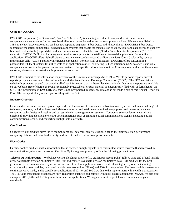#### **PART I**

#### **ITEM 1. Business**

#### **Company Overview**

EMCORE Corporation (the "Company", "we", or "EMCORE") is a leading provider of compound semiconductor-based components and subsystems for the broadband, fiber optic, satellite and terrestrial solar power markets. We were established in 1984 as a New Jersey corporation. We have two reporting segments: Fiber Optics and Photovoltaics. EMCORE's Fiber Optics segment offers optical components, subsystems and systems that enable the transmission of video, voice and data over high-capacity fiber optic cables for high-speed data and telecommunications, cable television ("CATV") and fiber-to-the-premises ("FTTP") networks. EMCORE's Photovoltaics segment provides solar products for satellite and terrestrial applications. For satellite applications, EMCORE offers high-efficiency compound semiconductor-based gallium arsenide ("GaAs") solar cells, covered interconnect cells ("CICs") and fully integrated solar panels. For terrestrial applications, EMCORE offers concentrating photovoltaic ("CPV") systems for utility scale solar applications as well as offering its high-efficiency GaAs solar cells and CPV components for use in solar power concentrator systems. For specific information about our Company, our products or the markets we serve, please visit our website at http://www.emcore.com.

EMCORE is subject to the information requirements of the Securities Exchange Act of 1934. We file periodic reports, current reports, proxy statements and other information with the Securities and Exchange Commission ("SEC"). The SEC maintains a website (http://www.sec.gov) that contains all of our information that has been filed electronically. Our annual reports are available on our website, free of charge, as soon as reasonably practicable after such material is electronically filed with, or furnished to, the SEC. The information on EMCORE's website is not incorporated by reference into and is not made a part of this Annual Report on Form 10-K or a part of any other report or filing with the SEC.

#### **Industry Overview**

Compound semiconductor-based products provide the foundation of components, subsystems and systems used in a broad range of technology markets, including broadband, datacom, telecom and satellite communication equipment and networks, advanced computing technologies and satellite and terrestrial solar power generation systems. Compound semiconductor materials are capable of providing electrical or electro-optical functions, such as emitting optical communications signals, detecting optical communications signals, and converting sunlight into electricity.

#### **Our Markets**

Collectively, our products serve the telecommunications, datacom, cable television, fiber-to-the-premises, high-performance computing, defense and homeland security, and satellite and terrestrial solar power markets.

#### **Fiber Optics**

Our fiber optics products enable information that is encoded on light signals to be transmitted, routed (switched) and received in communication systems and networks. Our Fiber Optics segment primarily offers the following product lines:

**Telecom Optical Products –** We believe we are a leading supplier of 10 gigabit per second (Gb/s) fully C-band and L-band tunable dense wavelength division multiplexed (DWDM) and coarse wavelength division multiplexed (CWDM) products for the next generation tele-communications systems. We are one of the few suppliers who offer vertically-integrated products, including external-cavity laser modules, integrated tunable laser assemblies (ITLAs) and 300-pin transponders. The laser module operates at a continuous wave mode, and is capable for applications of 10, 40, and 100 Gb/s due to the superior narrow linewidth characteristics. The ITLA and transponder products are fully Telcordia® qualified and comply with multi-source agreements (MSAs). We also offer a range of XFP platform OC-192 products for telecom applications. We supply to most major telecom equipment companies worldwide.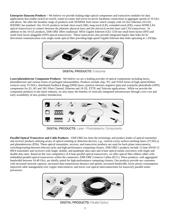**Enterprise Datacom Products –** We believe we provide leading-edge optical components and transceiver modules for data applications that enable switch-to-switch, router-to-router and server-to-server backbone connections at aggregate speeds of 10 Gb/s and above. We offer the broadest range of products with XENPAK form factor which comply with 10 Gb/s Ethernet (10-GE) IEEE802.3ae standard. Our 10-GE products include short-reach (SR), long-reach (LR), extended-reach (ER), coarse WDM LX4 optical transceivers to connect between the photonic physical layer and the electrical section layer and CX4 transceivers. In addition to the 10-GE products, EMCORE offers traditional MSA Gigabit Ethernet (GE) 1310-nm small form factor (SFF) and small form factor pluggable (SFP) optical transceivers. These transceivers also provide integrated duplex data links for bidirectional communication over single mode optical fiber providing high-speed Gigabit Ethernet data links operating at 1.25Gbps.



**DIGITAL PRODUCTS: Enterprise** 

**Laser/photodetector Component Products** - We believe we are a leading provider of optical components including lasers, photodetectors and various forms of packaged subassemblies. Products include chip, TO, and TOSA forms of high-speed 850nm vertical cavity VCSELs, distributed feedback Bragg (DFB) lasers, positive-intrinsic-negative (pin) and avalanche photodiode (APD) components for 2G, 8G and 10G Fibre Channel, Ethernet and 10 GE, FTTP, and Telecom applications. While we provide the component products to the entire industry, we also enjoy the benefits of vertically-integrated infrastructure through a low-cost and early availability of new product introduction.



**DIGITAL PRODUCTS:** Laser / Photodetector Components

**Parallel Optical Transceiver and Cable Products** – EMCORE has been the technology and product leader of optical transmitter and receiver products utilizing arrays of optical emitting or detection devices, e.g., vertical-cavity surface-emitting lasers (VCSELs) and photodetectors (PDs). These optical transmitter, receiver, and transceiver products are used for back-plane interconnects, switching/routing between telecom racks and high-performance computing clusters. EMCORE's products include 12-lane SNAP-12 MSA transmitter and receivers with single, double, and quadruple data rates and 4-lane optical media converters with single and double data rates. Based on the core competency of 4-lane parallel optical transceivers, we offer optical fiber ribbon cables with embedded parallel-optical transceivers within the connectors, EMCORE Connects Cables (ECC). These products, with aggregated bandwidth between 10-40 Gb/s, are ideally suited for high-performance computing clusters. Our products provide our customers with increased network capacity; increased data transmission distance and speeds; increased bandwidth; lower power consumption; improved cable management over copper interconnects; and lower cost optical interconnections for massively parallel multiprocessors.



**DIGITAL PRODUCTS: Parallel Optics**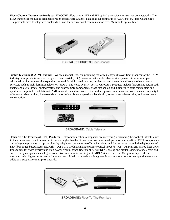**Fiber Channel Transceiver Products** - EMCORE offers tri-rate SFF and SFP optical transceivers for storage area networks. The MSA transceiver module is designed for high-speed Fibre Channel data links supporting up to 4.25 Gb/s (4X Fibre Channel rate). The products provide integrated duplex data links for bi-directional communication over Multimode optical fiber.



**DIGITAL PRODUCTS: Fiber Channel** 

**Cable Television (CATV) Products** - We are a market leader in providing radio frequency (RF) over fiber products for the CATV industry. Our products are used in hybrid fiber coaxial (HFC) networks that enable cable service operators to offer multiple advanced services to meet the expanding demand for high-speed Internet, on-demand and interactive video and other advanced services, such as high-definition television (HDTV) and voice over IP (VoIP). Our CATV products include forward and return-path analog and digital lasers, photodetectors and subassembly components, broadcast analog and digital fiber-optic transmitters and quadrature amplitude modulation (QAM) transmitters and receivers. Our products provide our customers with increased capacity to offer more cable services; increased data transmission distance, speed and bandwidth; lower noise video receive; and lower power consumption.



**BROADBAND:** Cable Television

**Fiber-To-The-Premises (FTTP) Products** - Telecommunications companies are increasingly extending their optical infrastructure to their customers' location in order to deliver higher bandwidth services. We have developed customer qualified FTTP components and subsystem products to support plans by telephone companies to offer voice, video and data services through the deployment of new fiber optics-based access networks. Our FTTP products include passive optical network (PON) transceivers, analog fiber optic transmitters for video overlay and high-power erbium-doped fiber amplifiers (EDFA), analog and digital lasers, photodetectors and subassembly components, analog video receivers and multi-dwelling unit (MDU) video receivers. Our products provide our customers with higher performance for analog and digital characteristics; integrated infrastructure to support competitive costs; and additional support for multiple standards.



**BROADBAND:** Fiber-To-The-Premises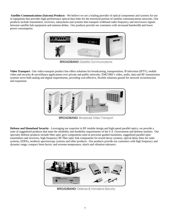**Satellite Communications (Satcom) Products** - We believe we are a leading provider of optical components and systems for use in equipment that provides high-performance optical data links for the terrestrial portion of satellite communications networks. Our products include transmitters, receivers, subsystems and systems that transport wideband radio frequency and microwave signals between satellite hub equipment and antenna dishes. Our products provide our customers with increased bandwidth and lower power consumption.



**BROADBAND:** Satellite Communications

**Video Transport** - Our video transport product line offers solutions for broadcasting, transportation, IP television (IPTV), mobile video and security & surveillance applications over private and public networks. EMCORE's video, audio, data and RF transmission systems serve both analog and digital requirements, providing cost-effective, flexible solutions geared for network reconstruction and expansion.



**BROADBAND:** Broadcast Video Transport

**Defense and Homeland Security** - Leveraging our expertise in RF module design and high-speed parallel optics, we provide a suite of ruggedized products that meet the reliability and durability requirements of the U.S. Government and defense markets. Our specialty defense products include fiber optic gyro components used in precision guided munitions, ruggedized parallel optic transmitters and receivers, high-frequency RF fiber optic link components for towed decoy systems, optical delay lines for radar systems, EDFAs, terahertz spectroscopy systems and other products. Our products provide our customers with high frequency and dynamic range; compact form-factor; and extreme temperature, shock and vibration tolerance.



**BROADBAND:** Defense & Homeland Security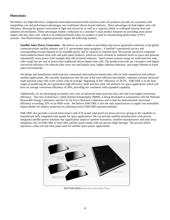#### **Photovoltaics**

We believe our high-efficiency compound semiconductor-based multi-junction solar cell products provide our customers with compelling cost and performance advantages over traditional silicon-based solutions. These advantages include higher solar cell efficiency allowing for greater conversion of light into electricity as well as a superior ability to withstand extreme heat and radiation environments. These advantages enable a reduction in a customer's solar product footprint by providing more power output with less solar cells, which is an enhanced benefit when our product is used in concentrating photovoltaic (CPV) systems. Our Photovoltaics segment primarily targets the following markets:

**Satellite Solar Power Generation** - We believe we are a leader in providing solar power generation solutions to the global communications satellite industry and U.S. government space programs. A satellite's operational success and corresponding revenue depend on its available power and its capacity to transmit data. We provide advanced compound semiconductor-based solar cells and solar panel products, which are more resistant to radiation levels in space and generate substantially more power from sunlight than silicon-based solutions. Space power systems using our multi-junction solar cells weigh less per unit of power than traditional silicon-based solar cells. Our products provide our customers with higher conversion efficiency for reduced solar array size and launch costs, higher radiation tolerance, and longer lifetime in harsh space environments.

We design and manufacture multi-junction compound semiconductor-based solar cells for both commercial and military satellite applications. We currently manufacture and sell one of the most efficient and reliable, radiation resistant advanced triple-junction solar cells in the world, with an average "beginning of life" efficiency of 28.5%. EMCORE is in the final stages of qualifying the next generation high efficiency multi-junction solar cell platform for space applications which will have an average conversion efficiency of 30%, providing our customers with expanded capability.

Additionally, we are developing an entirely new class of advanced multi-junction solar cell with even higher conversion efficiency. This new architecture, called inverted metamorphic (IMM), is being developed in conjunction with the National Renewable Energy Laboratory and the US Air Force Research Laboratory and to date has demonstrated conversion efficiency exceeding 33% on an R&D scale. We believe EMCORE is also the only manufacturer to supply true monolithic bypass diodes for shadow protection by utilizing several EMCORE patented methods.

EMCORE also provides covered interconnect cells (CICs) and solar panel lay-down services, giving us the capability to manufacture fully integrated solar panels for space applications. We can provide satellite manufacturers with proven integrated satellite power solutions that significantly improve satellite economics. Satellite manufacturers and solar array integrators rely on EMCORE to meet their satellite power needs with our proven flight heritage. The pictures below represent a solar cell and solar panel used for satellite space power applications.



PHOTOVOLTAICS: Space Solar Cells & Solar Panels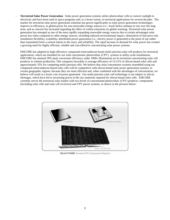**Terrestrial Solar Power Generation** - Solar power generation systems utilize photovoltaic cells to convert sunlight to electricity and have been used in space programs and, to a lesser extent, in terrestrial applications for several decades. The market for terrestrial solar power generation solutions has grown significantly as solar power generation technologies improve in efficiency, as global prices for non-renewable energy sources (*i.e*., fossil fuels) continue to rise over the long term, and as concern has increased regarding the effect of carbon emissions on global warming. Terrestrial solar power generation has emerged as one of the most rapidly expanding renewable energy sources due to certain advantages solar power has when compared to other energy sources, including reduced environmental impact, elimination of fuel price risk, installation flexibility, scalability, distributed power generation (*i.e*., electric power is generated at the point of use rather than transmitted from a central station to the user), and reliability. The rapid increase in demand for solar power has created a growing need for highly efficient, reliable and cost-effective concentrating solar power systems.

EMCORE has adapted its high-efficiency compound semiconductor-based multi-junction solar cell products for terrestrial applications, which are intended for use with concentrator photovoltaic (CPV) systems in utility-scale installations. EMCORE has attained 39% peak conversion efficiency under 1000x illumination on its terrestrial concentrating solar cell products in volume production. This compares favorably to average efficiency of 15-21% of silicon-based solar cells and approximately 35% for competing multi-junction cells. We believe that solar concentrator systems assembled using our compound semiconductor-based solar cells will be competitive with silicon-based solar power generation systems, in certain geographic regions, because they are more efficient and, when combined with the advantages of concentration, we believe will result in a lower cost of power generated. Our multi-junction solar cell technology is not subject to silicon shortages, which have led to increasing prices in the raw materials required for silicon-based solar cells. EMCORE currently serves the terrestrial solar market with two levels of concentrated photovoltaic (CPV) products: components (including solar cells and solar cell receivers) and CPV power systems, as shown in the pictures below:



SOLAR POWER: Terrestrial CPV Components & Systems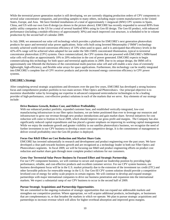While the terrestrial power generation market is still developing, we are currently shipping production orders of CPV components to several solar concentrator companies, and providing samples to many others, including major system manufacturers in the United States, Europe, and Asia. We have finished installations of a total of approximately 1 megawatt (MW) CPV systems in Spain, China, and US with our own Gen-II design (as shown in the picture above). EMCORE has recently responded to several RFPs from public utility companies in the US for a total of several hundred MWs using its Gen-III design. The Gen-III product, with enhanced performance (including a module efficiency of approximately 30%) and much improved cost structure, is scheduled to be in volume production by the second half of calendar 2009.

In July 2008, we announced our solar cell technology which provides a platform for EMCORE's next generation photovoltaic products for space and terrestrial solar power applications. Solar cells built using Inverted Metamorphic ("IMM") technology recently achieved world record conversion efficiency of 33% when used in space, and it is anticipated that efficiency levels in the 42%-45% range will be achieved when adapted for use under the 500-1500X concentrated illumination, typical in terrestrial concentrator photovoltaic (CPV) systems. Once commercialized, the CPV systems that are powered with EMCORE's IMM-based solar cells will realize an approximately 10% to 20% reduction in the cost of power generated. EMCORE expects to begin commercializing this technology for both space and terrestrial applications in 2009. Due to its unique design, the IMM cell is approximately one fifteenth the thickness of the conventional multi-junction solar cell and will enable a new class of extremely lightweight, high-efficiency, and flexible solar arrays for space applications. Furthermore, this technology can be readily integrated into EMCORE's complete line of CPV receiver products and provide increased energy conversion efficiency in CPV power systems.

#### **EMCORE's Strategy**

After completing several strategic acquisitions and divestures over the past few years, EMCORE has developed a strong business focus and comprehensive product portfolio in two main sectors: Fiber Optics and Photovoltaics. Our principal objective is to maximize shareholder value by leveraging our expertise in advanced compound semiconductor technologies to be a leading provider of high-performance, cost-effective product solutions in each of the markets that we serve. Key elements of our strategy include:

#### **Drive Business Growth, Reduce Cost, and Deliver Profitability**.

With our enhanced product portfolio, expanded customer base, and established vertically-integrated, low-cost manufacturing infrastructure in our fiber optics business, we are better positioned than ever to leverage our resources and infrastructure to grow our revenue through new product introductions and gain market share. Several initiatives for cost reduction will come to fruition in fiscal 2009, which should improve our gross profit and margins. The Company has also significantly reduced capital expenditures and has placed a greater emphasis on improving its working capital management. While we enjoy the moderate growth and greater visibility in our satellite photovoltaics business, we recognize the need of further investment in our CPV business to develop a more cost competitive design. It is the commitment of management to deliver overall profitability once the Gen-III product is deployed.

#### **Focus Our R&D Effort on Cost Reduction and Market Share Gain**.

EMCORE has invested substantially in research and development and product engineering over the past years. We have developed a clear path towards business growth and are recognized as a technology leader in both our Fiber Optics and Photovoltaics segments. In fiscal 2009, we will be focusing our R&D and product engineering efforts on product cost reduction and market share gain through more complete product solutions for our customers.

#### **Grow Our Terrestrial Solar Power Business by Focused Effort and Strategic Partnership**.

For our CPV component business, we will continue to secure and expand our leadership position by providing highperformance, reliable, and cost-effective products and excellent customer service. For our CPV system business, our business development focus will be in the U.S. market primarily due to the extension of the investment tax credit (ITC) and other favorable policies for renewable energy in the U.S. Our Gen-III CPV system solution should provide a competitive levelized cost of energy for utility scale projects in certain regions. We will continue to develop and expand strategic partnerships with major international companies to drive our business penetration and expansion into the international markets. We expect a substantial ramp of our CPV business to occur in the second half of 2009.

#### **Pursue Strategic Acquisitions and Partnership Opportunities**.

We are committed to the ongoing evaluation of strategic opportunities that can expand our addressable markets and strengthen our competitive position. Where appropriate, we will acquire additional products, technologies, or businesses that are complementary to, or that broaden the markets in which we operate. We plan to pursue strategic acquisitions and partnerships to increase revenue which will allow for higher overhead absorption and improved gross margins.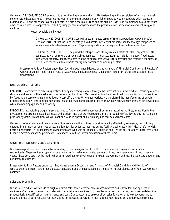On August 28, 2008, EMCORE entered into a non-binding Memorandum of Understanding with a subsidiary of an international conglomerate headquartered in South Korea, outlining the terms pursuant to which the parties would cooperate with respect to bidding on CPV and other photovoltaic projects in North America, Europe and the Middle East. The Memorandum also described other possible areas of cooperation, including supply chain management and the possible establishment of a manufacturing joint venture.

Recent acquisitions include:

- · On February 22, 2008, EMCORE acquired telecom-related assets of Intel Corporation's Optical Platform Division ("OPD") that included inventory, fixed assets, intellectual property, and technology comprised of tunable lasers, tunable transponders, 300-pin transponders, and integrated tunable laser assemblies.
- · On April 20, 2008, EMCORE acquired the enterprise and storage-related assets of Intel Corporation's OPD business, as well as Intel's Connects Cables business. The assets acquired include inventory, fixed assets, intellectual property, and technology relating to optical transceivers for enterprise and storage customers, as well as optical cable interconnects for high-performance computing clusters.

Please refer to Risk Factors under Item 1A, Management's Discussion and Analysis of Financial Condition and Results of Operations under Item 7 and Financial Statements and Supplemental Data under Item 8 for further discussion of these transactions.

#### Restructuring Programs

EMCORE is committed to achieving profitability by increasing revenue through the introduction of new products, reducing our cost structure and lowering the breakeven points of our product lines. We have significantly streamlined our manufacturing operations by focusing on core competencies to identify cost efficiencies. Where appropriate, we transferred the manufacturing of certain product lines to low-cost contract manufacturers or our own manufacturing facility in China whenever such transfer can lower costs while maintaining quality and reliability.

EMCORE's restructuring programs are designed to further reduce the number of our manufacturing facilities, in addition to the divesture or exit from selected businesses and product lines that are not strategic or are not capable of achieving desired revenue or profitability goals. In addition, we will continue to drive operational efficiency and reduce overhead costs.

Our results of operations and financial condition have and will continue to be significantly affected by severance, restructuring charges, impairment of long-lived assets and idle facility expenses incurred during facility closing activities. Please refer to Risk Factors under Item 1A, Management's Discussion and Analysis of Financial Condition and Results of Operations under Item 7 and Financial Statements and Supplemental Data under Item 8 for further discussion of these items.

#### Government Research Contract Funding

We derive a portion of our revenue from funding by various agencies of the U.S. Government of research contracts and subcontracts. These contracts typically cover work performed over extended periods of time, from several months up to several years. These contracts may be modified or terminated at the convenience of the U.S. Government and may be subject to government budgetary fluctuations.

Please refer to Risk Factors under Item 1A, Management's Discussion and Analysis of Financial Condition and Results of Operations under Item 7 and Financial Statements and Supplemental Data under Item 8 for further discussion of U.S. Government contracts.

#### Sales and Marketing

We sell our products worldwide through our direct sales force, external sales representatives and distributors and application engineers. Our sales force communicates with our customers' engineering, manufacturing and purchasing personnel to determine product design, qualifications, performance and cost. Our strategy is to use our direct sales force to sell to key accounts and to expand our use of external sales representatives for increased coverage in international markets and certain domestic segments.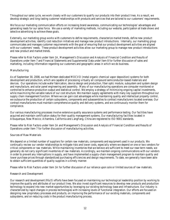Throughout our sales cycle, we work closely with our customers to qualify our products into their product lines. As a result, we develop strategic and long-lasting customer relationships with products and services that are tailored to our customers' requirements.

We focus our marketing communication efforts on increasing brand awareness, communicating our technologies' advantages and generating leads for our sales force. We use a variety of marketing methods, including our website, participation at trade shows and selective advertising to achieve these goals.

Externally, our marketing group works with customers to define requirements, characterize market trends, define new product development activities, identify cost reduction initiatives and manage new product introductions. Internally, our marketing group communicates and manages customer requirements with the goal of ensuring that our product development activities are aligned with our customers' needs. These product development activities allow our marketing group to manage new product introductions and new product and market trends.

Please refer to Risk Factors under Item 1A, Management's Discussion and Analysis of Financial Condition and Results of Operations under Item 7 and Financial Statements and Supplemental Data under Item 8 for further discussion of sales and marketing, including information regarding our customers and geographic areas in which we do business.

#### **Manufacturing**

As of September 30, 2008, we had thirteen dedicated MOCVD (metal organic chemical vapor deposition) systems for both development and production, which are capable of processing virtually all compound semiconductor-based materials and devices. Our operations include wafer fabrication, device design and production, fiber optic module, subsystem and system design and manufacture, and solar panel engineering and assembly. Many of our manufacturing operations are computer monitored or controlled to enhance production output and statistical control. We employ a strategy of minimizing ongoing capital investments, while maximizing the variable nature of our cost structure. We maintain supply agreements with many key suppliers throughout our supply chain management function. Where we can gain cost advantages while maintaining quality and intellectual property control, we outsource the production of certain subsystems, components and subassemblies to contract manufacturers located overseas. Our contract manufacturers must maintain comprehensive quality and delivery systems, and we continuously monitor them for compliance.

Our various manufacturing processes involve extensive quality assurance systems and performance testing. Our facilities have acquired and maintain certification status for their quality management systems. Our manufacturing facilities located in Albuquerque, New Mexico; Alhambra, California and LangFang, China are registered to ISO 9001 standards.

Please refer to Risk Factors under Item 1A and Management's Discussion and Analysis of Financial Condition and Results of Operations under Item 7 for further discussion of manufacturing activities.

#### Sources of Raw Materials

We depend on a limited number of suppliers for certain raw materials, components and equipment used in our products. We continually review our vendor relationships to mitigate risks and lower costs, especially where we depend on one or two vendors for critical components or raw materials. While maintaining inventories that we believe are sufficient to meet our near-term needs, we generally do not carry significant inventories of raw materials. Accordingly, we maintain ongoing communications with our vendors in order to prevent any interruptions in supply, and have implemented a supply-chain management program to maintain quality and lower purchase prices through standardized purchasing efficiencies and design requirements. To date, we generally have been able to obtain sufficient quantities of quality supplies in a timely manner.

Please refer to Risk Factors under Item 1A for further discussion of our reliance upon sole or limited sources of raw materials.

#### Research and Development

Our research and development (R&D) efforts have been focused on maintaining our technological leadership position by working to improve the quality and attributes of our product lines. We also invest significant resources to develop new products and production technology to expand into new market opportunities by leveraging our existing technology base and infrastructure. Our industry is characterized by rapid changes in process technologies with increasing levels of functional integration. Our efforts are focused on designing new proprietary processes and products, on improving the performance of our existing materials, components and subsystems, and on reducing costs in the product manufacturing process.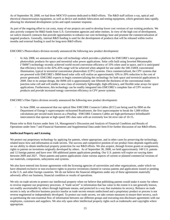As of September 30, 2008, we had three MOCVD systems dedicated to R&D efforts. The R&D staff utilizes x-ray, optical and electrical characterization equipment, as well as device and module fabrication and testing equipment, which generates data rapidly, allowing for shortened development cycles and rapid customer response.

As part of the ongoing effort to cut costs, many of our projects are used to develop lower cost versions of our existing products. We also actively compete for R&D funds from U.S. Government agencies and other entities. In view of the high cost of development, we solicit research contracts that provide opportunities to enhance our core technology base and promote the commercialization of targeted products. Generally, internal R&D funding is used for the development of products that will be released within twelve months and external funding is used for long-term R&D efforts.

EMCORE's Photovoltaics division recently announced the following new product development:

· In July 2008, we announced our solar cell technology which provides a platform for EMCORE's next generation photovoltaic products for space and terrestrial solar power applications. Solar cells built using Inverted Metamorphic ("IMM") technology recently achieved world record conversion efficiency of 33% when used in space, and it is anticipated that efficiency levels in the 42%-45% range will be achieved when adapted for use under the 500-1500X concentrated illumination, typical in terrestrial concentrator photovoltaic (CPV) systems. Once commercialized, the CPV systems that are powered with EMCORE's IMM-based solar cells will realize an approximately 10% to 20% reduction in the cost of power generated. EMCORE expects to begin commercializing this technology for both space and terrestrial applications in 2009. Due to its unique design, the IMM cell is approximately one fifteenth the thickness of the conventional multijunction solar cell and will enable a new class of extremely lightweight, high-efficiency, and flexible solar arrays for space applications. Furthermore, this technology can be readily integrated into EMCORE's complete line of CPV receiver products and provide increased energy conversion efficiency in CPV power systems.

EMCORE's Fiber Optics division recently announced the following new product development:

In June 2008, we announced that our optical fiber EMCORE Connects Cables (ECC) are being used by IBM on the Department of Energy's supercomputer nicknamed Roadrunner, the first supercomputer to break the 1,000 trillion calculations per second mark known as a Petaflop. EMCORE Connects Cables are high-performance InfiniBand® interconnects that operate at high-speed 20G data rates with an extremely low bit error rate of 10-15.

Please refer to Risk Factors under Item 1A, Management's Discussion and Analysis of Financial Condition and Results of Operations under Item 7 and Financial Statements and Supplemental Data under Item 8 for further discussion of our R&D efforts.

#### **Intellectual Property and Licensing**

We protect our proprietary technology by applying for patents, where appropriate, and in other cases by preserving the technology, related know-how and information as trade secrets. The success and competitive position of our product lines depends significantly on our ability to obtain intellectual property protection for our R&D efforts. We also acquire, through license grants or assignments, rights to patents on inventions originally developed by others. As of September 30, 2008, we held approximately 148 U.S. patents and 12 foreign patents and have over 100 additional patent applications pending. Our U.S. patents will expire on varying dates between 2009 and 2027. These patents and patent applications claim various aspects of current or planned commercial versions of our materials, components, subsystems and systems.

We also have entered into license agreements with the licensing agencies of universities and other organizations, under which we have obtained exclusive or non-exclusive rights to practice inventions claimed in various patents and applications issued or pending in the U.S. and other foreign countries. We do not believe the financial obligations under any of these agreements materially adversely affect our business, financial condition or results of operations.

We rely on trade secrets to protect our intellectual property when we believe that publishing patents would make it easier for others to reverse engineer our proprietary processes. A "trade secret" is information that has value to the extent it is not generally known, not readily ascertainable by others through legitimate means, and protected in a way that maintains its secrecy. Reliance on trade secrets is only an effective business practice insofar as trade secrets remain undisclosed and a proprietary product or process is not reverse engineered or independently developed. To protect our trade secrets, we take certain measures to ensure their secrecy, such as partitioning the non-essential flow of information between our different groups and executing non-disclosure agreements with our employees, customers and suppliers. We also rely upon other intellectual property rights such as trademarks and copyrights where appropriate.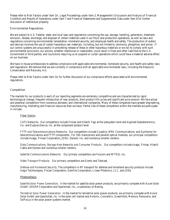Please refer to Risk Factors under Item 1A, Legal Proceedings under Item 3, Management's Discussion and Analysis of Financial Condition and Results of Operations under Item 7 and Financial Statements and Supplemental Data under Item 8 for further discussion of intellectual property.

#### Environmental Regulations

We are subject to U.S. Federal, state, and local laws and regulations concerning the use, storage, handling, generation, treatment, emission, release, discharge, and disposal of certain materials used in our R&D and production operations, as well as laws and regulations concerning environmental remediation, homeland security, and employee health and safety. The production of wafers and devices involves the use of certain hazardous raw materials, including, but not limited to, ammonia, phosphine, and arsine. If our control systems are unsuccessful in preventing release of these or other hazardous materials or we fail to comply with such environmental provisions, our actions, whether intentional or inadvertent, could result in fines and other liabilities to the U.S. Government or third parties, and injunctions requiring us to suspend or curtail operations which could have a material adverse effect on our business.

We have in-house professionals to address compliance with applicable environmental, homeland security, and health and safety laws and regulations. We believe that we are currently in compliance with all applicable environmental laws, including the Resource Conservation and Recovery Act.

Please refer to Risk Factors under Item 1A for further discussion of our compliance efforts associated with environmental regulations.

#### Competition

The markets for our products in each of our reporting segments are extremely competitive and are characterized by rapid technological change, frequent introduction of new products, short product life cycles and significant price erosion. We face actual and potential competition from numerous domestic and international companies. Many of these companies have greater engineering, manufacturing, marketing and financial resources than we have. Partial lists of these competitors within the markets we participate in include:

#### Fiber Optics

*CATV Networks*. Our competitors include Finisar and Hitachi Yagi at the subsystem level and Applied Optoelectronics, Inc. and Eudyna Device, Inc. at the component product level.

*FTTP and Telecommunications Networks*. Our competitors include Cyoptics, MRV Communications, and Sumitomo for telecommunications and FTTP components. For 10G transceivers and parallel optical modules, our principal competitors include Avago, Finisar Corporation, JDSU, Opnext, Inc. and numerous smaller vendors.

*Data Communications, Storage Area Networks and Consumer Products*. Our competitors include Avago, Finisar, Hitachi Cable and Opnext and numerous smaller vendors.

*Satellite Communications Networks*. Our primary competitors are Foxcom and MITEQ, Inc.

*Video Transport Products*. Our primary competitors are Evertz and Telecast.

*Defense and Homeland Security*. The competitors in RF transport for defense and homeland security products include Aegis Technologies, Finisar Corporation, Gemfire Corporation, Linear Photonics, LLC, and JDSU.

#### **Photovoltaics**

*Satellite Solar Power Generation.* In the market for satellite solar power products, we primarily compete with Azure Solar GmbH, SHARP Corporation and Spectrolab, Inc., a subsidiary of Boeing.

*Terrestrial Solar Power Generation*. In the market for terrestrial solar power products, we primarily compete with Azure Solar GmbH and Spectrolab, Inc. in the solar cell market and Amonix, Concentrix, GreenVolts, Menova, Renovalia, and SolFocus in the solar power systems market.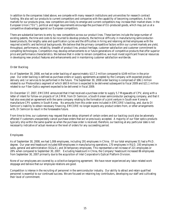In addition to the companies listed above, we compete with many research institutions and universities for research contract funding. We also sell our products to current competitors and companies with the capability of becoming competitors. As the markets for our products grow, new competitors are likely to emerge and current competitors may increase their market share. In the European Union ("EU"), political and legal requirements encourage the purchase of EU-produced goods, which may put us at a competitive disadvantage against our European competitors.

There are substantial barriers to entry by new competitors across our product lines. These barriers include the large number of existing patents, the time and costs to be incurred to develop products, the technical difficulty in manufacturing semiconductorbased products, the lengthy sales and qualification cycles and the difficulties in hiring and retaining skilled employees with the required scientific and technical backgrounds. We believe that the primary competitive factors within our current markets are yield, throughput, performance, reliability, breadth of product line, product heritage, customer satisfaction and customer commitment to competing technologies. Competitors may develop enhancements to or future generations of competitive products that offer superior price and performance characteristics. We believe that in order to remain competitive, we must invest significant financial resources in developing new product features and enhancements and in maintaining customer satisfaction worldwide.

#### Order Backlog

As of September 30, 2008, we had an order backlog of approximately \$117.2 million compared to \$149 million in the prior year. Our order backlog is defined as purchase orders or supply agreements accepted by the Company with expected product delivery and / or services to be performed in the future. The September 30, 2008 order backlog is comprised of \$96.1 million related to our Photovoltaics segment of which \$60.9 million is expected to be delivered subsequent to fiscal 2009 and \$21.1 million related to our Fiber Optics segment expected to be delivered in fiscal 2009.

On December 17, 2007, EMCORE announced that it had received a purchase order to supply 5.7 Megawatts of CPV, along with a letter of intent for follow-on projects of 14.3 MW, from DI Semicon, a South Korean semiconductor packaging company, and that it had also executed an agreement with the same company relating to the formation of a joint venture in South ever Korea to manufacture CPV systems in South Korea. No amounts from this order were included in EMCORE's backlog, and, due to DI Semicon's inability to obtain necessary financing, EMCORE no longer expects any product orders from, or other arrangements with, DI Semicon to result in the foreseeable future.

From time to time, our customers may request that we delay shipment of certain orders and our backlog could also be adversely affected if customers unexpectedly cancel purchase orders that we've previously accepted. A majority of our fiber optics products typically ship within the same quarter as when the purchase order is received; therefore, our backlog at any particular date is not necessarily indicative of actual revenue or the level of orders for any succeeding period.

#### **Employees**

As of September 30, 2008, we had 1,006 employees, including 191 employees in China. Of our total employees 51 had a Ph.D. degree. Our year-end headcount included 609 employees in manufacturing operations, 170 employees in R&D, 193 employees in sales, general and administration (SG&A), and 34 temporary employees. This represented a net increase of 221 employees or 28% when compared to September 30, 2007. Excluding headcount in China, the Company' headcount increased 86 employees from September 30, 2007 primarily due to the acquisition of Intel Corporation's Optical Platform Division.

None of our employees are covered by a collective bargaining agreement. We have never experienced any labor-related work stoppage and believe that our employee relations are good.

Competition is intense in the recruiting of personnel in the semiconductor industry. Our ability to attract and retain qualified personnel is essential to our continued success. We are focused on retaining key contributors, developing our staff and cultivating their level of commitment.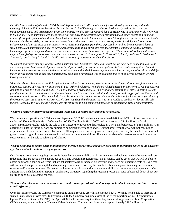#### **ITEM 1A.** Risk Factors

*Our disclosure and analysis in this 2008 Annual Report on Form 10-K contain some forward-looking statements, within the meaning of Section 27A of the Securities Act and Section 21E of Exchange Act, that set forth anticipated results based on management's plans and assumptions. From time to time, we also provide forward-looking statements in other materials we release to the public. These statements are based largely on our current expectations and projections about future events and financial trends affecting the financial condition of our business. They relate to future events or our future financial performance and involve known and unknown risks, uncertainties and other factors that may cause the actual results, levels of activity, performance or achievements of our business or our industry to be materially different from those expressed or implied by any forward-looking statements. Such statements include, in particular, projections about our future results, statements about our plans, strategies, business prospects, changes and trends in our business and the markets in which we operate. These forward-looking statements may be identified by the use of terms and phrases such as "expects", "anticipates", "intends", "plans", "believes", "estimates", "targets", "can", "may", "could", "will", and variations of these terms and similar phrases.*

*We cannot guarantee that any forward-looking statement will be realized, although we believe we have been prudent in our plans and assumptions. Achievement of future results is subject to risks, uncertainties and potentially inaccurate assumptions. Should known or unknown risks or uncertainties materialize, or should underlying assumptions prove inaccurate, actual results could differ materially from past results and those anticipated, estimated or projected. You should keep this in mind as you consider forwardlooking statements.*

*We undertake no obligation to publicly update forward-looking statements, whether as a result of new information, future events or otherwise. You are advised, however, to consult any further disclosures we make on related subjects in our Form 10-Qs and Current Reports on Form 8-K filed with the SEC. Also note that we provide the following cautionary discussion of risks, uncertainties and possibly inaccurate assumptions relevant to our businesses. These are factors that, individually or in the aggregate, we think could cause our actual results to differ materially from historical and expected results. We note these factors for investors as permitted by the Private Securities Litigation Reform Act of 1995. You should understand that it is not possible to predict or identify all such factors. Consequently, you should not consider the following to be a complete discussion of all potential risks or uncertainties.*

#### *We have a history of incurring significant net losses and our future profitability is not assured.*

We commenced operations in 1984 and as of September 30, 2008, we had an accumulated deficit of \$424.8 million. We incurred a net loss of \$80.9 million in fiscal 2008, net loss of \$58.7 million in fiscal 2007, and net income of \$54.9 million in fiscal 2006. Fiscal 2006 results include the sale of our GELcore joint venture that resulted in a net gain, before tax, of \$88.0 million. Our operating results for future periods are subject to numerous uncertainties and we cannot assure you that we will not continue to experience net losses for the foreseeable future. Although our revenue has grown in recent years, we may be unable to sustain such growth rates in light of potential changes in market or economic conditions. If we are not able to increase revenue and reduce our costs, we may not be able to achieve profitability.

#### *We may be unable to obtain additional financing, increase our revenue and lower our costs of operations, which could adversely affect our ability to continue as a going concern.*

Our ability to continue as a going concern is dependent upon our ability to obtain financing and achieve levels of revenue and cost reductions that are adequate to support our capital and operating requirements. No assurance can be given that we will be able to obtain additional financing on terms that are satisfactory to us or increase our revenue and reduce our operating costs to levels that will sufficiently support our capital and operating requirements. We may be unable to obtain adequate financing, increase our revenue and/or lower our costs. Our recurring losses raise substantial doubt about our ability to continue as a going concern. Our auditors have included in their report an explanatory paragraph regarding the recurring losses that raise substantial doubt about our ability to continue as a going concern.

#### *We may not be able to increase or sustain our recent revenue growth rate, and we may not be able to manage our future revenue growth effectively.*

Over the last five years, the Company's compound annual revenue growth rate exceeded 32%. We may not be able to increase or sustain this revenue growth rate. In February 2008, the Company acquired assets of the telecom portion of Intel Corporation's Optical Platform Division ("OPD"). In April 2008, the Company acquired the enterprise and storage assets of Intel Corporation's OPD business, as well as Intel's Connects Cables business. These acquisitions totaled approximately \$41.6 million or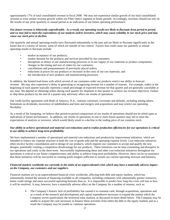approximately 17% of total consolidated revenue in fiscal 2008. We may not experience similar growth of our total consolidated revenue or even similar revenue growth within our Fiber Optics segment in future periods. Accordingly, investors should not rely on the results of any prior quarterly or annual period as an indication of our future operating performance.

#### *Our future revenue is inherently unpredictable. As a result, our operating results are likely to fluctuate from period to period, and we may fail to meet the expectations of our analysts and/or investors, which may cause volatility in our stock price and may cause our stock price to decline.*

Our quarterly and annual operating results have fluctuated substantially in the past and are likely to fluctuate significantly in the future due to a variety of factors, some of which are outside of our control. Factors that could cause our quarterly or annual operating results to fluctuate include:

- market acceptance of our products;
- market demand for the products and services provided by our customers;
- disruptions or delays in our manufacturing processes or in our supply of raw materials or product components;
- changes in the timing and size of orders by our customers;
- cancellations and postponements of previously placed orders;
- reductions in prices for our products or increases in the costs of our raw materials; and
- the introduction of new products and manufacturing processes.

In addition, the limited lead times with which several of our customers order our products restrict our ability to forecast revenue. We may also experience a delay in generating or recognizing revenue for a number of reasons. For example, orders at the beginning of each quarter typically represent a small percentage of expected revenue for that quarter and are generally cancelable at any time. We depend on obtaining orders during each quarter for shipment in that quarter to achieve our revenue objectives. Failure to ship these products by the end of a quarter may adversely affect our results of operations.

Our credit facility agreement with Bank of America, N.A., contains customary covenants and defaults, including among others, limitations on dividends, incurrence of indebtedness and liens and mergers and acquisitions and may restrict our operating flexibility.

As a result of the foregoing, we believe that period-to-period comparisons of our results of operations should not be relied upon as indications of future performance. In addition, our results of operations in one or more future quarters may fail to meet the expectations of analysts or investors, which would likely result in a decline in the trading price of our common stock.

#### *Our ability to achieve operational and material cost reductions and to realize production efficiencies for our operations is critical to our ability to achieve long-term profitability.*

We have implemented a number of operational and material cost reductions and productivity improvement initiatives, which are intended to reduce our expense structure at both the cost of goods sold and the operating expense levels. Cost reduction initiatives often involve facility consolidation and re-design of our products, which requires our customers to accept and qualify the new designs, potentially creating a competitive disadvantage for our products. These initiatives can be time-consuming and disruptive to our operations and costly in the short-term. Successfully implementing these and other cost-reduction initiatives throughout our operations is critical to our future competitiveness and ability to achieve long-term profitability. However, there can be no assurance that these initiatives will be successful in creating profit margins sufficient to sustain our current operating structure and business.

#### *Financial markets worldwide are currently in the midst of an unprecedented crisis which may have a materially adverse impact on the Company, our customers and our suppliers.*

Financial markets are in an unprecedented financial crisis worldwide, affecting both debt and equity markets, which has substantially limited the amount of financing available to all companies, including companies with substantially greater resources, better credit ratings and more successful operating histories than us. It is impossible to predict how long this crisis will last or how it will be resolved. It may, however, have a materially adverse affect on the Company for a number of reasons, such as:

> The Company's historic lack of profitability has caused it to consume cash, through acquisitions, operations and as a result of the research and development and capital expenditures necessary to expand the market which the Company serves (particularly the terrestrial solar market), as discussed in more detail below. The Company may be unable to acquire the cash necessary to finance these activities from either the debt or the equity markets and as a result the Company may be unable to continue operations.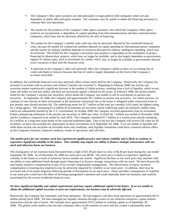- The Company's fiber optics products are sold principally to large publicly held companies which are also dependent on public debt and equity markets. Our customers may be unable to obtain the financing necessary to continue their own operations.
- The market for the products of the Company's fiber optics customers, into which the Company's fiber optics products are incorporated, is dependent on capital spending from telecommunications and data communications companies, which may also be adversely affected by the lack of financing.
- The market for the Company's satellite solar cells may also be adversely affected by the worldwide financial crisis, because the market for commercial satellites depends on capital spending by telecommunications companies and the market for military satellites depends on resources allocated for military intelligence spending, which may be restricted. The market for the Company's terrestrial solar products is dependent on the availability of project financing for photovoltaic projects, which may no longer be available, and is also largely dependent on government support of various types, such as investment tax credits, which may no longer be available as governments allocate scarce resources to deal with the financial crisis.
- A reduction in the Company's sales will adversely affect the Company's ability to draw on its existing line of credit with Bank of America because that line of credit is largely dependent on the level of the Company's accounts receivable.

In addition, the worldwide financial crisis may adversely affect certain assets held by the Company. Historically, the Company has invested in securities with an auction reset feature ("auction rate securities"). Beginning in February 2008, the auction rate securities market experienced a significant increase in the number of failed auctions, resulting from a lack of liquidity, which occurs when sell orders exceed buy orders, and does not necessarily signify a default by the issuer. In February 2008, the auction market failed for the Company's auction rate securities, which meant the Company was unable to sell its investments in auction rate securities. At September 30, 2008, the Company had approximately \$3.1 million in auction rate securities. For failed auctions, we continue to earn interest on these investments at the maximum contractual rate as the issuer is obligated under contractual terms to pay penalty rates should auctions fail. The underlying assets for \$1.7 million of this total are currently AAA rated, the highest rating by a rating agency. The remaining \$1.4 million of investments are securities whose underlying assets are primarily student loans which are substantially backed by the U.S. Government. In October 2008, the Company received agreements from its investment brokers announcing settlement of the auction rate securities at 100% par value, of which \$1.7 million was settled in November 2008 and \$1.4 million is expected to be settled by June 2010. The Company classified \$1.7 million as a current asset and the remaining \$1.4 million as a long-term asset based on the expected settlement dates. Due to the fact the Company will receive full value for all securities; we have not recorded any impairment on these investments as of September 30, 2008. If we are unable to liquidate and settle these auction rate securities on favorable terms and conditions, such liquidity limitations could have a material adverse effect on the Company's business, financial condition, results of operations, and cash flow.

#### *The market price for our common stock has experienced significant price and volume volatility and is likely to continue to experience significant volatility in the future. This volatility may impair our ability to finance strategic transactions with our stock and otherwise harm our business.*

The closing price of our common stock fluctuated from a high of \$15.30 per share to a low of \$4.46 per share during the year ended September 30, 2008. As of December 29, 2008 our stock price was \$0.90. Our stock price is likely to experience significant volatility in the future as a result of numerous factors outside our control. Significant declines in our stock price may interfere with our ability to raise additional funds through equity financing or to finance strategic transactions with our stock. We have historically used equity incentive compensation as part of our overall compensation arrangements. The effectiveness of equity incentive compensation in retaining key employees may be adversely impacted by volatility in our stock price. In addition, there may be increased risk of securities litigation following periods of fluctuations in our stock price. These and other consequences of volatility in our stock price could have the effect of diverting management's attention and could materially harm our business, and could be exacerbated by the current worldwide financial crisis.

#### *We have significant liquidity and capital requirements and may require additional capital in the future. If we are unable to obtain the additional capital necessary to meet our requirements, our business may be adversely affected.*

Historically, the Company has consumed cash from operations. We had negative cash flow from operations of approximately \$41.9 million during fiscal 2008. We have managed our liquidity situation through a series of cost reduction initiatives, capital markets transactions and the sale of assets. We currently have approximately \$79.2 million in working capital as of September 30, 2008. The global credit market crisis has had a dramatic effect on the markets we serve and has created a substantially more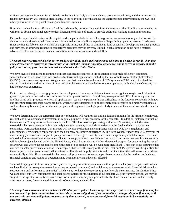difficult business environment for us. We do not believe it is likely that these adverse economic conditions, and their effect on the technology industry, will improve significantly in the near term, notwithstanding the unprecedented intervention by the U.S. and other governments in the global banking and financial systems.

If our cash on hand is not sufficient to fund the cash used by our operating activities and meet our other liquidity requirements, we will seek to obtain additional equity or debt financing or dispose of assets to provide additional working capital in the future.

Due to the unpredictable nature of the capital markets, particularly in the technology sector, we cannot assure you that we will be able to raise additional capital if and when it is required, especially if we experience disappointing operating results. If adequate funds are not available or not available on acceptable terms, our ability to continue to fund expansion, develop and enhance products and services, or otherwise respond to competitive pressures may be severely limited. Such a limitation could have a material adverse effect on our business, financial condition, results of operations and cash flow.

#### *The market for our terrestrial solar power products for utility-scale applications may take time to develop, is rapidly changing and extremely price-sensitive, involves issues with which the Company has little experience, and is currently dependent on the policy decisions of governments both inside and outside the United States.*

We have invested and intend to continue to invest significant resources in the adaptation of our high-efficiency compound semiconductor-based GaAs solar cell products for terrestrial applications, including the sale of both concentrator photovoltaics ("CPV") components and systems. We generated our first revenue from the sale of CPV systems in 2008, which involved the design, manufacture and installation of large and complex structures intended for outdoor operation, with which the Company has had no previous experience.

Factors such as changes in energy prices or the development of new and efficient alternative energy technologies could also limit growth in, or reduce the market for, our terrestrial solar power products. In addition, we experienced difficulties in applying our satellite-based solar products to terrestrial applications. We may experience further difficulties in the future in competing with new and emerging terrestrial solar power products, which we have determined to be extremely price sensitive and rapidly changing as well as obtaining financing for utility-scale projects utilizing our technology, particularly in view of the current worldwide financial crisis.

We have determined that the terrestrial solar power business will require substantial additional funding for the hiring of employees, research and development and investment in capital equipment in order to successfully compete. In addition, historically much of the market for CPV systems has been outside the U.S. This has involved partnering with non-U.S. entities, which (because terrestrial solar power generation is a relatively new industry) may have little experience in the field and which may be new companies. Participation in non-U.S. markets will involve evaluation and compliance with non-U.S. laws, regulations, and government electric supply contracts which the Company has limited experience in. The rates available under non-U.S. government electric supply contracts are subject to policy decisions of these governments, which can change in unpredictable ways. Because of a reduction in rates offered under non-U.S. electric supply contracts, we believe that most of our future business in the near term will involve projects located within the United States, which has a substantially less developed program for encouraging the use of solar power and where the economic competitiveness of our products will be even more significant. There can be no assurance that our bids on solar power installations will be accepted, that we will win any of these bids, that our CPV systems will be qualified for these projects, or that governments will continue to offer electric supply contracts and other incentives that will make our products economically viable. If our terrestrial solar power cell products are not cost competitive or accepted by the market, our business, financial condition and results of operations may be materially and adversely affected.

Successful deployment of our solar power systems may require us to assume roles with respect to solar power projects with which we have limited or no experience (such as acting as general contractor) and which may expose us to certain financial risks (such as cost overruns and performance guaranties) which we ay not have the expertise to properly evaluate or manage. In addition, Since we cannot test our CPV components and solar power systems for the duration of our standard 20-year warranty period, we may be subject to unexpected warranty expense; if we are subject to warranty and product liability claims, such claims could adversely affect our business, financial condition, results of operations, and cash flow.

*The competitive environment in which our CPV solar power systems business operates may requires us to arrange financing for our customer's projects and/or undertake post-sale customer obligations. If we are unable to arrange adequate financing or if our post-sale customer obligations are more costly than expected, our revenue and financial results could be materially and adversely affected.*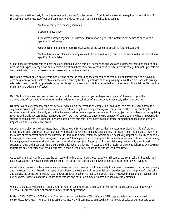We may arrange third-party financing for our end customer's solar projects. Additionally, we may be required as a condition of financing or at the request of our end customer to undertake certain post-sale obligations such as:

- System output performance guaranties;
- System maintenance:
- Liquidated damage payments or customer termination rights if the system is not commissioned within specified timeframes;
- Guaranties of certain minimum residual value of the system at specified future dates; and
- System termination clauses whereby we could be required to buy-back a customer's system at fair value on specified future dates.

Such financing arrangements and post-sale obligations involve complex accounting analyses and judgments regarding the timing of revenue and expense recognition and in certain situations these factors may require us to defer revenue recognition until projects are completed, which could adversely affect revenue in a particular period.

Due to the recent tightening of credit markets and concerns regarding the availability of credit, our customers may be delayed in obtaining, or may not be able to obtain, necessary financing for their purchases of solar power systems. If we are unable to arrange adequate financing or if our post-sale customer obligations are more costly than expected, our revenue and financial results could be materially and adversely affected.

#### *Our Photovoltaics segment recognizes certain contract revenue on a "percentage-of-completion" basis and upon the achievement of contractual milestones and any delay or cancellation of a project could adversely affect our business.*

Our Photovoltaics segment recognizes certain revenue on a "percentage-of-completion" basis and, as a result, revenue from this segment is driven by the performance of our contractual obligations. The percentage-of-completion method of accounting for revenue recognition is inherently subjective because it relies on management estimates of total project cost as a basis for recognizing revenue and profit. Accordingly, revenue and profit we have recognized under the percentage-of-completion method are potentially subject to adjustments in subsequent periods based on refinements in estimated costs of project completion that could materially impact our future revenue and profit.

As with any project-related business, there is the potential for delays within any particular customer project. Variation of project timelines and estimates may impact our ability to recognize revenue in a particular period. Moreover, incurring penalties involving the return of the contract price to the customer for failure to timely install one project could negatively impact our ability to continue to recognize revenue on a "percentage-of-completion" basis generally for other projects. In addition, certain customer contracts may include payment milestones due at specified points during a project. Because our Photovoltaics segment usually must invest substantial time and incur significant expense in advance of achieving milestones and the receipt of payment, failure to achieve such milestones could adversely affect our business, financial condition, results of operations, and cash flows.

#### *As supply of polysilicon increases, the corresponding increase in the global supply of silicon-based solar cells and panels may cause substantial downward pressure on the prices of our terrestrial solar power products, resulting in lower revenues.*

As additional polysilicon becomes available, we expect solar panel production globally to increase. Decreases in polysilicon pricing and increases in silicon-based solar panel production could each result in substantial downward pressure on the price of solar cells and panels, including our terrestrial solar power products. Such price reductions could have a negative impact on our revenue, and our business, financial condition results of operations and cash flows may be materially and adversely affected.

#### *We are substantially dependent on a small number of customers and the loss of any one of these customers could adversely affect our business, financial condition and results of operations.*

In fiscal 2008, 2007 and 2006, our top five customers accounted for 46%, 49%, and 39%, respectively of our total annual consolidated revenue. There can be no assurance that we will continue to achieve historical levels of sales of our products to our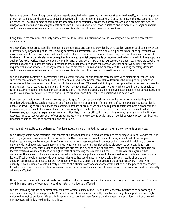largest customers. Even though our customer base is expected to increase and our revenue streams to diversify, a substantial portion of our net revenues could continue to depend on sales to a limited number of customers. Our agreements with these customers may be cancelled if we fail to meet certain product specifications or materially breach the agreement, and our customers may seek to renegotiate the terms of current agreements or renewals. The loss of or a reduction in sales to one or more of our larger customers could have a material adverse affect on our business, financial condition and results of operations.

#### *Long-term, firm commitment supply agreements could result in insufficient or excess inventory or place us at a competitive disadvantage.*

We manufacture our products utilizing materials, components, and services provided by third parties. We seek to obtain a lower cost of inventory by negotiating multi-year, binding contractual commitments directly with our suppliers. Under such agreements, we may be required to purchase a specified quantity of products or use a certain amount of services, which is often over a period of twelve months or more. We also may be required to make substantial prepayments or issue secured letters of credit to these suppliers against future deliveries. These contractual commitments, or any other "take or pay" agreement we enter into, allows the supplier to invoice us for the full purchase price of product or services that we are under contract for, whether or not we actually order the required volume or services. If for any reason we fail to order the required volume or services, the resulting monetary damages could have a material adverse effect on our business, financial condition, results of operations, and cash flows.

We do not obtain contracts or commitments from customers for all of our products manufactured with materials purchased under such firm commitment contracts. Instead, we rely on our long-term internal forecasts to determine the timing of our production schedules and the volume and mix of products to be manufactured. The level and timing of orders placed by customers may vary for many reasons. As a result, at any particular time, we may have insufficient or excess inventory, which could render us unable to fulfill customer orders or increase our cost of production. This would place us at a competitive disadvantage to our competitors, and could have a material adverse effect on our business, financial condition, results of operations, and cash flows.

Long-term contractual commitments also expose us to specific counter-party risk, which can be magnified when dealing with suppliers without a long, stable production and financial history. For example, if one or more of our contractual counterparties is unable or unwilling to provide us with the contracted amount of product, we could be required to attempt to obtain product in the open market, which could be unavailable at that time, or only available at prices in excess of our contracted prices. In addition, in the event any such supplier experiences financial difficulties, it may be difficult or impossible, or may require substantial time and expense, for us to recover any or all of our prepayments. Any of the foregoing could have a material adverse effect on our business, financial condition, results of operations, and cash flows.

#### *Our operating results could be harmed if we lose access to sole or limited sources of materials, components or services.*

We currently obtain some materials, components and services used in our products from limited or single sources. We generally do not carry significant inventories of any raw materials. Because we often do not account for a significant part of our suppliers' businesses, we may not have access to sufficient capacity from these suppliers in periods of high demand. In addition, since we generally do not have guaranteed supply arrangements with our suppliers, we risk serious disruption to our operations if an important supplier terminates product lines, changes business focus, or goes out of business. Because some of these suppliers are located overseas, we may be faced with higher costs of purchasing these materials if the U.S. dollar weakens against other currencies. If we were to change any of our limited or sole source suppliers, we would be required to re-qualify each new supplier. Re-qualification could prevent or delay product shipments that could materially adversely affect our results of operations. In addition, our reliance on these suppliers may materially adversely affect our production if the components vary in quality or quantity. If we are unable to obtain timely deliveries of sufficient components of acceptable quality or if the prices of components for which we do not have alternative sources increase, our business, financial condition and results of operations could be materially adversely affected.

#### *If our contract manufacturers fail to deliver quality products at reasonable prices and on a timely basis, our business, financial condition and results of operations could be materially adversely affected.*

We are increasing our use of contract manufacturers located outside of the U.S. as a less-expensive alternative to performing our own manufacturing of certain products. Contract manufacturers in Asia currently manufacture a significant portion of our highvolume fiber optics products. We supply inventory to our contract manufacturers and we bear the risk of loss, theft or damage to our inventory while it is held in their facilities.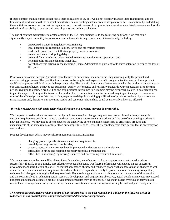If these contract manufacturers do not fulfill their obligations to us, or if we do not properly manage these relationships and the transition of production to these contract manufacturers, our existing customer relationships may suffer. In addition, by undertaking these activities, we run the risk that the reputation and competitiveness of our products and services may deteriorate as a result of the reduction of our ability to oversee and control quality and delivery schedules.

The use of contract manufacturers located outside of the U.S. also subjects us to the following additional risks that could significantly impair our ability to source our contract manufacturing requirements internationally, including:

- unexpected changes in regulatory requirements;
- legal uncertainties regarding liability, tariffs and other trade barriers;<br>• inadequate protection of intellectual property in some countries:
- inadequate protection of intellectual property in some countries;
- greater incidence of shipping delays;
- greater difficulty in hiring talent needed to oversee manufacturing operations; and
- potential political and economic instability.
- potential adverse actions by the incoming Obama Administration pursuant to its stated intention to reduce the loss of U.S. jobs

Prior to our customers accepting products manufactured at our contract manufacturers, they must requalify the product and manufacturing processes. The qualification process can be lengthy and expensive, with no guarantee that any particular product qualification process will lead to profitable product sales. The qualification process determines whether the product manufactured at our contract manufacturer achieves our customers' quality, performance and reliability standards. Our expectations as to the time periods required to qualify a product line and ship products in volumes to customers may be erroneous. Delays in qualification can impair the expected timing of the transfer of a product line to our contract manufacturer and may impair the expected amount of sales of the affected products. We may, in fact, experience delays in obtaining qualification of products produced by our contract manufacturers and, therefore, our operating results and customer relationships could be materially adversely affected.

#### *If we do not keep pace with rapid technological change, our products may not be competitive.*

We compete in markets that are characterized by rapid technological change, frequent new product introductions, changes in customer requirements, evolving industry standards, continuous improvement in products and the use of our existing products in new applications. We may not be able to develop the underlying core technologies necessary to create new products and enhancements at the same rate as or faster than our competitors, or to license the technology from third parties that is necessary for our products.

Product development delays may result from numerous factors, including:

- changing product specifications and customer requirements;
- unanticipated engineering complexities;
- expense reduction measures we have implemented and others we may implement;
- difficulties in hiring and retaining necessary technical personnel; and
- difficulties in allocating engineering resources and overcoming resource limitations.

We cannot assure you that we will be able to identify, develop, manufacture, market or support new or enhanced products successfully, if at all, or on a timely, cost effective or repeatable basis. Our future performance will depend on our successful development and introduction of, as well as market acceptance of, new and enhanced products that address market changes as well as current and potential customer requirements and our ability to respond effectively to product announcements by competitors, technological changes or emerging industry standards. Because it is generally not possible to predict the amount of time required and the costs involved in achieving certain research, development and engineering objectives, actual development costs may exceed budgeted amounts and estimated product development schedules may be extended. If we incur budget overruns or delays in our research and development efforts, our business, financial condition and results of operations may be materially adversely affected.

#### *The competitive and rapidly evolving nature of our industry has in the past resulted and is likely in the future to result in reductions in our product prices and periods of reduced demand for our products.*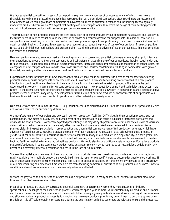We face substantial competition in each of our reporting segments from a number of companies, many of which have greater financial, marketing, manufacturing and technical resources than us. Larger-sized competitors often spend more on research and development, which could give those competitors an advantage in meeting customer demands and introducing technologically innovative products before we do. We expect that existing and new competitors will improve the design of their existing products and will introduce new products with enhanced performance characteristics.

The introduction of new products and more efficient production of existing products by our competitors has resulted and is likely in the future to result in price reductions and increases in expenses and reduced demand for our products. In addition, some of our competitors may be willing to provide their products at lower prices, accept a lower profit margin or expend more capital in order to obtain or retain business. Competitive pressures have required us to reduce the prices of some of our products. These competitive forces could diminish our market share and gross margins, resulting in a material adverse affect on our business, financial condition and results of operations.

New competitors may also enter our markets, including some of our current and potential customers who may attempt to integrate their operations by producing their own components and subsystems or acquiring one of our competitors, thereby reducing demand for our products. In addition, rapid product development cycles, increasing price competition due to maturation of technologies, the emergence of new competitors in Asia with lower cost structures and industry consolidation resulting in competitors with greater financial, marketing and technical resources could result in lower prices or reduced demand for our products.

Expected and actual introductions of new and enhanced products may cause our customers to defer or cancel orders for existing products and may cause our products to become obsolete. A slowdown in demand for existing products ahead of a new product introduction could result in a write-down in the value of inventory on hand related to existing products. We have in the past experienced a slowdown in demand for existing products and delays in new product development and such delays may occur in the future. To the extent customers defer or cancel orders for existing products due to a slowdown in demand or in anticipation of a new product release or if there is any delay in development or introduction of our new products or enhancements of our products, our business, financial condition and results of operations could be materially adversely affected.

#### *Our products are difficult to manufacture. Our production could be disrupted and our results will suffer if our production yields are low as a result of manufacturing difficulties.*

We manufacture many of our wafers and devices in our own production facilities. Difficulties in the production process, such as contamination, raw material quality issues, human error or equipment failure, can cause a substantial percentage of wafers and devices to be nonfunctional. Lower-than-expected production yields may delay shipments or result in unexpected levels of warranty claims, either of which can materially adversely affect our results of operations. We have experienced difficulties in achieving planned yields in the past, particularly in pre-production and upon initial commencement of full production volumes, which have adversely affected our gross margins. Because the majority of our manufacturing costs are fixed, achieving planned production yields is critical to our results of operations. Because we manufacture many of our products in a single facility, we have greater risk of interruption in manufacturing resulting from fire, natural disaster, equipment failures, or similar events than we would if we had back-up facilities available for manufacturing these products. We could also incur significant costs to repair and/or replace products that are defective and in some cases costly product redesigns and/or rework may be required to correct a defect. Additionally, any defect could adversely affect our reputation and result in the loss of future orders.

Some of the capital equipment used in the manufacture of our products have been developed and made specifically for us, is not readily available from multiple vendors and would be difficult to repair or replace if it were to become damaged or stop working. If any of these suppliers were to experience financial difficulties or go out of business, or if there were any damage to or a breakdown of our manufacturing equipment at a time when we are manufacturing commercial quantities of our products, our business, financial condition and results of operations could be materially adversely affected.

#### *We face lengthy sales and qualifications cycles for our new products and, in many cases, must invest a substantial amount of time and funds before we receive orders.*

Most of our products are tested by current and potential customers to determine whether they meet customer or industry specifications. The length of the qualification process, which can span a year or more, varies substantially by product and customer, and thus can cause our results of operations to be unpredictable. During a given qualification period, we invest significant resources and allocate substantial production capacity to manufacture these new products prior to any commitment to purchase by customers. In addition, it is difficult to obtain new customers during the qualification period as customers are reluctant to expend the resources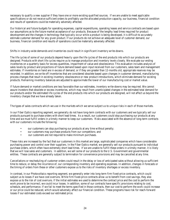necessary to qualify a new supplier if they have one or more existing qualified sources. If we are unable to meet applicable specifications or do not receive sufficient orders to profitably use the allocated production capacity, our business, financial condition and results of operations could be materially adversely affected.

Our historical and future budgets for operating expenses, capital expenditures, operating leases and service contracts are based upon our assumptions as to the future market acceptance of our products. Because of the lengthy lead times required for product development and the changes in technology that typically occur while a product is being developed, it is difficult to accurately estimate customer demand for any given product. If our products do not achieve an adequate level of customer demand, our business, financial condition and results of operations could be materially adversely affected.

#### *Shifts in industry-wide demands and inventories could result in significant inventory write-downs.*

The life cycles of some of our products depend heavily upon the life cycles of the end products into which our products are designed. Products with short life cycles require us to manage production and inventory levels closely. We evaluate our ending inventories on a quarterly basis for excess quantities, impairment of value and obsolescence. This evaluation includes analysis of sales levels by product and projections of future demand based upon input received from our customers, sales team and management estimates. If inventories on hand are in excess of demand, or if they are greater than 12-months old, appropriate reserves may be recorded. In addition, we write off inventories that are considered obsolete based upon changes in customer demand, manufacturing process changes that result in existing inventory obsolescence or new product introductions, which eliminate demand for existing products. Remaining inventory balances are adjusted to approximate the lower of our manufacturing cost or market value.

If future demand or market conditions are less favorable than our estimates, inventory write-downs may be required. We cannot assure investors that obsolete or excess inventories, which may result from unanticipated changes in the estimated total demand for our products and/or the estimated life cycles of the end products into which our products are designed, will not affect us beyond the inventory charges that we have already taken.

#### *The types of sales contracts which we use in the markets which we serve subject us to unique risks in each of those markets.*

In our Fiber Optics reporting segment, we generally do not have long-term contracts with our customers and we typically sell our products pursuant to purchase orders with short lead times. As a result, our customers could stop purchasing our products at any time and we must fulfill orders in a timely manner to keep our customers. Risks associated with the absence of long-term contracts with our customers include the following:

- our customers can stop purchasing our products at any time without penalty;
- our customers may purchase products from our competitors; and
- our customers are not required to make minimum purchases.

These risks are increased by the fact that our customers in this market are large, sophisticated companies which have considerable purchasing power and control over their suppliers. In the Fiber Optics market, we generally sell our products pursuant to individual purchase orders, which often have extremely short lead times. If we are unable to fulfill these orders in a timely manner, it is likely that we will lose sales and customers. In addition, we sell some of our products to the U.S. Government and governmental entities. These contracts are generally subject to termination for convenience provisions and may be cancelled at any time.

Cancellations or rescheduling of customer orders could result in the delay or loss of anticipated sales without allowing us sufficient time to reduce, or delay the incurrence of, our corresponding inventory and operating expenses. In addition, changes in forecasts or the timing of orders from these or other customers expose us to the risks of inventory shortages or excess inventory.

In contrast, in our Photovoltaics reporting segment, we generally enter into long-term firm fixed-price contracts, which could subject us to losses if we have cost overruns. While firm fixed-price contracts allow us to benefit from cost savings, they also expose us to the risk of cost overruns. If the initial estimates we used to determine the contract price and the cost to perform the work prove to be incorrect, we could incur losses. In addition, some of our contracts have specific provisions relating to cost, schedule, and performance. If we fail to meet the terms specified in those contracts, then our cost to perform the work could increase or our price could be reduced, which would adversely affect our financial condition. These programs have risk for reach-forward losses if our estimated costs exceed our estimated price.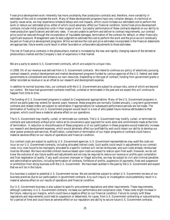Fixed-price development work inherently has more uncertainty than production contracts and, therefore, more variability in estimates of the cost to complete the work. Many of these development programs have very complex designs. As technical or quality issues arise, we may experience schedule delays and cost impacts, which could increase our estimated cost to perform the work or reduce our estimated price, either of which could adversely affect our financial condition. Some fixed-price development contracts include initial production units in their scope of work. Successful performance of these contracts depends on our ability to meet production specifications and delivery rates. If we are unable to perform and deliver to contract requirements, our contract price could be reduced through the incorporation of liquidated damages, termination of the contract for default, or other financially significant exposure. Management uses its best judgment to estimate the cost to perform the work and the price we will eventually be paid on fixed-price development programs. While we believe the cost and price estimates incorporated in the financial statements are appropriate, future events could result in either favorable or unfavorable adjustments to those estimates.

The risk of fixed price contracts in the photovoltaics market is increased by the new and rapidly changing nature of the terrestrial photovoltaics market and the Company's lack of experience in that market.

#### *We are a party to several U.S. Government contracts, which are subject to unique risks.*

In 2008, 5% of our revenue was derived from U.S. Government contracts. We intend to continue our policy of selectively pursuing contract research, product development and market development programs funded by various agencies of the U.S. federal and state governments to complement and enhance our own resources. Depending on the type of contract, funding from government grants is either recorded as revenue or as an offset to our research and development expense.

In addition to normal business risks, our contracts with the U.S. Government are subject to unique risks, some of which are beyond our control. We have had government contracts modified, curtailed or terminated in the past and we expect this will continue to happen from time to time.

The funding of U.S. Government programs is subject to Congressional appropriations. Many of the U.S. Government programs in which we participate may extend for several years; however, these programs are normally funded annually. Long-term government contracts and related orders are subject to cancellation if appropriations for subsequent performance periods are not made. The termination of funding for a U.S. Government program would result in a loss of anticipated future revenue attributable to that program, which could have a material adverse effect on our operations.

The U.S. Government may modify, curtail, or terminate our contracts. The U.S. Government may modify, curtail, or terminate its contracts and subcontracts without prior notice at its convenience upon payment for work done and commitments made at the time of termination. A reduction or discontinuance of these programs or of our participation in these programs would materially increase our research and development expenses, which would adversely affect our profitability and could impair our ability to develop our solar power products and services. Modification, curtailment or termination of our major programs or contracts could have a material adverse effect on our results of operations and financial condition.

Our contract costs are subject to audits by U.S. Government agencies. U.S. Government representatives may audit the costs we incur on our U.S. Government contracts, including allocated indirect costs. Such audits could result in adjustments to our contract costs. Any costs found to be improperly allocated to a specific contract will not be reimbursed, and such costs already reimbursed must be refunded. We have recorded contract revenue based upon costs we expect to realize upon final audit. However, we do not know the outcome of any future audits and adjustments and we may be required to reduce our revenue or profits upon completion and final negotiation of audits. If any audit uncovers improper or illegal activities, we may be subject to civil and criminal penalties and administrative sanctions, including termination of contracts, forfeiture of profits, suspension of payments, fines and suspension or prohibition from doing business with the U.S. Government. We have been audited in the past by the U.S. Government and expect that we will be in the future.

Our business is subject to potential U.S. Government review. We are sometimes subject to certain U.S. Government reviews of our business practices due to our participation in government contracts. Any such inquiry or investigation could potentially result in a material adverse effect on our results of operations and financial condition.

Our U.S. Government business is also subject to specific procurement regulations and other requirements. These requirements, although customary in U.S. Government contracts, increase our performance and compliance costs. These costs might increase in the future, reducing our margins, which could have a negative effect on our financial condition. Failure to comply with these regulations and requirements could lead to suspension or debarment, for cause, from U.S. Government contracting or subcontracting for a period of time and could have an adverse effect on our reputation and ability to secure future U.S. Government contracts.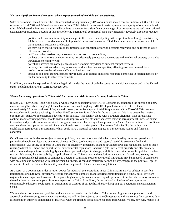#### *We have significant international sales, which expose us to additional risks and uncertainties.*

Sales to customers located outside the U.S. accounted for approximately 44% of our consolidated revenue in fiscal 2008, 27% of our revenue in fiscal 2007 and 24% of our revenue in fiscal 2006. Sales to customers in Asia represent the majority of our international sales. We believe that international sales will continue to account for a significant percentage of our revenue as we seek international expansion opportunities. Because of this, the following international commercial risks may materially adversely affect our revenue:

- political and economic instability or changes in U.S. Government policy with respect to these foreign countries may inhibit export of our devices and limit potential customers' access to U.S. dollars in a country or region in which those potential customers are located;
- we may experience difficulties in the timeliness of collection of foreign accounts receivable and be forced to write off these receivables;
- tariffs and other barriers may make our devices less cost competitive;
- the laws of certain foreign countries may not adequately protect our trade secrets and intellectual property or may be burdensome to comply with;
- potentially adverse tax consequences to our customers may damage our cost competitiveness;
- currency fluctuations, which may make our products less cost competitive, affecting overseas demand for our products or otherwise adversely affect our business; and
- language and other cultural barriers may require us to expend additional resources competing in foreign markets or hinder our ability to effectively compete.

In addition, we may be exposed to additional legal risks under the laws of both the countries in which we operate and in the United States, including the Foreign Corrupt Practices Act.

#### *We are increasing operations in China, which exposes us to risks inherent in doing business in China.*

In May 2007, EMCORE Hong Kong, Ltd., a wholly owned subsidiary of EMCORE Corporation, announced the opening of a new manufacturing facility in Langfang, China. Our new company, Langfang EMCORE Optoelectronics Co. Ltd., is located approximately 20 miles southeast of Beijing and currently occupies a space of 44,000 square feet with a Class-10,000 clean room for optoelectronic device packaging. Another 40,000 square feet is available for future expansion. We have begun the transfer of our most cost sensitive optoelectronic devices to this facility. This facility, along with a strategic alignment with our existing contract-manufacturing partners, should enable us to improve our cost structure and gross margins across product lines. We expect to develop and provide improved service to our global customers by having a local presence in Asia. As we continue to consolidate our manufacturing operations, we will incur additional costs to transfer product lines to our China facility, including costs of qualification testing with our customers, which could have a material adverse impact on our operating results and financial condition.

Our China-based activities are subject to greater political, legal and economic risks than those faced by our other operations. In particular, the political, legal and economic climate in China (both at national and regional levels) is extremely fluid and unpredictable. Our ability to operate in China may be adversely affected by changes in Chinese laws and regulations, such as those relating to taxation, import and export tariffs, environmental regulations, land use rights, intellectual property and other matters, which laws and regulations remain highly underdeveloped and subject to change, with little or no prior notice, for political or other reasons. Moreover, the enforceability of applicable existing Chinese laws and regulations is uncertain. In addition, we may not obtain the requisite legal permits to continue to operate in China and costs or operational limitations may be imposed in connection with obtaining and complying with such permits. Our business could be materially harmed by any changes in the political, legal or economic climate in China or the inability to enforce applicable Chinese laws and regulations.

As a result of a government order to ration power for industrial use, operations in our China facility may be subject to possible interruptions or shutdowns, adversely affecting our ability to complete manufacturing commitments on a timely basis. If we are required to make significant investments in generating capacity to sustain uninterrupted operations at our facility, we may not realize the reductions in costs anticipated from our expansion in China. In addition, future outbreaks of avian influenza, or other communicable diseases, could result in quarantines or closures of our facility, thereby disrupting our operations and expansion in China.

We intend to export the majority of the products manufactured at our facilities in China. Accordingly, upon application to and approval by the relevant governmental authorities, we will not be subject to certain Chinese taxes and are exempt from customs duty assessment on imported components or materials when the finished products are exported from China. We are, however, required to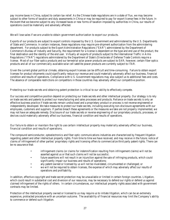pay income taxes in China, subject to certain tax relief. As the Chinese trade regulations are in a state of flux, we may become subject to other forms of taxation and duty assessments in China or may be required to pay for export license fees in the future. In the event that we become subject to any increased taxes or new forms of taxation imposed by authorities in China, our results of operations could be materially and adversely affected.

#### *We will lose sales if we are unable to obtain government authorization to export our products.*

Exports of our products are subject to export controls imposed by the U.S. Government and administered by the U.S. Departments of State and Commerce. In certain instances, these regulations may require pre-shipment authorization from the administering department. For products subject to the Export Administration Regulations ("EAR") administered by the Department of Commerce's Bureau of Industry and Security, the requirement for a license is dependent on the type and end use of the product, the final destination and the identity of the end user. Virtually all exports of products subject to the International Traffic in Arms Regulations ("ITAR") regulations administered by the Department of State's Directorate of Defense Trade Controls require a license. Most of our fiber optics products and our terrestrial solar power products are subject to EAR; however, certain fiber optics products and all of our commercially available solar cell satellite power products are currently subject to ITAR.

Given the current global political climate, obtaining export licenses can be difficult and time-consuming. Failure to obtain export licenses for product shipments could significantly reduce our revenue and could materially adversely affect our business, financial condition and results of operations. Compliance with U.S. Government regulations may also subject us to additional fees and costs. The absence of comparable restrictions on competitors in those countries may adversely affect our competitive position.

#### *Protecting our trade secrets and obtaining patent protection is critical to our ability to effectively compete.*

Our success and competitive position depend on protecting our trade secrets and other intellectual property. Our strategy is to rely on trade secrets and patents to protect our manufacturing and sales processes and products. Reliance on trade secrets is only an effective business practice if trade secrets remain undisclosed and a proprietary product or process is not reverse engineered or independently developed. We take measures to protect our trade secrets, including executing non-disclosure agreements with our employees, customers and suppliers. If parties breach these agreements or the measures we take are not properly implemented, we may not have an adequate remedy. Disclosure of our trade secrets or reverse engineering of our proprietary products, processes, or devices could materially adversely affect our business, financial condition and results of operations.

#### *Our failure to obtain or maintain the right to use certain intellectual property may materially adversely affect our business, financial condition and results of operations.*

The compound semiconductor, optoelectronics and fiber optic communications industries are characterized by frequent litigation regarding patent and other intellectual property rights. From time to time we have received, and may receive in the future; notice of claims of infringement of other parties' proprietary rights and licensing offers to commercialize third party patent rights. There can be no assurance that:

- infringement claims (or claims for indemnification resulting from infringement claims) will not be asserted against us or that such claims will not be successful;
- future assertions will not result in an injunction against the sale of infringing products, which could significantly impair our business and results of operations;
- any patent owned or licensed by us will not be invalidated, circumvented or challenged; or
- we will not be required to obtain licenses, the expense of which may adversely affect our results of operations and profitability.

In addition, effective copyright and trade secret protection may be unavailable or limited in certain foreign countries. Litigation, which could result in substantial cost and diversion of our resources, may be necessary to defend our rights or defend us against claimed infringement of the rights of others. In certain circumstances, our intellectual property rights associated with government contracts may be limited.

Protection of the intellectual property owned or licensed to us may require us to initiate litigation, which can be an extremely expensive, protracted procedure with an uncertain outcome. The availability of financial resources may limit the Company's ability to commence or defend such litigation.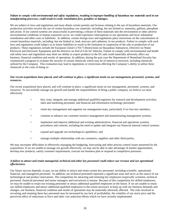#### *Failure to comply with environmental and safety regulations, resulting in improper handling of hazardous raw materials used in our manufacturing processes, could result in costly remediation fees, penalties or damages.*

We are subject to laws and regulations and must obtain certain permits and licenses relating to the use of hazardous materials. Our production activities involve the use of certain hazardous raw materials, including, but not limited to, ammonia, gallium, phosphate and arsine. If our control systems are unsuccessful in preventing a release of these materials into the environment or other adverse environmental conditions or human exposures occur, we could experience interruptions in our operations and incur substantial remediation and other costs or liabilities. In addition, certain foreign laws and regulations place restrictions on the concentration of certain hazardous materials, including, but not limited to, lead, mercury and cadmium, in our products. Failure to comply with such laws and regulations could subject us to future liabilities or result in the limitation or suspension of the sale or production of our products. These regulations include the European Union's ("EU") Restrictions on Hazardous Substances, Directive on Waste Electrical and Electronic Equipment and the directive on End of Life for Vehicles. Failure to comply with environmental and health and safety laws and regulations may limit our ability to export products to the EU and could materially adversely affect our business, financial condition and results of operations. In addition, during the past year the Department of Homeland Security has commenced a program to evaluate the security of certain chemicals which may be of interest to terrorists, including chemicals utilized by the Company. This evaluation may lead to regulations or restrictions affecting the Company's ability to utilize these chemicals or the costs of doing so.

#### *Our recent acquisitions have placed, and will continue to place, a significant strain on our management, personnel, systems, and resources.*

Our recent acquisitions have placed, and will continue to place, a significant strain on our management, personnel, systems, and resources. To successfully manage our growth and handle the responsibilities of being a public company, we believe we must effectively:

- hire, train, integrate and manage additional qualified engineers for research and development activities, sales and marketing personnel, and financial and information technology personnel;
- retain key management and augment our management team, particularly if we lose key members;
- continue to enhance our customer resource management and manufacturing management systems;
- implement and improve additional and existing administrative, financial and operations systems, procedures and controls, including the need to update and integrate our financial internal control systems;
- expand and upgrade our technological capabilities; and
- manage multiple relationships with our customers, suppliers and other third parties.

We may encounter difficulties in effectively managing the budgeting, forecasting and other process control issues presented by the acquisitions. If we are unable to manage our growth effectively, we may not be able to take advantage of market opportunities, develop new products, satisfy customer requirements, execute our business plan or respond to competitive pressures.

#### *A failure to attract and retain managerial, technical and other key personnel could reduce our revenue and our operational effectiveness.*

Our future success depends, in part, on our ability to attract and retain certain key personnel, including scientific, operational, financial, and managerial personnel. In addition, our technical personnel represent a significant asset and serve as the source of our technological and product innovations. The competition for attracting and retaining key employees (especially scientists, technical personnel, financial personnel and senior managers and executives) is intense. Because of this competition for skilled employees, we may be unable to retain our existing personnel or attract additional qualified employees in the future. If we are unable to retain our skilled employees and attract additional qualified employees to the extent necessary to keep up with our business demands and changes, our business, financial condition and results of operations may be materially adversely affected. The risks involved in recruiting and retaining these key personnel may be increased by our lack of profitability, the volatility of our stock price and the perceived affect of reductions in force and other cost reduction efforts which we have recently implemented.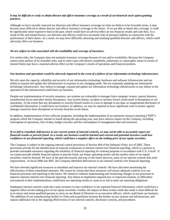#### *It may be difficult or costly to obtain director and officer insurance coverage as a result of our historical stock option granting practices.*

Although we have recently renewed our directors and officer insurance coverage on what we believe to be favorable terms, it may become more difficult to obtain director and officer insurance coverage in the future. If we are able to obtain this coverage, it could be significantly more expensive than in the past, which would have an adverse effect on our financial results and cash flow. As a result of this and related factors, our directors and officers could face increased risks of personal liability in connection with the performance of their duties. As a result, we may have difficultly attracting and retaining qualified directors and officers, which could adversely affect our business.

#### *We are subject to risks associated with the availability and coverage of insurance.*

For certain risks, the Company does not maintain insurance coverage because of cost and/or availability. Because the Company retains some portion of its insurable risks, and in some cases self-insures completely, unforeseen or catastrophic losses in excess of insured limits may have a material adverse effect on the Company's results of operations and financial position.

#### *Our business and operations would be adversely impacted in the event of a failure of our information technology infrastructure.*

We rely upon the capacity, reliability and security of our information technology hardware and software infrastructure and our ability to expand and update this infrastructure in response to our changing needs. We are constantly updating our information technology infrastructure. Any failure to manage, expand and update our information technology infrastructure or any failure in the operation of this infrastructure could harm our business.

Despite our implementation of security measures, our systems are vulnerable to damages from computer viruses, natural disasters, unauthorized access and other similar disruptions. Any system failure, accident or security breach could result in disruptions to our operations. To the extent that any disruptions or security breach results in a loss or damage to our data, or inappropriate disclosure of confidential information, it could harm our business. In addition, we may be required to incur significant costs to protect against damage caused by these disruptions or security breaches in the future.

In addition, implementation of new software programs, including the implementation of an enterprise resource planning ("ERP") program which the Company intends to install during the upcoming year, may have adverse impact on the Company, including interruption of operations, loss of data, budget overruns and the consumption of management time and resources.

#### *If we fail to remediate deficiencies in our current system of internal controls, we may not be able to accurately report our financial results or prevent fraud. As a result, our business could be harmed and current and potential investors could lose confidence in our financial reporting, which could have a negative effect on the trading price of our equity securities.*

The Company is subject to the ongoing internal control provisions of Section 404 of the Sarbanes-Oxley Act of 2002. These provisions provide for the identification of material weaknesses in internal control over financial reporting, which is a process to provide reasonable assurance regarding the reliability of financial reporting for external purposes in accordance with U.S. GAAP. If we cannot provide reliable financial reports or prevent fraud, our brand, operating results and the market value of our equity securities could be harmed. We have in the past discovered, and may in the future discover, areas of our internal controls that need improvement. In fiscal 2008 and 2007, the Company identified deficiencies in our internal controls over financial reporting.

We have devoted significant resources to remediate and improve our internal controls. We have also been monitoring the effectiveness of these remediated measures. We cannot be certain that these measures will ensure adequate controls over our financial processes and reporting in the future. We intend to continue implementing and monitoring changes to our processes to improve internal controls over financial reporting. Any failure to implement required new or improved controls, or difficulties encountered in their implementation, could harm our operating results or cause us to fail to meet our reporting obligations.

Inadequate internal controls could also cause investors to lose confidence in our reported financial information, which could have a negative effect on the trading price of our equity securities. Further, the impact of these events could also make it more difficult for us to attract and retain qualified persons to serve on our Board of Directors or as executive officers, which could harm our business. The additions of our manufacturing facility in China and acquisitions increase the burden on our systems and infrastructure, and impose additional risk to the ongoing effectiveness of our internal controls, disclosure controls, and procedures.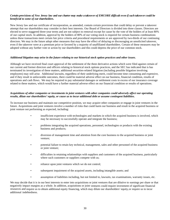#### *Certain provisions of New Jersey law and our charter may make a takeover of EMCORE difficult even if such takeover could be beneficial to some of our shareholders.*

New Jersey law and our certificate of incorporation, as amended, contain certain provisions that could delay or prevent a takeover attempt that our shareholders may consider in their best interests. Our Board of Directors is divided into three classes. Directors are elected to serve staggered three-year terms and are not subject to removal except for cause by the vote of the holders of at least 80% of our capital stock. In addition, approval by the holders of 80% of our voting stock is required for certain business combinations unless these transactions meet certain fair price criteria and procedural requirements or are approved by two-thirds of our continuing directors. We may in the future adopt other measures that may have the effect of delaying or discouraging an unsolicited takeover, even if the takeover were at a premium price or favored by a majority of unaffiliated shareholders. Certain of these measures may be adopted without any further vote or action by our shareholders and this could depress the price of our common stock.

#### *Additional litigation may arise in the future relating to our historical stock option practices and other issues.*

Although we have received final court approval of the settlement of the three derivative actions which were filed against certain of our current and former directors and officers relating to historical stock options practices, and the SEC has indicated that is has terminated its investigation of these matters, additional securities-related litigation (including possible litigation involving employees) may still arise. Additional lawsuits, regardless of their underlying merit, could become time consuming and expensive, and if they result in unfavorable outcomes, there could be material adverse effect on our business, financial condition, results of operations and cash flows. We may be required to pay substantial damages or settlement costs in excess of our insurance coverage related to these matters, which would have a further material adverse effect on our financial condition or results of operations.

#### *Acquisitions of other companies or investments in joint ventures with other companies could adversely affect our operating results, dilute our shareholders' equity, or cause us to incur additional debt or assume contingent liabilities.*

To increase our business and maintain our competitive position, we may acquire other companies or engage in joint ventures in the future. Acquisitions and joint ventures involve a number of risks that could harm our business and result in the acquired business or joint venture not performing as expected, including:

- insufficient experience with technologies and markets in which the acquired business is involved, which may be necessary to successfully operate and integrate the business;
- problems integrating the acquired operations, personnel, technologies or products with the existing business and products;
- diversion of management time and attention from the core business to the acquired business or joint venture;
- potential failure to retain key technical, management, sales and other personnel of the acquired business or joint venture;
- difficulties in retaining relationships with suppliers and customers of the acquired business, particularly where such customers or suppliers compete with us;
- reliance upon joint ventures which we do not control;
- subsequent impairment of the acquired assets, including intangible assets; and
- assumption of liabilities including, but not limited to, lawsuits, tax examinations, warranty issues, etc.

We may decide that it is in our best interests to enter into acquisitions or joint ventures that are dilutive to earnings per share or that negatively impact margins as a whole. In addition, acquisitions or joint ventures could require investment of significant financial resources and require us to obtain additional equity financing, which may dilute our shareholders' equity, or require us to incur additional indebtedness.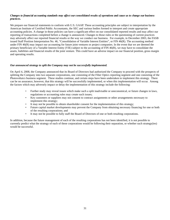#### *Changes to financial accounting standards may affect our consolidated results of operations and cause us to change our business practices.*

We prepare our financial statements to conform with U.S. GAAP. These accounting principles are subject to interpretation by the American Institute of Certified Public Accountants, the SEC and various bodies formed to interpret and create appropriate accounting policies. A change in those policies can have a significant effect on our consolidated reported results and may affect our reporting of transactions completed before a change is announced. Changes to those rules or the questioning of current practices may adversely affect our reported financial results or the way we conduct our business. For example, in December 2003, the FASB issued Staff Position Interpretation No. 46, "Consolidation of Variable Interest Entities", or FIN 46(R). The accounting method under FIN 46(R) may impact our accounting for future joint ventures or project companies. In the event that we are deemed the primary beneficiary of a Variable Interest Entity (VIE) subject to the accounting of FIN 46(R), we may have to consolidate the assets, liabilities and financial results of the joint venture. This could have an adverse impact on our financial position, gross margin and operating results.

#### *Our announced strategy to split the Company may not be successfully implemented.*

On April 4, 2008, the Company announced that its Board of Directors had authorized the Company to proceed with the prospects of splitting the Company into two separate corporations, one consisting of the Fiber Optics reporting segment and one consisting of the Photovoltaics business segment. These studies continue, and certain steps have been undertaken to implement this strategy. There can be no assurance, however, that this strategy will be successfully implemented, or when this implementation will occur. Among the factors which may adversely impact or delay the implementation of this strategy include the following:

- Further study may reveal issues which make such a split inadvisable or uneconomical, or future changes in laws, regulations or accounting rules may create such issues;
- Key customers or suppliers may not consent to contract assignments or other arrangements necessary to implement this strategy;
- It may not be possible to obtain shareholder consent for the implementation of this strategy;
- Future capital market developments may prevent the Company from obtaining necessary financing for one or both of the resulting corporations; and
- It may not be possible to fully staff the Board of Directors of one or both resulting corporations.

In addition, because the future management of each of the resulting corporations has not been identified, it is not possible to currently predict what the strategy of each of these corporations would be following their separation, or whether such strategy(ies) would be successful .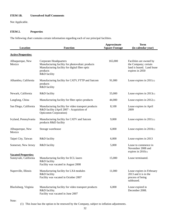#### **ITEM 1B. Unresolved Staff Comments**

Not Applicable.

#### **ITEM 2. Properties**

The following chart contains certain information regarding each of our principal facilities.

| Location                                            | <b>Function</b>                                                                                                                                                 | <b>Approximate</b><br><b>Square Footage</b> | <b>Term</b><br>(in calendar year)                                                                |  |
|-----------------------------------------------------|-----------------------------------------------------------------------------------------------------------------------------------------------------------------|---------------------------------------------|--------------------------------------------------------------------------------------------------|--|
| <b>Active Properties:</b>                           |                                                                                                                                                                 |                                             |                                                                                                  |  |
| Albuquerque, New<br>Mexico                          | <b>Corporate Headquarters</b><br>Manufacturing facility for photovoltaic products<br>Manufacturing facility for digital fiber optic<br>products<br>R&D facility | 165,000                                     | Facilities are owned by<br>the Company; certain<br>land is leased. Land lease<br>expires in 2050 |  |
| Alhambra, California                                | Manufacturing facility for CATV, FTTP and Satcom<br>products<br>R&D facility                                                                                    | 91,000                                      | Lease expires in $2011_{(1)}$                                                                    |  |
| Newark, California                                  | R&D facility                                                                                                                                                    | 55,000                                      | Lease expires in $2013(1)$                                                                       |  |
| Langfang, China                                     | Manufacturing facility for fiber optics products                                                                                                                | 44,000                                      | Lease expires in $2012(1)$                                                                       |  |
| San Diego, California                               | Manufacturing facility for video transport products<br>R&D facility (April 2007 - Acquisition of<br>Opticomm Corporation)                                       | 8,100                                       | Lease expires in April<br>2009                                                                   |  |
| Ivyland, Pennsylvania                               | Manufacturing facility for CATV and Satcom<br>products R&D facility                                                                                             | 9,000                                       | Lease expires in $2011_{(1)}$                                                                    |  |
| Albuquerque, New<br>Mexico                          | Storage warehouse                                                                                                                                               | 6,000                                       | Lease expires in $2010(1)$                                                                       |  |
| Taipei City, Taiwan                                 | R&D facility                                                                                                                                                    | 6,000                                       | Lease expires in 2013                                                                            |  |
| Somerset, New Jersey                                | R&D facility                                                                                                                                                    | 5,000                                       | Lease to commence in<br>November 2008 and<br>expires in $2010(1)$                                |  |
| <b>Vacated Properties:</b><br>Sunnyvale, California | Manufacturing facility for ECL lasers<br>R&D facility<br>Facility was vacated in August 2008                                                                    | 15,000                                      | Lease terminated.                                                                                |  |
| Naperville, Illinois                                | Manufacturing facility for LX4 modules<br>R&D facility<br>Facility was vacated in October 2007                                                                  | 11,000                                      | Lease expires in February<br>2013 and it is in the<br>process of being<br>subleased.             |  |
| Blacksburg, Virginia                                | Manufacturing facility for video transport products<br>R&D facility.<br>Facility was vacated in June 2007                                                       | 6,000                                       | Lease expired in<br>December 2008.                                                               |  |

Note:

(1) This lease has the option to be renewed by the Company, subject to inflation adjustments.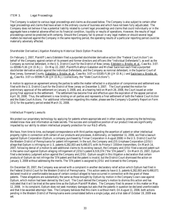#### ITEM 3. Legal Proceedings

The Company is subject to various legal proceedings and claims as discussed below. The Company is also subject to certain other legal proceedings and claims that have arisen in the ordinary course of business and which have not been fully adjudicated. The Company does not believe it has a potential liability related to current legal proceedings and claims that could individually or in the aggregate have a material adverse effect on its financial condition, liquidity or results of operations. However, the results of legal proceedings cannot be predicted with certainty. Should the Company fail to prevail in any legal matters or should several legal matters be resolved against the Company in the same reporting period, the operating results of a particular reporting period could be materially adversely affected.

#### *Shareholder Derivative Litigation Relating to Historical Stock Option Practices*

On February 1, 2007, Plaintiff Lewis Edelstein filed a purported stockholder derivative action (the "Federal Court Action") on behalf of the Company against certain of its present and former directors and officers (the "Individual Defendants"), as well as the Company as nominal defendant, in the U.S. District Court for the District of New Jersey, Edelstein v. Brodie, et. al., Case No. 3:07 cv-00596-FLW-JJH (D.N.J.). On May 22, 2007, Plaintiffs Kathryn Gabaldon and Michael Sackrison each filed a purported stockholder derivative action against the Individual Defendants, and the Company as nominal defendant, in the Superior Court of New Jersey, Somerset County, Gabaldon v. Brodie, et. al., Case No. 3:07-cv-03185-FLW-JJH (D.N.J.) and Sackrison v. Brodie, et. al., Case No. 3:07-cv-00596-FLW-JJH (D.N.J.) (collectively, the "State Court Actions").

A motion to approve an agreement among the parties to settle the matter reflected in a stipulation of compromise and settlement was filed with the U.S. District Court for the District of New Jersey on December 3, 2007. The Court granted the motion for preliminary approval of the settlement on January 3, 2008, and, at a hearing held on March 28, 2008, the Court issued an order giving final approval to the settlement. The settlement has become final and effective upon the expiration of the appeal period on April 30, 2008. Thus, the settlement is now binding on all parties and represents a final settlement of both the Federal Court Action and the State Court Actions. For additional information regarding this matter, please see the Company's Quarterly Report on Form 10-Q for the quarterly period ended March 31, 2008.

#### *Intellectual Property Lawsuits*

We protect our proprietary technology by applying for patents where appropriate and in other cases by preserving the technology, related know-how and information as trade secrets. The success and competitive position of our product lines are significantly impacted by our ability to obtain intellectual property protection for our R&D efforts.

We have, from time to time, exchanged correspondence with third parties regarding the assertion of patent or other intellectual property rights in connection with certain of our products and processes. Additionally, on September 11, 2006, we filed a lawsuit against Optium Corporation (Optium, a company purchased by Finisar Corporation in August 2008) in the U.S. District Court for the Western District of Pennsylvania for patent infringement. In the suit, the Company and JDS Uniphase Corporation (JDSU) allege that Optium is infringing on U.S. patents 6,282,003 and 6,490,071 with its Prisma II 1550nm transmitters. On March 14, 2007, following denial of a motion to add additional claims to its existing lawsuit, the Company and JDSU filed a second patent suit in the same court against Optium alleging infringement of JDSU's patent 6,519,374 ("the '374 patent"). On March 15, 2007, Optium filed a declaratory judgment action against the Company and JDSU. Optium sought in this litigation a declaration that certain products of Optium do not infringe the '374 patent and that the patent is invalid, but the District Court dismissed the action on January 3, 2008 without addressing the merits. The '374 patent is assigned to JDSU and licensed to the Company.

On December 20, 2007, the Company was served with a complaint in another declaratory relief action which Optium had filed in the Federal District Court for the Western District of Pennsylvania. This action seeks to have U.S. patents 6,282,003 and 6,490,071 declared invalid or unenforceable because of certain conduct alleged to have occurred in connection with the grant of these patents. These allegations are substantially the same as those brought by Optium by motion in the Company's own case against Optium, which motion had been denied by the Court. The Court denied the Company's motion to dismiss this action and has indicated that it will be tried at the same time as the Optium Plaintiff Matters. The Company filed its answer in this matter on May 12, 2008. In its complaint, Optium does not seek monetary damages but asks that the patents in question be declared unenforceable and that it be awarded attorneys' fees. The Company believes that this claim is without merit. On August 11, 2008, both actions pending in the Western District of Pennsylvania were consolidated before a single judge, and a trial date of October 19, 2009 was set.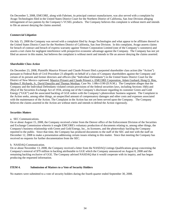On December 5, 2008, EMCORE, along with Fabrinet, its principal contract manufacturer, was also served with a complaint by Avago Technologies filed in the United States District Court for the Northern District of California, San Jose Division alleging infringement of two patents by the Company's VCSEL products. The Company believes this complaint is without merit and intends to file an answer denying the claims asserted.

#### *Commercial Litigation*

On July 15, 2008 the Company was served with a complaint filed by Avago Technologies and what appear to be affiliates thereof in the United States District Court for the Northern District of California, San Jose Division. In this complaint, Avago asserts claims for breach of contract and breach of express warranty against Venture Corporation Limited (one of the Company's customers) and asserts a tort claim for negligent interference with prospective economic advantage against the Company. The Company has not yet filed an answer in this matter, but believes the complaint is without merit and intends to file an answer denying the claims asserted.

#### *Shareholder Class Action*

On December 23, 2008, Plaintiffs Maurice Prissert and Claude Prissert filed a purported shareholder class action (the "Action") pursuant to Federal Rule of Civil Procedure 23 allegedly on behalf of a class of Company shareholders against the Company and certain of its present and former directors and officers (the "Individual Defendants") in the United States District Court for the District of New Mexico captioned, Maurice Prissert and Claude Prissert v. EMCORE Corporation, Adam Gushard, Hong Q. Hou, Reuben F. Richards, Jr., David Danzilio and Thomas Werthan, Case No. 1:08cv1190 (D.N.M.). The Complaint alleges that the Company and the Individual Defendants violated certain provisions of the federal securities laws, including Sections 10(b) and 20(a) of the Securities Exchange Act of 1934, arising out of the Company's disclosure regarding its customer Green and Gold Energy ("GGE") and the associated backlog of GGE orders with the Company's photovoltaic business segment. The Complaint in the Action seeks, among other things, an unspecified amount of compensatory damages and other costs and expenses associated with the maintenance of the Action. The Complaint in the Action has not yet been served upon the Company. The Company believes the claims asserted in the Action are without merit and intends to defend the Action vigorously.

#### *Securities Matters*

#### a. SEC Communications.

On or about August 15, 2008, the Company received a letter from the Denver office of the Enforcement Division of the Securities and Exchange Commission wherein it sought EMCORE's voluntary production of documents relating to, among other things, the Company's business relationship with Green and Gold Energy, Inc., its licensees, and the photovoltaic backlog the Company reported to the public. Since that time, the Company has produced documents to the staff of the SEC and met with the staff on December 12, 2008 to make a presentation addressing certain issues relating to this matter. Since that meeting the Company has received no requests for further documentation from the SEC.

#### b. NASDAQ Communication.

On or about November 13, 2008, the Company received a letter from the NASDAQ Listings Qualifications group concerning the Company's removal of \$79 million in backlog attributable to GGE which the Company announced on August 8, 2008 and the remaining backlog exclusive of GGE. The Company advised NASDAQ that it would cooperate with its inquiry, and has begun producing the requested information.

#### **ITEM 4. Submission of Matters to a Vote of Security Holders**

No matters were submitted to a vote of security holders during the fourth quarter ended September 30, 2008.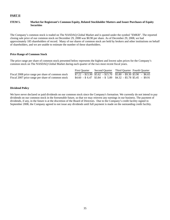#### **PART II**

#### **ITEM 5. Market for Registrant's Common Equity, Related Stockholder Matters and Issuer Purchases of Equity Securities**

The Company's common stock is traded on The NASDAQ Global Market and is quoted under the symbol "EMKR". The reported closing sale price of our common stock on December 29, 2008 was \$0.90 per share. As of December 29, 2008, we had approximately 185 shareholders of record. Many of our shares of common stock are held by brokers and other institutions on behalf of shareholders, and we are unable to estimate the number of these shareholders.

#### **Price Range of Common Stock**

The price range per share of common stock presented below represents the highest and lowest sales prices for the Company's common stock on The NASDAQ Global Market during each quarter of the two most recent fiscal years.

|                                                   | <b>First Ouarter</b> | Second Quarter Third Quarter Fourth Quarter                        |  |
|---------------------------------------------------|----------------------|--------------------------------------------------------------------|--|
| Fiscal 2008 price range per share of common stock |                      | $$7.22 - $15.90 \ $5.62 - $15.70 \ $5.80 - $9.30 \ $3.90 - $6.65$  |  |
| Fiscal 2007 price range per share of common stock |                      | $$4.60 - $6.47$ \$3.84 $- $5.89$ \$4.32 $- $5.78$ \$5.45 $- $9.91$ |  |

#### **Dividend Policy**

We have never declared or paid dividends on our common stock since the Company's formation. We currently do not intend to pay dividends on our common stock in the foreseeable future, so that we may reinvest any earnings in our business. The payment of dividends, if any, in the future is at the discretion of the Board of Directors. Due to the Company's credit facility signed in September 2008, the Company agreed to not issue any dividends until full payment is made on the outstanding credit facility.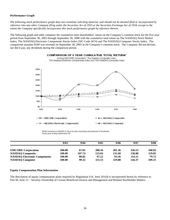#### **Performance Graph**

*The following stock performance graph does not constitute soliciting material, and should not be deemed filed or incorporated by reference into any other Company filing under the Securities Act of 1933 or the Securities Exchange Act of 1934, except to the extent the Company specifically incorporates this stock performance graph by reference therein.*

The following graph and table compares the cumulative total shareholders' return on the Company's common stock for the five-year period from September 30, 2003 through September 30, 2008 with the cumulative total return on The NASDAQ Stock Market Index, The NASDAQ Electronic Components Stocks Index (SIC Code 3674) and The NASDAQ Computer Stocks Index. The comparison assumes \$100 was invested on September 30, 2003 in the Company's common stock. The Company did not declare, nor did it pay, any dividends during the comparison period.



COMPARISON OF 5 YEAR CUMULATIVE TOTAL RETURN\* Among EMCORE Corporation, The Nasdaq Composite Index, The Nasdaq Electronic Components Index And The NASDAQ Computer Index

<sup>\*\$100</sup> invested on 9/30/03 in stock & index-including reinvestment of dividends. Fiscal year ending September 30.

|                                     | 9/03   | 9/04   | 9/05   | 9/06   | 9/07   | 9/08   |
|-------------------------------------|--------|--------|--------|--------|--------|--------|
| <b>EMCORE</b> Corporation           | 100.00 | 67.01  | 208.16 | 201.36 | 326.53 | 168.03 |
| <b>NASDAQ Composite</b>             | 100.00 | 107.74 | 123.03 | 131.60 | 158.88 | 119.05 |
| <b>NASDAQ Electronic Components</b> | 100.00 | 80.82  | 97.22  | 93.26  | 114.21 | 79.72  |
| <b>NASDAQ Computer</b>              | 100.00 | 99.32  | 113.13 | 119.80 | 144.37 | 109.15 |

#### **Equity Compensation Plan Information**

The description of equity compensation plans required by Regulation S-K, Item 201(d) is incorporated herein by reference to Part III, Item 12 – Security Ownership of Certain Beneficial Owners and Management and Related Stockholder Matters.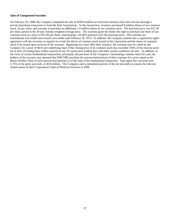#### **Sales of Unregistered Securities**

On February 20, 2008, the Company completed the sale of \$100.0 million of restricted common stock and warrants through a private placement transaction to fund the Intel Acquisitions. In this transaction, investors purchased 8 million shares of our common stock, no par value, and warrants to purchase an additional 1.4 million shares of our common stock. The purchase price was \$12.50 per share, priced at the 20-day volume-weighted average price. The warrants grant the holder the right to purchase one share of our common stock at a price of \$15.06 per share, representing a 20.48% premium over the purchase price. The warrants are immediately exercisable and remain exercisable until February 20, 2013. In addition, the Company entered into a registration rights agreement with the investors to register for resale the shares of common stock issued in this transaction and the shares of common stock to be issued upon exercise of the warrants. Beginning two years after their issuance, the warrants may be called by the Company for a price of \$0.01 per underlying share if the closing price of its common stock has exceeded 150% of the exercise price for at least 20 trading days within a period of any 30 consecutive trading days and other certain conditions are met. In addition, in the event of certain fundamental transactions, principally the purchase of the Company's outstanding common stock for cash, the holders of the warrants may demand that EMCORE purchase the unexercised portions of their warrants for a price equal to the Black-Scholes Value of such unexercised portions as of the time of the fundamental transaction. Total agent fees incurred were 5.75% of the gross proceeds, or \$5.8 million. The Company used a substantial portion of the net proceeds to acquire the telecomrelated assets of Intel Corporation's Optical Platform Division in 2008.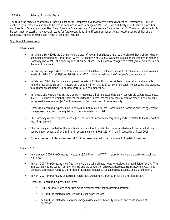# ITEM 6. Selected Financial Data

The following selected consolidated financial data of the Company's five most recent fiscal years ended September 30, 2008 is qualified by reference to, and should be read in conjunction with, Management's Discussion and Analysis of Financial Condition and Results of Operations under Item 7 and Financial Statements and Supplementary Data under Item 8. The information set forth below is not necessarily indicative of results for future operations. Significant transactions that affect the comparability of the Company's operating results and financial condition include:

## Significant Transactions:

## Fiscal 2008:

- In June and July 2008, the Company sold a total of two million shares of Series D Preferred Stock of WorldWater and Solar Technologies Corporation (WWAT), together with 200,000 warrants to a major shareholder of both the Company and WWAT at a price equal to \$6.54 per share. The Company recognized a total gain of \$7.4 million on the sale of this stock.
- In February and April 2008, the Company acquired the telecom, datacom, and optical cable interconnects-related assets of Intel's Optical Platform Division for \$120 million in cash and the Company's common stock.
- In February 2008, the Company completed the sale of \$100 million of restricted common stock and warrants to fund the Intel Acquisitions. Investors purchased 8 million shares of our common stock, no par value, and warrants to purchase an additional 1.4 million shares of our common stock.
- In January and February 2008, the Company redeemed all of its outstanding 5.5% convertible subordinated notes due 2011 pursuant to which the holders converted their notes into the Company's common stock. The Company recognized a loss totaling \$4.7 million related to the conversion of notes to equity.
- Fiscal 2008 operating expenses included \$4.8 million related to Intel Corporation's transition services agreement charges associated with the acquisition of certain assets from Intel.
- The Company recorded approximately \$22.0 million of impairment charges on goodwill related to the fiber optics reporting segment.
- The Company accounted for the modification of stock options still held to terminated employees as additional compensation expense of \$4.3 million in accordance with SFAS 123(R) in the first quarter of fiscal 2008.
- Other expenses included a charge of \$1.5 million associated with the impairment of certain investments.

## Fiscal 2007:

- In November 2006, the Company invested \$13.1 million in WWAT in return for convertible preferred stock and warrants.
- In April 2007, the Company modified its convertible subordinated notes to resolve an alleged default event. The interest rate was increased from 5% to 5.5% and the conversion price was decreased from \$8.06 to \$7.01. The Company also repurchased \$11.4 million of outstanding notes to reduce interest expense and share dilution.
- In April 2007, the Company acquired privately-held Opticomm Corporation for \$4.1 million in cash.
- Fiscal 2007 operating expenses included:
	- -\$10.6 million related to our review of historical stock option granting practices;
	- -\$6.1 million related to non-recurring legal expenses; and,
	- - \$2.8 million related to severance charges associated with facility closures and consolidation of operations.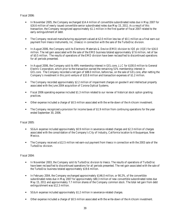# Fiscal 2006:

- In November 2005, the Company exchanged \$14.4 million of convertible subordinated notes due in May 2007 for \$16.6 million of newly issued convertible senior subordinated notes due May 15, 2011. As a result of this transaction, the Company recognized approximately \$1.1 million in the first quarter of fiscal 2007 related to the early extinguishment of debt.
- The Company received manufacturing equipment valued at \$2.0 million less tax of \$0.1 million as a final earn-out payment from Veeco Instruments, Inc. (Veeco) in connection with the sale of the TurboDisc division.
- In August 2006, the Company sold its Electronic Materials & Device (EMD) division to IQE plc (IQE) for \$16.0 million. The net gain associated with the sale of the EMD business totaled approximately \$7.6 million, net of tax of \$0.5 million. The results of operations of the EMD division have been reclassified to discontinued operations for all periods presented.
- In August 2006, the Company sold its 49% membership interest in GELcore, LLC for \$100.0 million to General Electric Corporation, which prior to the transaction owned the remaining 51% membership interest in GELcore. The Company recorded a net gain of \$88.0 million, before tax, on the sale of GELcore, after netting the Company's investment in this joint venture of \$10.8 million and transaction expenses of \$1.2 million.
- The Company recorded approximately \$2.2 million of impairment charges on goodwill and intellectual property associated with the June 2004 acquisition of Corona Optical Systems.
- Fiscal 2006 operating expense included \$1.3 million related to our review of historical stock option granting practices.
- Other expense included a charge of \$0.5 million associated with the write-down of the Archcom investment.
- The Company recognized a provision for income taxes of \$1.9 million from continuing operations for the year ended September 30, 2006.

## Fiscal 2005:

- SG&A expense included approximately \$0.9 million in severance-related charges and \$2.3 million of charges associated with the consolidation of the Company's City of Industry, California location to Albuquerque, New Mexico.
- The Company received a \$12.5 million net earn-out payment from Veeco in connection with the 2003 sale of the TurboDisc division.

## Fiscal 2004:

- In November 2003, the Company sold its TurboDisc division to Veeco. The results of operations of TurboDisc have been reclassified to discontinued operations for all periods presented. The net gain associated with the sale of the TurboDisc business totaled approximately \$19.6 million.
- In February 2004, the Company exchanged approximately \$146.0 million, or 90.2%, of the convertible subordinated notes due in May 2007 for approximately \$80.3 million of new convertible subordinated notes due May 15, 2011 and approximately 7.7 million shares of the Company common stock. The total net gain from debt extinguishment was \$12.3 million.
- SG&A expense included approximately \$1.2 million in severance-related charges.
- Other expense included a charge of \$0.5 million associated with the write-down of the Archcom investment.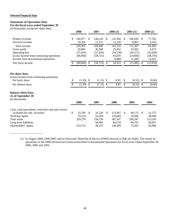### **Selected Financial Data**

# **Statements of Operations Data**

# **For the fiscal years ended September 30**

(in thousands, except per share data)

\_\_\_\_\_\_\_\_\_\_\_\_\_\_\_\_\_\_\_\_\_\_\_

|                                                                                                         |    | 2008              |    | 2007              |               | 2006(1)            |              | 2005(1)                    |    | 2004(1)          |  |  |
|---------------------------------------------------------------------------------------------------------|----|-------------------|----|-------------------|---------------|--------------------|--------------|----------------------------|----|------------------|--|--|
| Product revenue<br>Services revenue                                                                     | \$ | 228,977<br>10,326 | \$ | 148.334<br>21,272 | \$            | 132,304<br>11,229  | $\mathbb{S}$ | 106,656<br>8,801           | S  | 77,782<br>4,103  |  |  |
| Total revenue                                                                                           |    | 239,303           |    | 169,606           |               | 143,533            |              | 115,367                    |    | 81,885           |  |  |
| Gross profit                                                                                            |    | 29,895            |    | 30,368            |               | 25,952             |              | 19,302                     |    | 4,473            |  |  |
| <b>Operating loss</b>                                                                                   |    | (75,281)          |    | (57, 456)         |               | (34, 150)          |              | (20,371)                   |    | (35, 604)        |  |  |
| (Loss) income from continuing operations                                                                |    | (80, 860)         |    | (58, 722)         |               | 45,039             |              | (24, 685)                  |    | (28, 376)        |  |  |
| Income from discontinued operations                                                                     |    |                   |    |                   |               | 9,884              |              | 11,200                     |    | 14,422           |  |  |
| Net (loss) income                                                                                       | \$ | $(80, 860)$ \$    |    | $(58, 722)$ \$    |               | 54,923             | $\mathbb{S}$ | $(13,485)$ $\overline{\$}$ |    | (13, 954)        |  |  |
| Per share data:<br>(Loss) income from continuing operations:<br>Per basic share                         | \$ | $(1.20)$ \$       |    | $(1.15)$ \$       |               | 0.91               | \$           | $(0.52)$ \$                |    | (0.66)           |  |  |
| Per diluted share                                                                                       | \$ | $(1.20)$ \$       |    | (1.15)            | $\mathcal{S}$ | 0.87               | \$           | $\overline{(0.52)}$ \$     |    | (0.66)           |  |  |
| <b>Balance Sheet Data</b><br>As of September 30<br>(in thousands)                                       |    | 2008              |    | 2007              |               | 2006               |              | 2005                       |    | 2004             |  |  |
|                                                                                                         |    |                   |    |                   |               |                    |              |                            |    |                  |  |  |
| Cash, cash equivalents, restricted cash and current<br>available-for-sale securities<br>Working capital | \$ | 22,760<br>79,234  | \$ | 41,226<br>63,204  | $\mathbb{S}$  | 123,967<br>129,683 | \$           | 40,175<br>56,996           | \$ | 51,572<br>58,486 |  |  |
| Total assets                                                                                            |    | 329,278           |    | 234,736           |               | 287,547            |              | 206,287                    |    | 213,243          |  |  |
| Long-term liabilities                                                                                   |    |                   |    | 84,981            |               | 84,516             |              | 94,701                     |    | 96,051           |  |  |
| Shareholders' equity                                                                                    |    | 253,722           |    | 98,157            |               | 149,399            |              | 75,563                     |    | 85,809           |  |  |
|                                                                                                         |    |                   |    |                   |               |                    |              |                            |    |                  |  |  |

(1) In August 2006, EMCORE sold its Electronic Materials & Device (EMD) division to IQE plc (IQE). The results of operations of the EMD division have been reclassified to discontinued operations for fiscal years ended September 30, 2006, 2005 and 2004.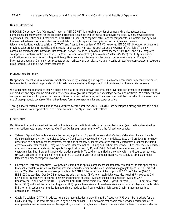## ITEM 7. Management's Discussion and Analysis of Financial Condition and Results of Operations

### Business Overview

EMCORE Corporation (the "Company", "we", or "EMCORE") is a leading provider of compound semiconductor-based components and subsystems for the broadband, fiber optic, satellite and terrestrial solar power markets. We have two reporting segments: Fiber Optics and Photovoltaics. EMCORE's Fiber Optics segment offers optical components, subsystems and systems that enable the transmission of video, voice and data over high-capacity fiber optic cables for high-speed data and telecommunications, cable television ("CATV") and fiber-to-the-premises ("FTTP") networks. EMCORE's Photovoltaics segment provides solar products for satellite and terrestrial applications. For satellite applications, EMCORE offers high-efficiency compound semiconductor-based gallium arsenide ("GaAs") solar cells, covered interconnect cells ("CICs") and fully integrated solar panels. For terrestrial applications, EMCORE offers Concentrating Photovoltaic Systems ("CPV") for utility scale solar applications as well as offering its high-efficiency GaAs solar cells for use in solar power concentrator systems. For specific information about our Company, our products or the markets we serve, please visit our website at http://www.emcore.com. We were established in 1984 as a New Jersey corporation.

### Management Summary

Our principal objective is to maximize shareholder value by leveraging our expertise in advanced compound semiconductor-based technologies to be a leading provider of high-performance, cost-effective product solutions in each of the markets we serve.

We target market opportunities that we believe have large potential growth and where the favorable performance characteristics of our products and high volume production efficiencies may give us a competitive advantage over our competitors. We believe that as compound semiconductor production costs continue to be reduced, existing and new customers will be compelled to increase their use of these products because of their attractive performance characteristics and superior value.

Through several strategic acquisitions and divestures over the past few years, EMCORE has developed a strong business focus and comprehensive product portfolios in two main sectors: Fiber Optics and Photovoltaics.

## Fiber Optics

Our fiber optics products enable information that is encoded on light signals to be transmitted, routed (switched) and received in communication systems and networks. Our Fiber Optics segment primarily offers the following products:

- Telecom Optical Products We are the leading supplier of 10 gigabit per second (Gb/s) fully C-band and L-band tunable dense wavelength division multiplexed (DWDM) and coarse wavelength division multiplexed (CWDM) products for the next generation tele-communications systems. We are one of the few suppliers who offer vertically-integrated products, including external-cavity laser modules, integrated tunable laser assemblies (ITLAs) and 300-pin transponders. The laser module operates at a continuous wave mode, and is capable for applications of 10, 40, and 100 Gb/s due to the superior narrow linewidth characteristics. The ITLA and transponder products are fully Telcordia® qualified and comply with multi-source agreements (MSAs). We also offer a range of XFP platform OC-192 products for telecom applications. We supply to almost all major telecom equipment companies worldwide.
- Enterprise Datacom Products We provide leading-edge optical components and transceiver modules for data applications that enable switch-to-switch, router-to-router and server-to-server backbone connections at aggregate speeds of 10 Gb/s and above. We offer the broadest range of products with XENPAK form factor which comply with 10 Gb/s Ethernet (10-GE) IEEE802.3ae standard. Our 10-GE products include short-reach (SR), long-reach (LR), extended-reach (ER), coarse WDM LX4 optical transceivers to connect between the photonic physical layer and the electrical section layer and CX4 transceivers. In addition to the 10-GE products, EMCORE offers traditional MSA Gigabit Ethernet (GE) 1310-nm small form factor (SFF) and small form factor pluggable (SFP) optical transceivers. These transceivers also provide integrated duplex data links for bi-directional communication over single mode optical fiber providing high-speed Gigabit Ethernet data links operating at 1.25Gbps.
- Cable Television (CATV) Products We are a market leader in providing radio frequency (RF) over fiber products for the CATV industry. Our products are used in hybrid fiber coaxial (HFC) networks that enable cable service operators to offer multiple advanced services to meet the expanding demand for high-speed Internet, on-demand and interactive video and other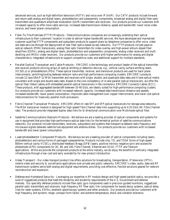advanced services, such as high-definition television (HDTV) and voice over IP (VoIP). Our CATV products include forward and return-path analog and digital lasers, photodetectors and subassembly components, broadcast analog and digital fiber-optic transmitters and quadrature amplitude modulation (QAM) transmitters and receivers. Our products provide our customers with increased capacity to offer more cable services; increased data transmission distance, speed and bandwidth; lower noise video receive; and lower power consumption.

- Fiber-To-The-Premises (FTTP) Products Telecommunications companies are increasingly extending their optical infrastructure to their customers' location in order to deliver higher bandwidth services. We have developed and maintained customer qualified FTTP components and subsystem products to support plans by telephone companies to offer voice, video and data services through the deployment of new fiber optics-based access networks. Our FTTP products include passive optical network (PON) transceivers, analog fiber optic transmitters for video overlay and high-power erbium-doped fiber amplifiers (EDFA), analog and digital lasers, photodetectors and subassembly components, analog video receivers and multidwelling unit (MDU) video receivers. Our products provide our customers with higher performance for analog and digital characteristics; integrated infrastructure to support competitive costs; and additional support for multiple standards.
- Parallel Optical Transceiver and Cable Products EMCORE is the technology and product leader of the optical transmitter and receiver products utilizing arrays of optical emitting or detection devices, e.g., vertical-cavity surface-emitting lasers (VCSELs) or photodetectors (PDs). These optical transmitter, receiver, and transceiver products are used for back-plane interconnects, switching/routing between telecom racks and high-performance computing clusters. EMCORE's products include 12-lane SNAP-12 MSA transmitter and receivers with single, double, and quadruple data rates and 4-lane optical media converters with single and double data rates. Based on the core competency of 4-lane parallel optical transceivers, we offer the optical fiber ribbon cables with embedded parallel-optical transceivers in the connectors, EMCORE Connects Cables (ECC). These products, with aggregated bandwidth between 10-40 Gb/s, are ideally suited for high-performance computing clusters. Our products provide our customers with increased network capacity; increased data transmission distance and speeds; increased bandwidth; lower power consumption; improved cable management over copper interconnects; and lower cost optical interconnections for massively parallel multi-processors.
- Fibre Channel Transceiver Products EMCORE offers tri-rate SFF and SFP optical transceivers for storage area networks. The MSA transceiver module is designed for high-speed Fibre Channel data links supporting up to 4.25 Gb/s (4X Fibre Channel rate). The products provide integrated duplex data links for bi-directional communication over Multimode optical fiber.
- Satellite Communications (Satcom) Products We believe we are a leading provider of optical components and systems for use in equipment that provides high-performance optical data links for the terrestrial portion of satellite communications networks. Our products include transmitters, receivers, subsystems and systems that transport wideband radio frequency and microwave signals between satellite hub equipment and antenna dishes. Our products provide our customers with increased bandwidth and lower power consumption.
- Laser/photodetector Component Products We believe we are a leading provider of optical components including lasers, photodetectors and various forms of packaged subassemblies. Products include chip, TO, and TOSA forms of high-speed 850nm vertical cavity VCSELs, distributed feedback Bragg (DFB) lasers, positive-intrinsic-negative (pin) and avalanche photodiode (APD) components for 2G, 8G and 10G Fibre Channel, Ethernet and 10 GE, FTTP, and Telecom applications. While we provide the component products to the entire industry, we do enjoy the benefits of vertically-integrated infrastructure through a low-cost and early availability for new product introduction.
- Video Transport Our video transport product line offers solutions for broadcasting, transportation, IP television (IPTV), mobile video and security & surveillance applications over private and public networks. EMCORE's video, audio, data and RF transmission systems serve both analog and digital requirements, providing cost-effective, flexible solutions geared for network reconstruction and expansion.
- Defense and Homeland Security Leveraging our expertise in RF module design and high-speed parallel optics, we provide a suite of ruggedized products that meet the reliability and durability requirements of the U.S. Government and defense markets. Our specialty defense products include fiber optic gyro components used in precision guided munitions, ruggedized parallel optic transmitters and receivers, high-frequency RF fiber optic link components for towed decoy systems, optical delay lines for radar systems, EDFAs, terahertz spectroscopy systems and other products. Our products provide our customers with high frequency and dynamic range; compact form-factor; and extreme temperature, shock and vibration tolerance.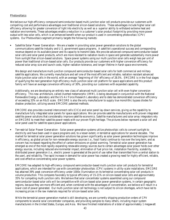# **Photovoltaics**

We believe our high-efficiency compound semiconductor-based multi-junction solar cell products provide our customers with compelling cost and performance advantages over traditional silicon-based solutions. These advantages include higher solar cell efficiency allowing for greater conversion of light into electricity as well as a superior ability to withstand extreme heat and radiation environments. These advantages enable a reduction in a customer's solar product footprint by providing more power output with less solar cells, which is an enhanced benefit when our product is used in concentrating photovoltaic (CPV) systems. Our Photovoltaics segment primarily targets the following markets:

Satellite Solar Power Generation - We are a leader in providing solar power generation solutions to the global communications satellite industry and U.S. government space programs. A satellite's operational success and corresponding revenue depend on its available power and its capacity to transmit data. We provide advanced compound semiconductor-based solar cells and solar panel products, which are more resistant to radiation levels in space and generate substantially more power from sunlight than silicon-based solutions. Space power systems using our multi-junction solar cells weigh less per unit of power than traditional silicon-based solar cells. Our products provide our customers with higher conversion efficiency for reduced solar array size and launch costs, higher radiation tolerance, and longer lifetime in harsh space environments.

We design and manufacture multi-junction compound semiconductor-based solar cells for both commercial and military satellite applications. We currently manufacture and sell one of the most efficient and reliable, radiation resistant advanced triple-junction solar cells in the world, with an average "beginning of life" efficiency of 28.5%. EMCORE is in the final stages of qualifying the next generation high efficiency multi-junction solar cell platform for space applications and this product family will have an average conversion efficiency of 30%, providing our customers with expanded capability.

Additionally, we are developing an entirely new class of advanced multi-junction solar cell with even higher conversion efficiency. This new architecture, called inverted metamorphic (IMM), is being developed in conjunction with the National Renewable Energy Laboratory and the US Air Force Research Laboratory and to date has demonstrated conversion efficiency of exceeding 33% on an R&D scale. EMCORE is also the only manufacturer to supply true monolithic bypass diodes for shadow protection, utilizing several EMCORE patented methods.

EMCORE also provides covered interconnect cells (CICs) and solar panel lay-down services, giving us the capability to manufacture fully integrated solar panels for space applications. We can provide satellite manufacturers with proven integrated satellite power solutions that considerably improve satellite economics. Satellite manufacturers and solar array integrators rely on EMCORE to meet their satellite power needs with our proven flight heritage. The pictures below represent a solar cell and solar panel used for satellite space power applications.

 Terrestrial Solar Power Generation - Solar power generation systems utilize photovoltaic cells to convert sunlight to electricity and have been used in space programs and, to a lesser extent, in terrestrial applications for several decades. The market for terrestrial solar power generation solutions has grown significantly as solar power generation technologies improve in efficiency, as global prices for non-renewable energy sources (*i.e.*, fossil fuels) continue to rise over the long term, and as concern has increased regarding the effect of carbon emissions on global warming. Terrestrial solar power generation has emerged as one of the most rapidly expanding renewable energy sources due to certain advantages solar power holds over other energy sources, including reduced environmental impact, elimination of fuel price risk, installation flexibility, scalability, distributed power generation (*i.e.*, electric power is generated at the point of use rather than transmitted from a central station to the user), and reliability. The rapid increase in demand for solar power has created a growing need for highly efficient, reliable, and cost-effective concentrating solar power systems.

EMCORE has adapted its high-efficiency compound semiconductor-based multi-junction solar cell products for terrestrial applications, which are intended for use with concentrator photovoltaic (CPV) systems in utility-scale installations. EMCORE has attained 39% peak conversion efficiency under 1000x illumination on its terrestrial concentrating solar cell products in volume production. This compares favorably to typical efficiency of 15-21% on silicon-based solar cells and approximately 35% for competing multi-junction cells. We believe that solar concentrator systems assembled using our compound semiconductor-based solar cells will be competitive with silicon-based solar power generation systems, in certain geographic regions, because they are more efficient and, when combined with the advantages of concentration, we believe will result in a lower cost of power generated. Our multi-junction solar cell technology is not subject to silicon shortages, which have led to increasing prices in the raw materials required for silicon-based solar cells.

While the terrestrial power generation market is still developing, we are currently shipping production orders of CPV components to several solar concentrator companies, and providing samples to many others, including major system manufacturers in the United States, Europe, and Asia. We have finished installations of a total of approximately 1 megawatt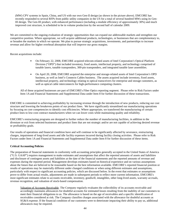(MW) CPV systems in Spain, China, and US with our own Gen-II design (as shown in the picture above). EMCORE has recently responded to several RFPs from public utility companies in the US for a total of several hundred MWs using its Gen-III design. The Gen-III product, with enhanced performance (including a module efficiency of approximately 30%) and much improved cost structure, is scheduled to be in volume production by the second half of calendar 2009.

We are committed to the ongoing evaluation of strategic opportunities that can expand our addressable markets and strengthen our competitive position. Where appropriate, we will acquire additional products, technologies, or businesses that are complementary to, or broaden the markets in which we operate. We plan to pursue strategic acquisitions, investments, and partnerships to increase revenue and allow for higher overhead absorption that will improve our gross margins.

Recent acquisitions include:

- On February 22, 2008, EMCORE acquired telecom-related assets of Intel Corporation's Optical Platform Division ("OPD") that included inventory, fixed assets, intellectual property, and technology comprised of tunable lasers, tunable transponders, 300-pin transponders, and integrated tunable laser assemblies.
- On April 20, 2008, EMCORE acquired the enterprise and storage-related assets of Intel Corporation's OPD business, as well as Intel's Connects Cables business. The assets acquired include inventory, fixed assets, intellectual property, and technology relating to optical transceivers for enterprise and storage customers, as well as optical cable interconnects for high-performance computing clusters.

All of these acquired businesses are part of EMCORE's Fiber Optics reporting segment. Please refer to Risk Factors under Item 1A and Financial Statements and Supplemental Data under Item 8 for further discussion of these transactions.

EMCORE is committed to achieving profitability by increasing revenue through the introduction of new products, reducing our cost structure and lowering the breakeven points of our product lines. We have significantly streamlined our manufacturing operations by focusing on core competencies to identify cost efficiencies. Where appropriate, we transferred the manufacturing of certain product lines to low-cost contract manufacturers when we can lower costs while maintaining quality and reliability.

EMCORE's restructuring programs are designed to further reduce the number of manufacturing facilities, in addition to the divesture or exit from selected businesses and product lines that are not strategic and/or are not capable of achieving desired revenue or profitability goals.

Our results of operations and financial condition have and will continue to be significantly affected by severance, restructuring charges, impairment of long-lived assets and idle facility expenses incurred during facility closing activities. Please refer to Risk Factors under Item 1A and Financial Statements and Supplemental Data under Item 8 for further discussion of these items.

#### **Critical Accounting Policies**

The preparation of financial statements in conformity with accounting principles generally accepted in the United States of America ("U.S. GAAP") requires management to make estimates and assumptions that affect the reported amounts of assets and liabilities and disclosure of contingent assets and liabilities at the date of the financial statements and the reported amounts of revenue and expenses during the reported period. Management develops estimates based on historical experience and on various assumptions about the future that are believed to be reasonable based on the best information available. EMCORE's reported financial position or results of operations may be materially different under changed conditions or when using different estimates and assumptions, particularly with respect to significant accounting policies, which are discussed below. In the event that estimates or assumptions prove to differ from actual results, adjustments are made in subsequent periods to reflect more current information. EMCORE's most significant estimates relate to accounts receivable, inventory, goodwill, intangibles, other long-lived assets, warranty accruals, revenue recognition, and valuation of stock-based compensation.

Valuation of Accounts Receivable. The Company regularly evaluates the collectibility of its accounts receivable and accordingly maintains allowances for doubtful accounts for estimated losses resulting from the inability of our customers to meet their financial obligations to us. The allowance is based on the age of receivables and a specific identification of receivables considered at risk. The Company classifies charges associated with the allowance for doubtful accounts as SG&A expense. If the financial condition of our customers were to deteriorate impacting their ability to pay us, additional allowances may be required.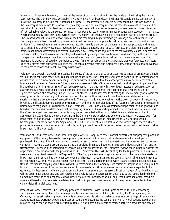Valuation of Inventory. Inventory is stated at the lower of cost or market, with cost being determined using the standard cost method. The Company reserves against inventory once it has been determined that: (i) conditions exist that may not allow the inventory to be sold for its intended purpose, (ii) the inventory's value is determined to be less than cost, or (iii) the inventory is determined to be obsolete. The charge related to inventory reserves is recorded as a cost of revenue. The majority of the inventory write-downs are related to estimated allowances for inventory whose carrying value is in excess of net realizable value and on excess raw material components resulting from finished product obsolescence. In most cases where the Company sells previously written down inventory, it is typically sold as a component part of a finished product. The finished product is sold at market price at the time resulting in higher average gross margin on such revenue. The Company does not track the selling price of individual raw material components that have been previously written down or written off, since such raw material components usually are only a portion of the resultant finished products and related sales price. The Company evaluates inventory levels at least quarterly against sales forecasts on a significant part-by-part basis, in addition to determining its overall inventory risk. Reserves are adjusted to reflect inventory values in excess of forecasted sales, as well as overall inventory risk assessed by management. We have incurred, and may in the future incur, charges to write-down our inventory. While we believe, based on current information, that the amount recorded for inventory is properly reflected on our balance sheet, if market conditions are less favorable than our forecasts, our future sales mix differs from our forecasted sales mix, or actual demand from our customers is lower than our estimates, we may be required to record additional inventory write-downs.

Valuation of Goodwill. Goodwill represents the excess of the purchase price of an acquired business or assets over the fair value of the identifiable assets acquired and liabilities assumed. The Company evaluates its goodwill for impairment on an annual basis, or whenever events or changes in circumstances indicate that the carrying value may not be recoverable. Management has elected December 31 as its annual assessment date. Circumstances that could trigger an impairment test include but are not limited to: a significant adverse change in the business climate or legal factors; an adverse action or assessment by a regulator; unanticipated competition; loss of key personnel; the likelihood that a reporting unit or significant portion of a reporting unit will be sold or otherwise disposed; results of testing for recoverability of a significant asset group within a reporting unit; and recognition of a goodwill impairment loss in the financial statements of a subsidiary that is a component of a reporting unit. The determination as to whether a write-down of goodwill is necessary involves significant judgment based on the short-term and long-term projections of the future performance of the reporting unit to which the goodwill is attributed. As of December 31, 2007 and 2006, we tested for impairment of our goodwill and based on that analysis, we determined that the carrying amount of the reporting units did not exceed their fair value, and therefore, no impairment was recognized for any period presented in the consolidated financial statements. As of September 30, 2008, due to the recent decline in the Company's stock price and economic downturn, we tested again for impairment of our goodwill. Based on that analysis, we determined that an impairment of \$22.0 million should be recognized for the period ended September 30, 2008. Subsequent to our fiscal year-end, we've experienced further price decline in our common stock. Accordingly, an impairment test will be performed on our annual schedule and further impairment is likely to result.

Valuation of Long-lived Assets and Other Intangible Assets. Long-lived assets consist primarily of our property, plant, and equipment. Other intangible assets consist primarily of intellectual property that has been internally developed or purchased. Purchased intangible assets include existing and core technology, trademarks and trade names, and customer contracts. Intangible assets are amortized using the straight-line method over estimated useful lives ranging from one to fifteen years. Because all of intangible assets are subject to amortization, the Company reviews these intangible assets for impairment in accordance with the provisions of FASB Statement No. 144, *Accounting for the Impairment of Long-Lived Assets and Long-Lived Assets to be Disposed Of.* The Company reviews long-lived assets and other intangible assets for impairment on an annual basis or whenever events or changes in circumstances indicate that its carrying amount may not be recoverable. A long-lived asset or other intangible asset is considered impaired when its anticipated undiscounted cash flow is less than its carrying value. In making this determination, the Company uses certain assumptions, including, but not limited to: (a) estimates of the fair market value of these assets; and (b) estimates of future cash flows expected to be generated by these assets, which are based on additional assumptions such as asset utilization, length of service that assets will be used in our operations, and estimated salvage values. As of September 30, 2008, due to the recent decline in the Company's stock price and economic downturn, we tested for impairment of our long-lived assets and other intangible assets and based on that analysis, we determined that no impairment was recognized for any period presented in the consolidated financial statements.

Product Warranty Reserves. The Company provides its customers with limited rights of return for non-conforming shipments and warranty claims for certain products. In accordance with SFAS 5, *Accounting for Contingencies,* the Company makes estimates of product warranty expense using historical experience rates as a percentage of revenue and accrues estimated warranty expense as a cost of revenue. We estimate the costs of our warranty obligations based on our historical experience of known product failure rates, use of materials to repair or replace defective products and service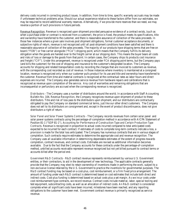delivery costs incurred in correcting product issues. In addition, from time to time, specific warranty accruals may be made if unforeseen technical problems arise. Should our actual experience relative to these factors differ from our estimates, we may be required to record additional warranty reserves. Alternatively, if we provide more reserves than we need, we may reverse a portion of such provisions in future periods.

Revenue Recognition. Revenue is recognized upon shipment provided persuasive evidence of a contract exists, (such as when a purchase order or contract is received from a customer), the price is fixed, the product meets its specifications, title and ownership have transferred to the customer, and there is reasonable assurance of collection of the sales proceeds. In those few instances where a given sale involves post shipment obligations, formal customer acceptance documents, or subjective rights of return, revenue is not recognized until all post-shipment conditions have been satisfied and there is reasonable assurance of collection of the sales proceeds. The majority of our products have shipping terms that are free on board ("FOB") or free carrier alongside ("FCA") shipping point, which means that the Company fulfills its delivery obligation when the goods are handed over to the freight carrier at our shipping dock. This means the buyer bears all costs and risks of loss or damage to the goods from that point. In certain cases, the Company ships its products cost insurance and freight ("CIF"). Under this arrangement, revenue is recognized under FCA shipping point terms, but the Company pays (and bills the customer) for the cost of shipping and insurance to the customer's designated location. The Company accounts for shipping and related transportation costs by recording the charges that are invoiced to customers as revenue, with the corresponding cost recorded as cost of revenue. In those instances where inventory is maintained at a consigned location, revenue is recognized only when our customer pulls product for its use and title and ownership have transferred to the customer. Revenue from time and material contracts is recognized at the contractual rates as labor hours and direct expenses are incurred. The Company also generates service revenue from hardware repairs and calibrations that is recognized as revenue upon completion of the service. Any cost of warranties and remaining obligations that are inconsequential or perfunctory are accrued when the corresponding revenue is recognized.

*Distributors* - The Company uses a number of distributors around the world. In accordance with Staff Accounting Bulletin No. 104, *Revenue Recognition*, the Company recognizes revenue upon shipment of product to these distributors. Title and risk of loss pass to the distributors upon shipment, and our distributors are contractually obligated to pay the Company on standard commercial terms, just like our other direct customers. The Company does not sell to its distributors on consignment and, except in the event of product discontinuance, does not give distributors a right of return.

*Solar Panel and Solar Power Systems Contracts* - The Company records revenues from certain solar panel and solar power systems contracts using the percentage-of-completion method in accordance with AICPA Statement of Position 81-1 ("SOP 81-1"), *Accounting for Performance of Construction-Type and Certain Production-Type Contracts*. Revenue is recognized in proportion to actual costs incurred compared to total anticipated costs expected to be incurred for each contract. If estimates of costs to complete long-term contracts indicate a loss, a provision is made for the total loss anticipated. The Company has numerous contracts that are in various stages of completion. Such contracts require estimates to determine the appropriate cost and revenue recognition. The Company uses all available information in determining dependable estimates of the extent of progress towards completion, contract revenues, and contract costs. Estimates are revised as additional information becomes available. Due to the fact that the Company accounts for these contracts under the percentage-of-completion method, unbilled accounts receivable represent revenue recognized but not yet billed pursuant to contract terms or accounts billed after the period end.

*Government R&D Contracts* - R&D contract revenue represents reimbursement by various U.S. Government entities, or their contractors, to aid in the development of new technology. The applicable contracts generally provide that the Company may elect to retain ownership of inventions made in performing the work, subject to a non-exclusive license retained by the U.S. Government to practice the inventions for governmental purposes. The R&D contract funding may be based on a cost-plus, cost reimbursement, or a firm fixed price arrangement. The amount of funding under each R&D contract is determined based on cost estimates that include both direct and indirect costs. Cost-plus funding is determined based on actual costs plus a set margin. As we incur costs under cost reimbursement type contracts, we record revenue. Contract costs include material, labor, special tooling and test equipment, subcontracting costs, as well as an allocation of indirect costs. An R&D contract is considered complete when all significant costs have been incurred, milestones have been reached, and any reporting obligations to the customer have been met. Government contract revenue is primarily recognized as service revenue.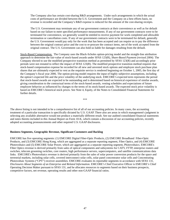The Company also has certain cost-sharing R&D arrangements. Under such arrangements in which the actual costs of performance are divided between the U.S. Government and the Company on a best efforts basis, no revenue is recorded and the Company's R&D expense is reduced for the amount of the cost-sharing receipts.

The U.S. Government may terminate any of our government contracts at their convenience as well as for default based on our failure to meet specified performance measurements. If any of our government contracts were to be terminated for convenience, we generally would be entitled to receive payment for work completed and allowable termination or cancellation costs. If any of our government contracts were to be terminated for default, generally the U.S. Government would pay only for the work that has been accepted and can require us to pay the difference between the original contract price and the cost to re-procure the contract items, net of the work accepted from the original contract. The U.S. Government can also hold us liable for damages resulting from the default.

Stock-Based Compensation. The Company uses the Black-Scholes option-pricing model and the straight-line attribution approach to determine the fair-value of stock-based awards under SFAS 123(R), *Share-Based Payment (revised 2004).* The Company elected to use the modified prospective transition method as permitted by SFAS 123(R) and accordingly prior periods were not restated to reflect the impact of SFAS 123(R). The modified prospective transition method requires that stock-based compensation expense be recorded for all new and unvested stock options and employee stock purchase plan shares that are ultimately expected to vest as the requisite service is rendered beginning on October 1, 2005, the first day of the Company's fiscal year 2006. The option-pricing model requires the input of highly subjective assumptions, including the option's expected life and the price volatility of the underlying stock. EMCORE's expected term represents the period that stock-based awards are expected to be outstanding and is determined based on historical experience of similar awards, giving consideration to the contractual terms of the stock-based awards, vesting schedules and expectations of future employee behavior as influenced by changes to the terms of its stock-based awards. The expected stock price volatility is based on EMCORE's historical stock prices. See Note 4, Equity, of the Notes to Consolidated Financial Statements for further details.

\*\*\*

The above listing is not intended to be a comprehensive list of all of our accounting policies. In many cases, the accounting treatment of a particular transaction is specifically dictated by U.S. GAAP. There also are areas in which management's judgment in selecting any available alternative would not produce a materially different result. See our audited consolidated financial statements and notes thereto included in this Annual Report on Form 10-K, which contain a discussion of our accounting policies, recently adopted accounting pronouncements and other required U.S. GAAP disclosures.

#### **Business Segments, Geographic Revenue, Significant Customers and Backlog**

EMCORE has five operating segments: (1) EMCORE Digital Fiber-Optic Products, (2) EMCORE Broadband Fiber-Optic Products, and (3) EMCORE Hong Kong, which are aggregated as a separate reporting segment, Fiber Optics, and (4) EMCORE Photovoltaics and (5) EMCORE Solar Power, which are aggregated as a separate reporting segment, Photovoltaics. EMCORE's Fiber Optics revenue is derived primarily from sales of optical components and subsystems for CATV, FTTP, enterprise routers and switches, telecom grooming switches, core routers, high performance servers, supercomputers, and satellite communications data links. EMCORE's Photovoltaics revenue is derived primarily from the sales of solar power conversion products for the space and terrestrial markets, including solar cells, covered interconnect solar cells, solar panel concentrator solar cells and Concentrating Photovoltaic Systems ("CPV") receiver assemblies. EMCORE evaluates its reportable segments in accordance with SFAS 131, *Disclosures About Segments of an Enterprise and Related Information.* EMCORE's Chief Executive Officer is EMCORE's Chief Operating Decision Maker pursuant to SFAS 131, and he allocates resources to segments based on their business prospects, competitive factors, net revenue, operating results and other non-GAAP financial ratios.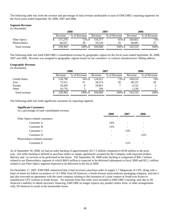The following table sets forth the revenue and percentage of total revenue attributable to each of EMCORE's reporting segments for the fiscal years ended September 30, 2008, 2007 and 2006.

#### **Segment Revenue**

*(in thousands)*

|                     |         | 2008         |         | 2007         | 2006    |              |  |  |
|---------------------|---------|--------------|---------|--------------|---------|--------------|--|--|
|                     | Revenue | % of Revenue | Revenue | % of Revenue | Revenue | % of Revenue |  |  |
| <b>Fiber Optics</b> | 171.276 | 72% \$       | 10.377  | 65% \$       | 104.852 | 73%          |  |  |
| Photovoltaics       | 68.027  | 28           | 59.229  | 35           | 38.681  | 27           |  |  |
| Total revenue       | 239,303 | 100% \$      | 169.606 | $100\%$ \$   | 143.533 | 100%         |  |  |

The following table sets forth EMCORE's consolidated revenue by geographic region for the fiscal years ended September 30, 2008, 2007 and 2006. Revenue was assigned to geographic regions based on our customers' or contract manufacturers' billing address.

#### **Geographic Revenue**

| (in thousands)       |         |              |         |                          |         |              |  |  |
|----------------------|---------|--------------|---------|--------------------------|---------|--------------|--|--|
|                      |         | 2008         |         | 2007                     | 2006    |              |  |  |
|                      | Revenue | % of Revenue | Revenue | % of Revenue             | Revenue | % of Revenue |  |  |
| <b>United States</b> | 134.796 | 56% \$       | 124.012 | 73% \$                   | 109.614 | 76%          |  |  |
| Asia                 | 73,311  | 31           | 34,574  | 20                       | 28,537  | 20           |  |  |
| Europe               | 20,420  | 8            | 10.821  |                          | 4.152   |              |  |  |
| Other                | 10.776  |              | 199     | $\overline{\phantom{0}}$ | 1.230   |              |  |  |
| Total revenue        | 239,303 | 100% \$      | 169.606 | 100% \$                  | 143,533 | 100%         |  |  |

The following table sets forth significant customers by reporting segment.

#### **Significant Customers**

As a percentage of total consolidated revenue

|                                 | 2008 | 2007                     | 2006 |
|---------------------------------|------|--------------------------|------|
| Fiber Optics-related customers: |      |                          |      |
| Customer A                      | 14%  |                          |      |
| Customer B                      | 12%  | -                        |      |
| Customer C                      |      | 13%                      |      |
| Customer D                      |      | $\overline{\phantom{0}}$ | 12%  |
| Photovoltaics-related customer: |      |                          |      |
| Customer E                      |      | 11%                      |      |

As of September 30, 2008, we had an order backlog of approximately \$117.2 million compared to \$149 million in the prior year. Our order backlog is defined as purchase orders or supply agreements accepted by the Company with expected product delivery and / or services to be performed in the future. The September 30, 2008 order backlog is comprised of \$96.1 million related to our Photovoltaics segment of which \$60.9 million is expected to be delivered subsequent to fiscal 2009 and \$21.1 million related to our Fiber Optics segment expected to be delivered in the fiscal 2009.

On December 17, 2007, EMCORE announced that it had received a purchase order to supply 5.7 Megawatts of CPV, along with a letter of intent for follow-on projects of 14.3 MW, from DI Semicon, a South Korean semiconductor packaging company, and that it had also executed an agreement with the same company relating to the formation of a joint venture in South ever Korea to manufacture CPV systems in South Korea. No amounts from this order were included in EMCORE's backlog, and, due to DI Semicon's inability to obtain necessary financing, EMCORE no longer expects any product orders from, or other arrangements with, DI Semicon to result in the foreseeable future.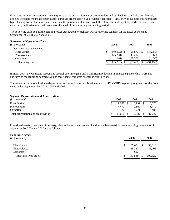From time to time, our customers may request that we delay shipment of certain orders and our backlog could also be adversely affected if customers unexpectedly cancel purchase orders that we've previously accepted. A majority of our fiber optics products typically ship within the same quarter as when the purchase order is received; therefore, our backlog at any particular date is not necessarily indicative of actual revenue or the level of orders for any succeeding period.

The following table sets forth operating losses attributable to each EMCORE reporting segment for the fiscal years ended September 30, 2008, 2007 and 2006.

# **Statement of Operations Data** (in thousands) **2008 2007 2006** Operating loss by segment: Fiber Optics **6 (49,903)** \$ (25,877) \$ (18,950) Photovoltaics (25,238) (11,202) (8,365) Corporate (140) (20,377) (6,835) Operating loss \$ (75,281) \$ (57,456) \$ (34,150)

In fiscal 2008, the Company recognized several one-time gains and a significant reduction in interest expense which were not allocated to the reporting segments due to these being corporate charges in prior periods.

The following table sets forth the depreciation and amortization attributable to each of EMCORE's reporting segments for the fiscal years ended September 30, 2008, 2007 and 2006.

| <b>Segment Depreciation and Amortization</b> |        |        |        |
|----------------------------------------------|--------|--------|--------|
| (in thousands)                               | 2008   | 2007   | 2006   |
| <b>Fiber Optics</b>                          | 9.067  | 6.991  | 8.378  |
| Photovoltaics                                | 4.472  | 2.860  | 3,470  |
| Corporate                                    | 77     | 271    | 484    |
| Total depreciation and amortization          | 13.616 | 10.122 | 12.332 |

Long-lived assets (consisting of property, plant and equipment, goodwill and intangible assets) for each reporting segment as of September 30, 2008 and 2007 are as follows:

| <b>Long-lived Assets</b><br>(in thousands) |    | 2008                     | 2007 |                  |  |
|--------------------------------------------|----|--------------------------|------|------------------|--|
| Fiber Optics<br>Photovoltaics<br>Corporate | \$ | 107,684<br>55,232<br>622 |      | 56,816<br>46,706 |  |
| Total long-lived assets                    |    | 163,538                  |      | 103,522          |  |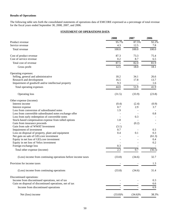### **Results of Operations**

The following table sets forth the consolidated statements of operations data of EMCORE expressed as a percentage of total revenue for the fiscal years ended September 30, 2008, 2007, and 2006.

### **STATEMENT OF OPERATIONS DATA**

|                                                              | 2008       | 2007       | 2006   |
|--------------------------------------------------------------|------------|------------|--------|
| Product revenue                                              | 95.7%      | 87.5%      | 92.2%  |
| Service revenue                                              | 4.3        | 12.5       | 7.8    |
| Total revenue                                                | 100.0      | 100.0      | 100.0  |
| Cost of product revenue                                      | 87.3       | 73.3       | 75.4   |
| Cost of service revenue                                      | 0.2        | 8.7        | 6.5    |
| Total cost of revenue                                        | 87.5       | 82.0       | 81.9   |
| Gross profit                                                 | 12.5       | 18.0       | 18.1   |
| Operating expenses:                                          |            |            |        |
| Selling, general and administrative                          | 18.2       | 34.1       | 26.6   |
| Research and development                                     | 16.5       | 17.8       | 13.7   |
| Impairment of goodwill and/or intellectual property          | 9.3        |            | 1.6    |
| Total operating expenses                                     | 44.0       | 51.9       | 41.9   |
| Operating loss                                               | (31.5)     | (33.9)     | (23.8) |
| Other expense (income):                                      |            |            |        |
| Interest income                                              | (0.4)      | (2.4)      | (0.9)  |
| Interest expense                                             | 0.7        | 2.9        | 3.7    |
| Loss from conversion of subordinated notes                   | 1.9        |            |        |
| Loss from convertible subordinated notes exchange offer      |            |            | 0.8    |
| Loss from early redemption of convertible notes              |            | 0.3        |        |
| Stock-based compensation expense from tolled options         | 1.8        |            |        |
| Gain from insurance proceeds                                 |            | (0.2)      |        |
| Gain from sale of WWAT Investment                            | (3.1)      |            |        |
| Impairment of investment                                     | 0.7        |            | 0.3    |
| Loss on disposal of property, plant and equipment            | 0.4        | 0.1        | 0.3    |
| Net gain on sale of GELcore investment                       |            |            | (61.3) |
| Equity in net loss of GELcore investment                     |            |            | 0.4    |
| Equity in net loss of Velox investment                       |            |            | 0.2    |
| Foreign exchange loss                                        | 0.3        |            |        |
| Total other expense (income)                                 | 2.3        | 0.7        | (56.5) |
| (Loss) income from continuing operations before income taxes | (33.8)     | (34.6)     | 32.7   |
| Provision for income taxes                                   |            |            | 1.3    |
| (Loss) income from continuing operations                     | (33.8)     | (34.6)     | 31.4   |
| Discontinued operations:                                     |            |            |        |
| Income from discontinued operations, net of tax              |            |            | 0.3    |
| Gain on disposal of discontinued operations, net of tax      |            |            | 6.6    |
| Income from discontinued operations                          |            |            | 6.9    |
| Net (loss) income                                            | $(33.8)\%$ | $(34.6)\%$ | 38.3%  |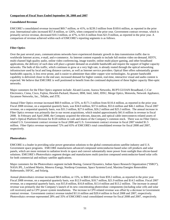#### **Comparison of Fiscal Years Ended September 30, 2008 and 2007**

#### **Consolidated Revenue**

EMCORE's consolidated revenue increased \$69.7 million, or 41%, to \$239.3 million from \$169.6 million, as reported in the prior year. International sales increased \$57.8 million, or 126%, when compared to the prior year. Government contract revenue, which is primarily service revenue, decreased \$10.3 million, or 47%, to \$11.6 million from \$21.9 million, as reported in the prior year. A comparison of revenue achieved within each of EMCORE's reporting segments is as follows.

#### **Fiber Optics**

Over the past several years, communications networks have experienced dramatic growth in data transmission traffic due to worldwide Internet access, e-mail, and e-commerce. As Internet content expands to include full motion video on-demand, HDTV, multi-channel high quality audio, online video conferencing, image transfer, online multi-player gaming, and other broadband applications, the delivery of such data will place a greater demand on available bandwidth and require the support of higher capacity networks. The bulk of this traffic, which continues to grow at a very high rate, is already routed through the optical networking infrastructure used by local and long distance carriers, as well as Internet service providers. Optical fiber offers substantially greater bandwidth capacity, is less error prone, and is easier to administer than older copper wire technologies. As greater bandwidth capability is delivered closer to the end user, increased demand for higher content, real-time, interactive visual and audio content is expected. We believe that EMCORE is well positioned to benefit from the continued deployment of these higher capacity fiber-optic networks.

Major customers for the Fiber Optics segment include: Alcatel-Lucent, Aurora Networks, BUPT-GUOAN Broadband, C-Cor Electronics, Ciena, Cisco, Fujitsu, Hewlett-Packard, Huawei, IBM, Intel, Jabil, JDSU, Merge Optics, Motorola, Network Appliance, Sycamore Networks, Inc., Tellabs, and ZTE.

Annual Fiber Optics revenue increased \$60.9 million, or 55%, to \$171.3 million from \$110.4 million, as reported in the prior year. Fiscal 2008 revenue, on a sequential quarterly basis, was \$34.0 million, \$37.6 million, \$53.6 million and \$46.1 million. Fiscal 2007 revenue, on a sequential quarterly basis, was \$31.3 million, \$27.6 million, \$26.2 million and \$25.3 million. The annual increase in Fiber Optics revenue was primarily due to our recent acquisitions, which totaled approximately \$41.6 million in revenue in fiscal 2008. In February and April 2008, the Company acquired the telecom, datacom, and optical cable interconnects-related assets of Intel's Optical Platform Division for \$120 million in cash and shares of the Company's common stock. There was no Fiber Opticsrelated U.S. Government contract revenue in fiscal 2008 and U.S. Government contract revenue in fiscal 2007 totaled \$1.5 million. Fiber Optics revenue represented 72% and 65% of EMCORE's total consolidated revenue for fiscal 2008 and 2007, respectively.

#### **Photovoltaics**

EMCORE is a leader in providing solar power generation solutions to the global communications satellite industry and U.S. Government space programs. EMCORE manufactures advanced compound semiconductor-based solar cell products and solar panels, which are more resistant to radiation levels in space and convert substantially more power from sunlight than silicon-based solutions. EMCORE's Photovoltaics segment designs and manufactures multi-junction compound semiconductor-based solar cells for both commercial and military satellite applications.

Major customers for the Photovoltaics segment include Boeing, General Dynamics, Indian Space Research Organization ("ISRO"), NASA JPL, Lockheed Martin, Menova Energy, Northrop Grumman, Space Systems/Loral, Maxima Energies Renovables Ibahernando, ISFOC, and Solarig.

Annual photovoltaics revenue increased \$8.8 million, or 15%, to \$68.0 million from \$59.2 million, as reported in the prior year. Fiscal 2008 revenue, on a sequential quarterly basis, was \$12.9 million, \$18.7 million, \$21.9 million and \$14.5 million. Fiscal 2007 revenue, on a sequential quarterly basis, was \$15.8 million, \$16.8 million, \$13.4 million and \$13.2 million. The increase in annual revenue was primarily due the Company's launch of its new concentrating photovoltaic components (including solar cells and solar cell receivers) and to CPV power system installations. The increase in CPV-related revenue was offset by a decrease in Government contract revenue. Government contract revenue totaled \$11.6 million and \$20.4 million in fiscal 2008 and 2007, respectively. Photovoltaics revenue represented 28% and 35% of EMCORE's total consolidated revenue for fiscal 2008 and 2007, respectively.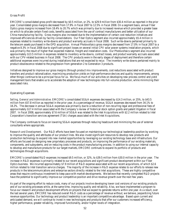# Gross Profit

EMCORE's consolidated gross profit decreased by \$0.5 million, or 2%, to \$29.9 million from \$30.4 million as reported in the prior year. Consolidated gross margins decreased from 17.9% in fiscal 2007 to 12.5% in fiscal 2008. On a segment basis, annual Fiber Optics gross margins increased from 18.4% to 20.7% which was primarily due to increased revenue which provided a greater base on which to allocate certain fixed costs, benefits associated from the use of contract manufacturers and better utilization of our China manufacturing facility. Gross margins also increased due to the implementation of certain cost reduction initiatives and improved efficiencies driven by facility consolidations. Our Fiber Optics segment also incurred approximately \$5.4 million in expenses related to inventory write-downs and product warranty accruals in fiscal 2008. Such write-downs pertained primarily to the telecom assets purchased in the OPD acquisition. Annual Photovoltaics gross margins decreased from 17.0% in fiscal 2007 to a negative 8.3% in fiscal 2008 due to significant project losses on several initial CPV solar power systems installation projects, which was primarily the result of higher than expected material, freight and installation costs. Our Photovoltaics segment also incurred approximately \$13.5 million in expenses related to inventory write-downs, contract losses, and product warranty accruals associated with our CPV-related business in fiscal 2008. The CPV products were in the early stages of deployment and therefore certain additional expenses were incurred during installations that are not expected to recur. The inventory write-downs pertained mainly to product obsolescence related to the progression from generation 2 to Generation 3 products.

Initiatives designed to improve our gross margins (through product mix improvements, cost reductions associated with product transfers and product rationalization, maximizing production yields on high-performance devices and quality improvements, among other things) continue to be a principal focus for us. We focus much of our activities on developing new process control and yield management tools that enable us to accelerate the adoption of new technologies into full-volume production, while minimizing their associated risks.

## Operating Expenses

*Selling, General and Administrative.* EMCORE's consolidated SG&A expenses decreased by \$14.3 million, or 25%, to \$43.5 million from \$57.8 million as reported in the prior year. As a percentage of revenue, SG&A expenses decreased from 34.1% to 18.2%. The decrease in annual SG&A expenses was primarily due to a reduction of non-recurring legal and professional fees of approximately \$17.4 million associated with the Company's review of historical stock option grants and patent litigation in fiscal 2007. In fiscal 2008, approximately \$7.6 million of SG&A was related to the Intel Acquisitions with \$2.2 million related to Intel Corporation's transition services agreement (TSA) charges associated with the Intel Acquisitions.

The Company continues to focus on lowering SG&A expenses through reducing headcount and minimizing the use of external consultants where appropriate.

*Research and Development.* Our R&D efforts have been focused on maintaining our technological leadership position by working to improve the quality and attributes of our product lines. We also invest significant resources to develop new products and production technology to expand into new market opportunities by leveraging our existing technology base and infrastructure. Our efforts are focused on designing new proprietary processes and products, on improving the performance of our existing materials, components, and subsystems, and on reducing costs in the product manufacturing process. In addition to using our internal capacity to develop and manufacture products for our target markets, EMCORE continues to expand its portfolio of products and technologies through acquisitions.

EMCORE's consolidated R&D expenses increased \$9.5 million, or 32%, to \$39.5 million from \$30.0 million in the prior year. The increase in R&D expenses is primarily related to our recent acquisitions and significant product development within our Fiber Optics business. We incurred approximately \$7.9 million of R&D expense associated with our recent acquisitions, of which \$2.6 million related to Intel transition service charges. The majority of the increase in R&D expense relates to our efforts to release new products in the telecommunications and enterprise sectors directly related to the Intel acquisitions. These are highly competitive areas that require continuous investment to keep pace with market developments. We believe that recently completed R&D projects have the potential to significantly improve our competitive position and drive revenue growth over the next few years.

As part of the ongoing effort to reduce costs, many of our projects involve developing lower cost versions of our existing products and of our existing processes while, at the same time, improving quality and reliability. Also, we have implemented a program to focus our research and product development efforts on projects that we expect to generate returns within one year. As a result, over the last several years, EMCORE has reduced overall R&D costs as a percentage of revenue without, we believe, jeopardizing future revenue opportunities. Our technology and product leadership is an important competitive advantage. Based upon current and anticipated demand, we will continue to invest in new technologies and products that offer our customers increased efficiency, higher performance, greater reliability, improved functionality, and/or higher levels of integration.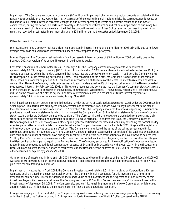*Impairment.* The Company recorded approximately \$0.2 million of impairment charges on intellectual property associated with the January 2006 acquisition of K2 Optronics, Inc. As a result of the ongoing financial liquidity crisis, the current economic recession, reductions to our internal revenue forecasts, changes to our internal operating forecasts and a drastic reduction in our market capitalization, during the period, we performed an analysis to determine if there was an indication of impairment of our intangible assets. As a result of this analysis, we determined that the goodwill related to our Fiber Optics reporting unit was impaired. As a result, we recorded an estimated impairment charge of \$22.0 million during the quarter ended September 30, 2008.

## Other Income & Expenses

*Interest Income.* The Company realized a significant decrease in interest income of \$3.3 million for 2008 primarily due to its lower average cash, cash equivalents and investment balances when compared to the prior year.

*Interest Expense*. The Company realized a significant decrease in interest expense of \$3.4 million for 2008 primarily due to the February 2008 conversion of its convertible subordinated notes to equity.

*Loss from Conversion of Subordinated Notes*. In January 2008, the Company entered into agreements with holders of approximately 97.5%, or approximately \$83.3 million of its outstanding 5.50% convertible senior subordinated notes due 2011 (the "Notes") pursuant to which the holders converted their Notes into the Company's common stock. In addition, the Company called for redemption all of its remaining outstanding Notes. Upon conversion of the Notes, the Company issued shares of its common stock, based on a conversion price of \$7.01 per share, in accordance with the terms of the Notes. To incentivize certain holders to convert their Notes, the Company made cash payments to such holders equal to 4% of the principal amount of the Notes converted, plus accrued interest. By February 20, 2008, all Notes were redeemed and converted into the Company's common stock. As a result of this transaction, 12.2 million shares of the Company common stock were issued. The Company recognized a loss totaling \$4.7 million on the conversion of Notes to equity. The Notes conversion resulted in a reduction of future interest payments of approximately \$4.7 million, on an annual basis, through May 2011.

*Stock-based compensation expense from tolled options*. Under the terms of stock option agreements issued under the 2000 Incentive Stock Option Plan, terminated employees who have vested and exercisable stock options have 90 days subsequent to the date of their termination to exercise their stock options. In November 2006, the Company announced that it was suspending its reliance on previously issued financial statements, which in turn caused the Company's Form S-8 registration statements for shares of common stock issuable under the Option Plans not to be available. Therefore, terminated employees were precluded from exercising their stock options during the remaining contractual term (the "Blackout Period"). To address this issue, the Company's Board of Directors agreed in April 2007 to approve a stock option grant "modification" for these individuals by extending the normal 90-day exercise period after termination date to a date after which the Company became compliant with its SEC filings and the registration of the stock option shares was once again effective. The Company communicated the terms of the tolling agreement with its terminated employees in November 2007. The Company's Board of Directors approved an extension of the stock option expiration date equal to the number of calendar days during the Blackout Period before such stock option would have otherwise expired (the "Tolling Period"). Former employees were able to exercise their vested stock options beginning on the first day after the lifting of the Blackout Period for a period equal to the Tolling Period. The Company accounted for the modification of stock options issued to terminated employees as additional compensation expense of \$4.3 million in accordance with SFAS 123(R) in the first quarter of fiscal 2008 and adjusted the stock options to market value in the first and second quarters of 2008. All tolled stock options were either exercised or expired by January 29, 2008.

*Gain from sale of investment.* In June and July 2008, the Company sold two million shares of Series D Preferred Stock and 200,000 warrants of WorldWater & Solar Technologies Corporation. Total cash proceeds from the sale approximated \$13.1 million with a gain from the sale totaling \$7.4 million.

*Impairment of Investments.* In April 2008, the Company invested approximately \$1.5 million in Lightron Corporation, a Korean Company publicly traded on the Korean Stock Market. The Company initially accounted for this investment as a long-term available for sale security. Due to the decline in the market value of this investment and the expectation of non-recovery of this investment beyond its current market value, the Company recorded a \$0.5 million "other than temporary" impairment loss on this investment as of September 30, 2008. The Company also wrote off its remaining investment in Velox Corporation, which totaled approximately \$1.0 million, due to the company's current financial and operational condition.

*Foreign exchange gain.* For fiscal 2008, the Company recognized a loss on foreign currency exchange primarily due to its operating activities in Spain, the Netherlands and in China primarily due to the weakening of the US Dollar compared to the EURO.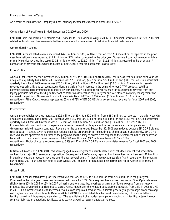## Provision for Income Taxes

As a result of its losses, the Company did not incur any income tax expense in fiscal 2008 or 2007.

## Comparison of Fiscal Years Ended September 30, 2007 and 2006

EMCORE sold its Electronic, Materials and Device ("EMD") division in August 2006. All financial information in fiscal 2006 that related to this division has been excluded from operations for comparison of historical financial performance.

### Consolidated Revenue

EMCORE's consolidated revenue increased \$26.1 million, or 18%, to \$169.6 million from \$143.5 million, as reported in the prior year. International sales increased \$11.7 million, or 34%, when compared to the prior year. Government contract revenue, which is primarily service revenue, increased \$10.8 million, or 97%, to \$21.9 million from \$11.1 million, as reported in the prior year. A comparison of revenue achieved within each of EMCORE's reporting segments is as follows:

## Fiber Optics

Annual Fiber Optics revenue increased \$5.5 million, or 5%, to \$110.4 million from \$104.9 million, as reported in the prior year. On a sequential quarterly basis, fiscal 2007 revenue was \$25.3 million, \$26.2 million, \$27.6 million and \$31.3 million. On a sequential quarterly basis, fiscal 2006 revenue was \$25.0 million, \$25.9 million, \$26.0 million and \$28.0 million. The annual increase in revenue was primarily due to recent acquisitions and a significant increase in the demand for our CATV products, satellite communications, telecommunications and FTTP components. Also, despite higher revenue for this segment, revenue from our legacy products that serve the digital fiber optics sector was lower than the prior year due to customer inventory management and increased competition. Government contract revenue in fiscal 2007 and 2006 totaled \$1.5 million and \$1.9 million, respectively. Fiber Optics revenue represented 65% and 73% of EMCORE's total consolidated revenue for fiscal 2007 and 2006, respectively.

### **Photovoltaics**

Annual photovoltaics revenue increased \$20.5 million, or 53%, to \$59.2 million from \$38.7 million, as reported in the prior year. On a sequential quarterly basis, fiscal 2007 revenue was \$13.2 million, \$13.4 million, \$16.8 million and \$15.8 million. On a sequential quarterly basis, fiscal 2006 revenue was \$10.7 million, \$10.3 million, \$10.4 million and \$7.3 million. In fiscal 2007, our Photovoltaics division continued to experience increased demand for its space and terrestrial solar cells, solar panels and U.S. Government-related research contracts. Revenue for the quarter ended September 30, 2006 was reduced because EMCORE did not receive export licenses covering three international satellite programs in sufficient time to ship product. Subsequently, EMCORE received license approvals on all three of the programs and the delayed orders were shipped to the customers in the first quarter of fiscal 2007. Government contract revenue totaled \$20.4 million and \$9.2 million in fiscal 2007 and 2006, respectively. Photovoltaics revenue represented 35% and 27% of EMCORE's total consolidated revenue for fiscal 2007 and 2006, respectively.

In fiscal 2006 and 2007, EMCORE had been engaged in a multi-year cost reimbursable solar cell development and production contract for a major U.S. aerospace corporation. Subsequently, the Company reported that the contract would exceed \$40.0 million in development and production revenue over the next several years. Although we recognized significant revenue for this program during fiscal 2007, our customer notified us in August 2007 that their program had been terminated for convenience by the U.S. Government.

## Gross Profit

EMCORE's consolidated gross profit increased \$4.4 million, or 17%, to \$30.4 million from \$26.0 million in the prior year. Compared to the prior year, gross margins remained constant at 18%. On a segment basis, gross margins for Fiber Optics decreased slightly from 20% in 2006 to 19% in 2007 primarily due to unabsorbed overhead as a result of lower revenue from our legacy products that serve the digital fiber optics sector. Gross margins for the Photovoltaics segment increased from 12% in 2006 to 17% in 2007. This increase was due to increased revenues and improved product mix, a shift to generally higher margin products along with higher overhead absorption. In October 2006, EMCORE consolidated its solar panel manufacturing into a state-of-the-art facility located in Albuquerque, New Mexico. The establishment of a modern solar panel manufacturing facility, adjacent to our solar cell fabrication operations, facilitates consistency, as well as lower manufacturing costs.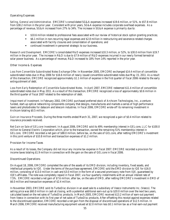# Operating Expenses

*Selling, General and Administrative.* EMCORE's consolidated SG&A expenses increased \$19.6 million, or 51%, to \$57.8 million from \$38.2 million in the prior year. Consistent with prior years, SG&A expense includes corporate overhead expenses. As a percentage of revenue, SG&A increased from 27% to 34%. The increase in SG&A expense is primarily due to:

- \$10.6 million related to professional fees associated with our review of historical stock option granting practices;
- \$6.1 million in non-recurring legal expenses and \$2.8 million in restructuring and severance-related charges associated with facility closures and consolidation of operations; and
- continued investment in personnel strategic to our business.

*Research and Development.* EMCORE's consolidated R&D expenses increased \$10.3 million, or 52%, to \$30.0 million from \$19.7 million in the prior year. The increase in R&D is due to \$7.9 million of R&D expenses incurred in our newly formed terrestrial solar power business. As a percentage of revenue, R&D increased to 18% from 14% reported in the prior year.

## Other Income & Expenses

*Loss from Convertible Subordinated Notes Exchange Offer.* In November 2005, EMCORE exchanged \$14.4 million of convertible subordinated notes due in May 2006 for \$16.6 million of newly issued convertible subordinated notes due May 15, 2011. As a result of this transaction, EMCORE recognized approximately \$1.1 million of expense in the first quarter of fiscal 2006 related to the early extinguishment of debt.

*Loss from Early Redemption of Convertible Subordinated Notes.* In April 2007, EMCORE redeemed \$11.4 million of convertible subordinated notes due in May 2011. As a result of this transaction, EMCORE recognized a loss of approximately \$0.6 million in the third quarter of fiscal 2007 related to the redemption of debt.

*Impairment of Investment.* In February 2002, EMCORE purchased preferred stock of Archcom Technologies, Inc., a venturefunded, start-up optical networking components company that designs, manufactures and markets a series of high performance lasers and photodiodes for datacom and telecom industries. In fiscal 2006, EMCORE wrote-off its remaining investment in Archcom totaling \$0.5 million.

*Gain on Insurance Proceeds.* During the three months ended March 31, 2007, we recognized a gain of \$0.4 million related to insurance proceeds received.

*Net Gain on Sale of GELcore Investment.* In August 2006, EMCORE sold its 49% membership interest in GELcore, LLC for \$100.0 million to General Electric Corporation which, prior to the transaction, owned the remaining 51% membership interest in GELcore. EMCORE recorded a net gain of \$88.0 million, before tax, on the sale of GELcore, after netting EMCORE's investment in this joint venture of \$10.8 million and transaction expenses of \$1.2 million.

## Provision for Income Taxes

As a result of its losses, the Company did not incur any income tax expense in fiscal 2007. EMCORE recorded a provision for income taxes totaling \$1.9 million in connection with the gain on the sale of GELcore in fiscal 2006.

## Discontinued Operations

On August 18, 2006, EMCORE completed the sale of the assets of its EMD division, including inventory, fixed assets, and intellectual property to IQE. Under the terms of the purchase agreement, EMCORE sold the EMD division to IQE for \$16.0 million, consisting of \$13.0 million in cash and \$3.0 million in the form of a secured promissory note from IQE, guaranteed by IQE's affiliates. The note was completely repaid in fiscal 2007, via four quarterly installments with an annual interest rate of 7.5%. EMCORE recorded a net gain of \$7.6 million, after tax, on the sale of EMD, after netting EMCORE's investment in EMD of \$6.0 million and transaction expenses of \$2.4 million.

In November 2003, EMCORE sold its TurboDisc division in an asset sale to a subsidiary of Veeco Instruments Inc. (Veeco). The selling price was \$60.0 million in cash at closing, with a potential additional earn-out up to \$20.0 million over the next two years, calculated based on the net sales of TurboDisc products. In March 2005, EMCORE received \$13.2 million of earn-out payment from Veeco in connection with its first year of net sales of TurboDisc products. After offsetting this receipt against expenses related to the discontinued operation, EMCORE recorded a net gain from the disposal of discontinued operations of \$12.5 million. In March 2006, EMCORE received manufacturing equipment valued at \$2.0 million less \$0.1 million tax as a final earn-out payment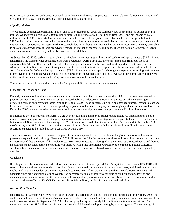from Veeco in connection with Veeco's second year of net sales of TurboDisc products. The cumulative additional earn-out totaled \$15.2 million or 76% of the maximum available payout of \$20.0 million.

#### *Liquidity Matters*

The Company commenced operations in 1984 and as of September 30, 2008, the Company had an accumulated deficit of \$424.8 million. We incurred a net loss of \$80.9 million in fiscal 2008, net loss of \$58.7 million in fiscal 2007, and net income of \$54.9 million in fiscal 2006. Fiscal 2006 results included the sale of our GELcore joint venture that resulted in a net gain, before tax, of \$88.0 million. Our operating results for future periods are subject to numerous uncertainties and we cannot assure you that we will not continue to experience net losses for the foreseeable future. Although our revenue has grown in recent years, we may be unable to sustain such growth rates if there are adverse changes in market or economic conditions. If we are not able to increase revenue and/or reduce our costs, we may not be able to achieve profitability.

At September 30, 2008, cash, cash equivalents, available-for-sale securities and restricted cash totaled approximately \$24.7 million. Historically, the Company has consumed cash from operations. During fiscal 2008, we consumed cash from operations of approximately \$41.9 million, with the rate of cash consumption declining in the third and fourth quarters. Historically, we have addressed our liquidity requirements through a series of cost reduction initiatives, capital markets transactions and the sale of assets. As of September 30, 2008, we had approximately \$79.2 million in working capital. Although we expect our operating performance to improve in future periods, we anticipate that the recession in the United States and the slowdown of economic growth in the rest of the world may create a more challenging business environment for us in the near term.

These matters raise substantial doubt about the Company's ability to continue as a going concern.

#### Management Actions and Plans

Recently, we have revised the assumptions underlying our operating plans and recognized that additional actions were needed to position our operations to minimize cash usage. Accordingly, we undertook a number of initiatives aimed at conserving or generating cash on an incremental basis through the end of 2009. These initiatives included business realignment, structural cost and headcount reductions, reduction of capital spending, a greater emphasis on managing our working capital, and certain asset sales. In December 2008, we announced an agreement to sell our non-core equity interests for approximately \$11.4 million in cash.

In addition to these operational measures, we are actively pursuing a number of capital raising initiatives including the sale of a minority ownership position in the Company's photovoltaics business as an initial step towards a potential spin off of the business. In October 2008, we announced the closing of a \$25 million secured credit facility with Bank of America and, in November 2008, the Company sold \$1.7 million of our auction rate securities at 100% par value with the remaining \$1.4 million in auction rate securities expected to be settled at 100% par value by June 2010.

These initiatives are intended to conserve or generate cash in response to the deterioration in the global economy so that we can preserve adequate liquidity through December 2009. However, the full effect of many of these actions will not be realized until later in 2009, even if they are successfully implemented. We are committed to exploring all of the initiatives discussed above and there is no assurance that capital markets conditions will improve within that time frame. Our ability to continue as a going concern is substantially dependent on the successful execution of many of the actions referred to above within the timeline contemplated by our plans.

#### Conclusion

If cash generated from operations and cash on hand are not sufficient to satisfy EMCORE's liquidity requirements, EMCORE will seek to obtain additional equity or debt financing. Due to the unpredictable nature of the capital markets, additional funding may not be available when needed, or on terms acceptable to EMCORE. If EMCORE is required to raise additional financing and if adequate funds are not available or not available on acceptable terms, our ability to continue to fund expansion, develop and enhance products and services, or otherwise respond to competitive pressures may be severely limited. Such a limitation could have a material adverse effect on EMCORE's business, financial condition, results of operations, and cash flow.

#### *Auction Rate Securities*

Historically, the Company has invested in securities with an auction reset feature ("auction rate securities"). In February 2008, the auction market failed for the Company's auction rate securities, which meant that the Company was unable to sell its investments in auction rate securities. At September 30, 2008, the Company had approximately \$3.1 million in auction rate securities. The underlying assets for \$1.7 million of this total are currently AAA rated, the highest rating by a rating agency. The remaining \$1.4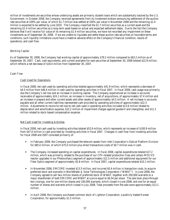million of investments are securities whose underlying assets are primarily student loans which are substantially backed by the U.S. Government. In October 2008, the Company received agreements from its investment brokers announcing settlement of the auction rate securities at 100% par value, of which \$1.7 million was settled at 100% par value in November 2008 and the remaining \$1.4 million is expected to be settled by June 2010. The Company classified the \$1.7 million securities as a current asset and the remaining \$1.4 million securities as a long-term asset based on actual and expected settlement dates. Due to the fact the Company believes that it will receive full value of its remaining \$1.4 million securities, we have not recorded any impairment on these investments as of September 30, 2008. If we are unable to liquidate and settle these auction rate securities on favorable terms and conditions, such liquidity limitations could have a material adverse effect on the Company's financial condition, results of operations, and cash flow.

## *Working Capital*

As of September 30, 2008, the Company had working capital of approximately \$79.2 million compared to \$63.2 million as of September 30, 2007. Cash, cash equivalents, and current available-for-sale securities at September 30, 2008 totaled \$22.8 million, which reflects a net decrease of \$18.4 million from September 30, 2007.

## *Cash Flow*

### *Cash Used for Operations*

In fiscal 2008, net cash used by operating activities totaled approximately \$41.9 million, which represents a decrease of \$4.5 million from \$46.4 million in cash used by operating activities in fiscal 2007. In fiscal 2008, cash usage was primarily due the Company's net loss and an increase in working capital. The Company experienced an increase in accounts receivable of approximately \$24.1 million, an increase in inventory, net of acquisitions, of approximately \$7.4 million and an increase in prepaid and other current assets and other assets of approximately \$4.5 million. A net increase in accounts payable and all other current liabilities represented cash provided by operating activities of approximately \$22.3 million. Adjustments to reconcile net loss to net cash used in operating activities included \$13.6 million related to depreciation and amortization expense, \$22.2 million of impairment charges against goodwill and intangibles, and \$11.3 million related to stock-based compensation expense.

## *Net Cash Used for Investing Activities*

In fiscal 2008, net cash used by investing activities totaled \$53.9 million, which represents an increase of \$100.9 million from \$47.0 million in cash provided by investing activities in fiscal 2007. Changes in cash flow from investing activities for fiscal 2008 and 2007 consisted primarily of:

- In February 2008, the Company purchased the telecom-assets from Intel Corporation's Optical Platform Division for \$85.0 million, of which \$75.0 million plus direct transactions costs of \$0.7 million was in cash.
- The Company increased spending on capital expenditures. In fiscal 2008, capital expenditures totaled \$17.2 million, which was primarily related to the purchase of our CPV-related production lines and certain MOCVD reactor upgrades in our Photovoltaics segment of approximately \$11.5 million and additional equipment for our Fiber Optics segment of approximately \$5.8 million. In fiscal 2007, capital expenditures totaled \$10.1 million.
- In November 2006, EMCORE invested \$13.5 million, and incurred \$0.4 million in transaction costs, to acquire preferred stock and warrants in WorldWater & Solar Technologies Corporation ("WWAT"). In June 2008, the Company agreed to sell two million shares of preferred stock of WWAT, together with 200,000 warrants to a major shareholder of both EMCORE and WWAT at a price equal to \$6.54 per share. The sale took place through two closings, one for one million shares and 100,000 warrants, which closed in June 2008, and one for an equal number of shares and warrants which closed in July 2008. Total proceeds from the sale were approximately \$13.1 million.
- In April 2008, the Company purchased common stock of Lightron Corporation, a publicly traded Korean Corporation, for approximately \$1.5 million.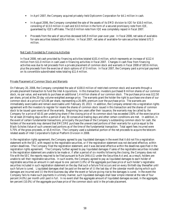- In April 2007, the Company acquired privately-held Opticomm Corporation for \$4.1 million in cash.
- In August 2006, the Company completed the sale of the assets of its EMD division to IQE for \$16.0 million, consisting of \$13.0 million in cash and \$3.0 million in the form of a secured promissory note from IQE, guaranteed by IQE's affiliates. The \$3.0 million note from IQE was completely repaid in fiscal 2007.
- Proceeds from the sale of securities deceased \$45.9 million year-over-year. In fiscal 2008, net sales of availablefor-sale securities totaled \$26.4 million. In fiscal 2007, net sales of available-for-sale securities totaled \$72.3 million.

## *Net Cash Provided by Financing Activities*

In fiscal 2008, net cash provided by financing activities totaled \$101.4 million, which represents an increase of \$112.4 million from \$11.0 million in cash used in financing activities in fiscal 2007. Changes in cash flow from financing activities was due to net proceeds from a private placement of common stock and warrants in fiscal 2008 of \$93.6 million, plus the proceeds from the exercise of stock options of \$7.0 million. In fiscal 2007, the Company paid a principal payment on its convertible subordinated notes totaling \$11.4 million.

### Private Placement of Common Stock and Warrants

On February 20, 2008, the Company completed the sale of \$100.0 million of restricted common stock and warrants through a private placement transaction to fund the Intel Acquisitions. In this transaction, investors purchased 8 million shares of our common stock, no par value, and warrants to purchase an additional 1.4 million shares of our common stock. The purchase price was \$12.50 per share, priced at the 20-day volume-weighted average price. The warrants grant the holder the right to purchase one share of our common stock at a price of \$15.06 per share, representing a 20.48% premium over the purchase price. The warrants are immediately exercisable and remain exercisable until February 20, 2013. In addition, the Company entered into a registration rights agreement with the investors to register for resale the shares of common stock issued in this transaction and the shares of common stock to be issued upon exercise of the warrants. Beginning two years after their issuance, the warrants may be called by the Company for a price of \$0.01 per underlying share if the closing price of its common stock has exceeded 150% of the exercise price for at least 20 trading days within a period of any 30 consecutive trading days and other certain conditions are met. In addition, in the event of certain fundamental transactions, principally the purchase of the Company's outstanding common stock for cash, the holders of the warrants may demand that EMCORE purchase the unexercised portions of their warrants for a price equal to the Black-Scholes Value of such unexercised portions as of the time of the fundamental transaction. Total agent fees incurred were 5.75% of the gross proceeds, or \$5.8 million. The Company used a substantial portion of the net proceeds to acquire the telecomrelated assets of Intel Corporation's Optical Platform Division in 2008.

In the registration rights agreement, the Company agreed to pay liquidated damages in the event that it did not file a registration statement with the SEC with respect to the registrable securities, or if the registration statement was not declared effective, within certain deadlines. The Company filed the registration statement, and it was declared effective within the deadlines specified in the registration rights agreement. The Company further agreed to pay liquidated damages if sales of the registrable securities included in the registration statement are unable to be made or, if after a period of six months following the closing, the Company does not file with the SEC the reports required to be filed pursuant to Rule 144(c)(1) under the Securities Act and, as a result, holders are unable to sell their registrable securities. In such events, the Company agreed to pay as liquidated damages to each holder of registrable securities an amount in cash equal to one percent (1.0%) of the aggregate purchase price of such holder's registrable securities included in such registration statement on the day that such a failure first occurs and on every thirtieth day thereafter until such failure is cured. Liquidated damages shall be paid on the earlier of (i) the last day of the calendar month during which such damages are incurred and (ii) the third business day after the event or failure giving rise to the damages is cured. In the event the Company fails to make such payments in a timely manner, such liquidated damages shall bear simple interest at the rate of four percent (4.0%) per month until paid in full. In no event shall the aggregate amount of liquidated damages exceed, in the aggregate, ten percent (10.0%) of the aggregate purchase price of the common stock sold in the private placement.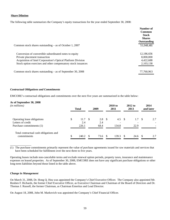#### **Share Dilution**

The following table summarizes the Company's equity transactions for the year ended September 30, 2008:

|                                                                                                                                                                                                                          | Number of<br><b>Common</b><br>Stock<br><b>Shares</b><br>Outstanding |
|--------------------------------------------------------------------------------------------------------------------------------------------------------------------------------------------------------------------------|---------------------------------------------------------------------|
| Common stock shares outstanding $-$ as of October 1, 2007                                                                                                                                                                | 51,048,481                                                          |
| Conversion of convertible subordinated notes to equity<br>Private placement transaction<br>Acquisition of Intel Corporation's Optical Platform Division<br>Stock option exercises and other compensatory stock issuances | 12,186,656<br>8,000,000<br>4,422,688<br>2,103,138                   |
| Common stock shares outstanding $-$ as of September 30, 2008                                                                                                                                                             | 77,760,963                                                          |

#### *Contractual Obligations and Commitments*

EMCORE's contractual obligations and commitments over the next five years are summarized in the table below:

#### **As of September 30, 2008**

| (in millions)                                         | 2009<br><b>Total</b> |        | 2010 to<br>2011 |         | $2012$ to<br>2013 |             | 2014<br>and later |      |      |     |
|-------------------------------------------------------|----------------------|--------|-----------------|---------|-------------------|-------------|-------------------|------|------|-----|
| Operating lease obligations                           |                      | 11.7 S |                 | 2.8     | - \$              | $4.5 \quad$ |                   | 1.7  | - S  | 2.7 |
| Letters of credit                                     |                      | 2.4    |                 | 2.4     |                   |             |                   |      |      |     |
| Purchase commitments (1)                              |                      | 226.1  |                 | 68.4    |                   | 134.8       |                   | 22.9 |      |     |
| Total contractual cash obligations and<br>commitments |                      | 240.2  | \$.             | 73.6 \$ |                   | 139.3       | -S                | 24.6 | - \$ | 2.7 |
|                                                       |                      |        |                 |         |                   |             |                   |      |      |     |

(1) The purchase commitments primarily represent the value of purchase agreements issued for raw materials and services that have been scheduled for fulfillment over the next three to five years.

Operating leases include non-cancelable terms and exclude renewal option periods, property taxes, insurance and maintenance expenses on leased properties. As of September 30, 2008, EMCORE does not have any significant purchase obligations or other long-term liabilities beyond those listed in the table above.

#### *Change in Management*

\_\_\_\_\_\_\_\_\_\_\_\_\_\_\_

On March 31, 2008, Dr. Hong Q. Hou was appointed the Company's Chief Executive Officer. The Company also appointed Mr. Reuben F. Richards, the former Chief Executive Officer, as Executive Chairman and Chairman of the Board of Directors and Dr. Thomas J. Russell, the former Chairman, as Chairman Emeritus and Lead Director.

On August 18, 2008, John M. Markovich was appointed the Company's Chief Financial Officer.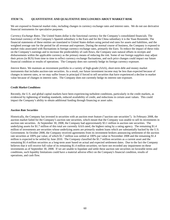### **ITEM 7A. QUANTITATIVE AND QUALITATIVE DISCLOSURES ABOUT MARKET RISK**

We are exposed to financial market risks, including changes in currency exchange rates and interest rates. We do not use derivative financial instruments for speculative purposes.

*Currency Exchange Rates*. The United States dollar is the functional currency for the Company's consolidated financials. The functional currency of the Company's Spanish subsidiary is the Euro and for the China subsidiary it is the Yuan Renminbi. The financial statements of these entities are translated to United States dollars using period end rates for assets and liabilities, and the weighted average rate for the period for all revenue and expenses. During the normal course of business, the Company is exposed to market risks associated with fluctuations in foreign currency exchange rates, primarily the Euro. To reduce the impact of these risks on the Company's earnings and to increase the predictability of cash flows, the Company uses natural offsets in receipts and disbursements within the applicable currency as the primary means of reducing the risk. Some of our foreign suppliers may adjust their prices (in \$US) from time to time to reflect currency exchange fluctuations, and such price changes could impact our future financial condition or results of operations. The Company does not currently hedge its foreign currency exposure.

*Interest Rates*. We maintain an investment portfolio in a variety of high-grade (AAA), short-term debt and money market instruments that includes auction-rate securities. As a result, our future investment income may be less than expected because of changes in interest rates, or we may suffer losses in principal if forced to sell securities that have experienced a decline in market value because of changes in interest rates. The Company does not currently hedge its interest rate exposure.

#### *Credit Market Conditions*

Recently, the U.S. and global capital markets have been experiencing turbulent conditions, particularly in the credit markets, as evidenced by tightening of lending standards, reduced availability of credit, and reductions in certain asset values. This could impact the Company's ability to obtain additional funding through financing or asset sales.

#### *Auction Rate Securities*

Historically, the Company has invested in securities with an auction reset feature ("auction rate securities"). In February 2008, the auction market failed for the Company's auction rate securities, which meant that the Company was unable to sell its investments in auction rate securities. At September 30, 2008, the Company had approximately \$3.1 million in auction rate securities. The underlying assets for \$1.7 million of this total are currently AAA rated, the highest rating by a rating agency. The remaining \$1.4 million of investments are securities whose underlying assets are primarily student loans which are substantially backed by the U.S. Government. In October 2008, the Company received agreements from its investment brokers announcing settlement of the auction rate securities at 100% par value, of which \$1.7 million was settled at 100% par value in November 2008 and the remaining \$1.4 million is expected to be settled by June 2010. The Company classified the \$1.7 million securities as a current asset and the remaining \$1.4 million securities as a long-term asset based on actual and expected settlement dates. Due to the fact the Company believes that it will receive full value of its remaining \$1.4 million securities; we have not recorded any impairment on these investments as of September 30, 2008. If we are unable to liquidate and settle these auction rate securities on favorable terms and conditions, such liquidity limitations could have a material adverse effect on the Company's financial condition, results of operations, and cash flow.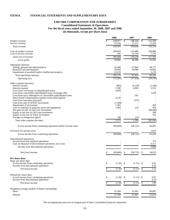#### **ITEM 8. FINANCIAL STATEMENTS AND SUPPLEMENTARY DATA**

# **EMCORE CORPORATION AND SUBSIDIARIES**

#### **Consolidated Statements of Operations For the fiscal years ended September 30, 2008, 2007 and 2006 (in thousands, except per share data)**

|                                                                                             | 2008                               |                         | 2007        |                         | 2006            |
|---------------------------------------------------------------------------------------------|------------------------------------|-------------------------|-------------|-------------------------|-----------------|
| Product revenue                                                                             | $\overline{\mathbf{s}}$<br>228,977 | $\overline{s}$          | 148,334     | $\overline{\mathbb{S}}$ | 132,304         |
| Service revenue                                                                             | 10,326                             |                         | 21,272      |                         | 11,229          |
| Total revenue                                                                               | 239,303                            |                         | 169,606     |                         | 143,533         |
| Cost of product revenue                                                                     | 208,963                            |                         | 124.480     |                         | 109,880         |
| Cost of service revenue                                                                     | 445                                |                         | 14,758      |                         | 7,701           |
| Total cost of revenue                                                                       | 209,408                            |                         | 139,238     |                         | 117,581         |
| Gross profit                                                                                | 29,895                             |                         | 30,368      |                         | 25,952          |
| Operating expenses:                                                                         |                                    |                         |             |                         |                 |
| Selling, general and administrative                                                         | 43,460                             |                         | 57,844      |                         | 38,177          |
| Research and development                                                                    | 39,483                             |                         | 29,980      |                         | 19,692          |
| Impairment of goodwill and/or intellectual property                                         | 22,233                             |                         |             |                         | 2,233           |
| Total operating expenses                                                                    | 105,176                            |                         | 87,824      |                         | 60,102          |
| Operating loss                                                                              | (75, 281)                          |                         | (57, 456)   |                         | (34,150)        |
| Other expense (income):                                                                     |                                    |                         |             |                         |                 |
| Interest income                                                                             | (862)                              |                         | (4,120)     |                         | (1,286)         |
| Interest expense<br>Loss from conversion of subordinated notes                              | 1,580<br>4,658                     |                         | 4,985       |                         | 5,352           |
| Loss from convertible subordinated notes exchange offer                                     |                                    |                         |             |                         | 1,078           |
| Loss from early redemption of convertible subordinated notes                                |                                    |                         | 561         |                         |                 |
| Stock-based compensation expense from tolled options                                        | 4,316                              |                         |             |                         |                 |
| Gain from insurance proceeds                                                                |                                    |                         | (357)       |                         |                 |
| Gain from sale of WWAT Investment                                                           | (7, 384)                           |                         |             |                         |                 |
| Impairment of investment                                                                    | 1,461                              |                         |             |                         | 500             |
| Loss on disposal of property, plant and equipment<br>Net gain on sale of GELcore investment | 1,064                              |                         | 210         |                         | 424<br>(88,040) |
| Equity in net loss of GELcore investment                                                    |                                    |                         |             |                         | 599             |
| Equity in net loss of Velox investment                                                      |                                    |                         |             |                         | 332             |
| Foreign exchange loss (gain)                                                                | 746                                |                         | (13)        |                         |                 |
| Total other expense (income)                                                                | $\overline{5,579}$                 |                         | 1,266       |                         | (81,041)        |
|                                                                                             |                                    |                         |             |                         |                 |
| (Loss) income from continuing operations before income taxes                                | (80, 860)                          |                         | (58, 722)   |                         | 46,891          |
| Provision for income taxes                                                                  |                                    |                         |             |                         | 1,852           |
| (Loss) income from continuing operations                                                    | (80, 860)                          |                         | (58, 722)   |                         | 45,039          |
| Discontinued operations:                                                                    |                                    |                         |             |                         |                 |
| Income from discontinued operations                                                         |                                    |                         |             |                         | 373             |
| Gain on disposal of discontinued operations, net of tax                                     |                                    |                         |             |                         | 9,511           |
| Income from discontinued operations                                                         |                                    |                         |             |                         | 9,884           |
|                                                                                             |                                    |                         |             |                         |                 |
| Net (loss) income                                                                           | \$<br>(80, 860)                    | \$                      | (58, 722)   | \$                      | 54,923          |
| Per share data:                                                                             |                                    |                         |             |                         |                 |
| Basic per share data:                                                                       |                                    |                         |             |                         |                 |
| (Loss) income from continuing operations                                                    | \$<br>(1.20)                       | - \$                    | $(1.15)$ \$ |                         | 0.91            |
| Income from discontinued operations                                                         |                                    |                         |             |                         | 0.20            |
| Net (loss) income                                                                           | (1.20)<br>\$                       | $\overline{\mathbb{S}}$ | (1.15)      | \$                      | 1.11            |
|                                                                                             |                                    |                         |             |                         |                 |
| Diluted per share data:                                                                     |                                    |                         |             |                         |                 |
| (Loss) income from continuing operations                                                    | \$<br>(1.20)                       | - \$                    | $(1.15)$ \$ |                         | 0.87            |
| Income from discontinued operations                                                         |                                    |                         |             |                         | 0.19            |
| Net (loss) income                                                                           | \$<br>(1.20)                       | $\overline{\$}$         | (1.15)      | $\sqrt{3}$              | 1.06            |
| Weighted-average number of shares outstanding:                                              |                                    |                         |             |                         |                 |
| Basic                                                                                       | 67,568                             |                         | 51,001      |                         | 49,687          |
|                                                                                             |                                    |                         |             |                         |                 |
| Diluted                                                                                     | 67,568                             |                         | 51,001      |                         | 52,019          |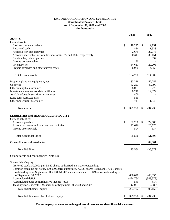### **EMCORE CORPORATION AND SUBSIDIARIES Consolidated Balance Sheets As of September 30, 2008 and 2007 (in thousands)**

|                                                                                               | 2008            |               | 2007      |
|-----------------------------------------------------------------------------------------------|-----------------|---------------|-----------|
| <b>ASSETS</b>                                                                                 |                 |               |           |
| Current assets:                                                                               |                 |               |           |
| Cash and cash equivalents                                                                     | \$<br>18,227    | <sup>\$</sup> | 12,151    |
| Restricted cash                                                                               | 1,854           |               | 1,538     |
| Available-for-sale securities                                                                 | 2,679           |               | 29,075    |
| Accounts receivable, net of allowance of \$2,377 and \$802, respectively                      | 60,313          |               | 38,151    |
| Receivables, related parties                                                                  |                 |               | 332       |
| Income tax receivable                                                                         | 130             |               |           |
| Inventory, net                                                                                | 64,617          |               | 29,205    |
| Prepaid expenses and other current assets                                                     | 6,970           |               | 4,350     |
| Total current assets                                                                          | 154,790         |               | 114,802   |
| Property, plant and equipment, net                                                            | 83,278          |               | 57,257    |
| Goodwill                                                                                      | 52,227          |               | 40,990    |
| Other intangible assets, net                                                                  | 28,033          |               | 5,275     |
| Investments in unconsolidated affiliates                                                      | 8,240           |               | 14,872    |
| Available-for-sale securities, non-current                                                    | 1,400           |               |           |
| Long-term restricted cash                                                                     | 569             |               |           |
| Other non-current assets, net                                                                 | 741             |               | 1,540     |
| <b>Total assets</b>                                                                           | \$<br>329,278   | \$            | 234,736   |
| <b>LIABILITIES and SHAREHOLDERS' EQUITY</b>                                                   |                 |               |           |
| Current liabilities:                                                                          |                 |               |           |
| Accounts payable                                                                              | \$<br>52,266 \$ |               | 22,685    |
| Accrued expenses and other current liabilities                                                | 22,696          |               | 28,776    |
| Income taxes payable                                                                          | 594             |               | 137       |
| Total current liabilities                                                                     | 75,556          |               | 51,598    |
| Convertible subordinated notes                                                                |                 |               | 84,981    |
| <b>Total liabilities</b>                                                                      | 75,556          |               | 136,579   |
| Commitments and contingencies (Note 14)                                                       |                 |               |           |
| Shareholders' equity:                                                                         |                 |               |           |
| Preferred stock, \$0.0001 par, 5,882 shares authorized, no shares outstanding                 |                 |               |           |
| Common stock, no par value, 200,000 shares authorized, 77,920 shares issued and 77,761 shares |                 |               |           |
| outstanding as of September 30, 2008; 51, 208 shares issued and 51, 049 shares outstanding as |                 |               |           |
| of September 30, 2007                                                                         | 680,020         |               | 443,835   |
| Accumulated deficit                                                                           | (424, 764)      |               | (343,578) |
| Accumulated other comprehensive income (loss)                                                 | 549             |               | (17)      |
| Treasury stock, at cost; 159 shares as of September 30, 2008 and 2007                         | (2,083)         |               | (2,083)   |
| Total shareholders' equity                                                                    | 253,722         |               | 98,157    |
| Total liabilities and shareholders' equity                                                    | \$<br>329,278   | -S            | 234,736   |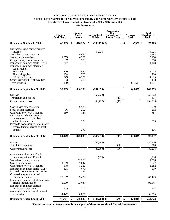#### **EMCORE CORPORATION AND SUBSIDIARIES**

# **Consolidated Statements of Shareholders' Equity and Comprehensive Income (Loss)**

**For the fiscal years ended September 30, 2008, 2007 and 2006**

**(in thousands)**

|                                                            | Common<br><b>Stock Shares</b> | Common<br>Stock<br>Amount |    | <b>Accumulated</b><br><b>Deficit</b> | <b>Accumulated</b><br><b>Other</b><br>Comprehensive<br>Income (Loss) |               | <b>Treasury</b><br><b>Stock</b> | <b>Total</b><br>Shareholders'<br><b>Equity</b> |
|------------------------------------------------------------|-------------------------------|---------------------------|----|--------------------------------------|----------------------------------------------------------------------|---------------|---------------------------------|------------------------------------------------|
| <b>Balance at October 1, 2005</b>                          | 48,003                        | \$<br>416,274             | S  | $(339,779)$ \$                       |                                                                      | \$            | $(932)$ \$                      | 75,563                                         |
| Net income (and comprehensive                              |                               |                           |    |                                      |                                                                      |               |                                 |                                                |
| income)<br>Stock-based compensation                        |                               | 4,994                     |    | 54,923                               |                                                                      |               |                                 | 54,923<br>4,994                                |
| Stock option exercises                                     | 1,655                         | 6,326                     |    |                                      |                                                                      |               |                                 | 6,326                                          |
| Compensatory stock issuances                               | 97                            | 758                       |    |                                      |                                                                      |               |                                 | 758                                            |
| Issuance of common stock - ESPP                            | 217                           | 1,108                     |    |                                      |                                                                      |               |                                 | 1,108                                          |
| Issuance of common stock for<br>acquisition of:            |                               |                           |    |                                      |                                                                      |               |                                 |                                                |
| Force, Inc.                                                | 240                           | 1,625                     |    |                                      |                                                                      |               |                                 | 1,625                                          |
| Phasebridge, Inc.                                          | 128                           | 700                       |    |                                      |                                                                      |               |                                 | 700                                            |
| K2 Optronics, Inc.                                         | 549                           | 4,135                     |    |                                      |                                                                      |               |                                 | 4,135                                          |
| Shares issued in lieu of royalties                         | 53                            | 418                       |    |                                      |                                                                      |               |                                 | 418                                            |
| Treasury stock                                             | (139)                         |                           |    |                                      |                                                                      |               | (1,151)                         | (1,151)                                        |
| <b>Balance at September 30, 2006</b>                       | 50,803                        | 436,338                   |    | (284, 856)                           |                                                                      |               | (2,083)                         | 149,399                                        |
| Net loss                                                   |                               |                           |    | (58, 722)                            |                                                                      |               |                                 | (58, 722)                                      |
| Translation adjustment                                     |                               |                           |    |                                      | (17)                                                                 |               |                                 | (17)                                           |
| Comprehensive loss                                         |                               |                           |    | (58, 722)                            | (17)                                                                 |               |                                 | (58, 739)                                      |
| Stock-based compensation                                   |                               | 5,939                     |    |                                      |                                                                      |               |                                 | 5,939                                          |
| Stock option exercises                                     | 86                            | 202                       |    |                                      |                                                                      |               |                                 | 202                                            |
| Compensatory stock issuances                               | 160                           | 787                       |    |                                      |                                                                      |               |                                 | 787                                            |
| Discount on debt due to early<br>redemption of convertible |                               |                           |    |                                      |                                                                      |               |                                 |                                                |
| subordinated notes                                         |                               | 293                       |    |                                      |                                                                      |               |                                 | 293                                            |
| Proceeds from executives for profits                       |                               |                           |    |                                      |                                                                      |               |                                 |                                                |
| received upon exercise of stock                            |                               |                           |    |                                      |                                                                      |               |                                 |                                                |
| options                                                    |                               | 276                       |    |                                      |                                                                      |               |                                 | 276                                            |
| <b>Balance at September 30, 2007</b>                       | 51,049                        | 443,835                   |    | (343,578)                            | (17)                                                                 |               | (2,083)                         | 98,157                                         |
| Net loss                                                   |                               |                           |    | (80, 860)                            |                                                                      |               |                                 | (80, 860)                                      |
| Translation adjustment                                     |                               |                           |    |                                      | 566                                                                  |               |                                 | 566                                            |
| Comprehensive loss                                         |                               |                           |    | (80, 860)                            | 566                                                                  |               |                                 | (80, 294)                                      |
| Cumulative adjustment for the                              |                               |                           |    |                                      |                                                                      |               |                                 |                                                |
| implementation of FIN 48                                   |                               |                           |    | (326)                                |                                                                      |               |                                 | (326)                                          |
| Stock-based compensation                                   |                               | 11,278                    |    |                                      |                                                                      |               |                                 | 11,278                                         |
| Stock option exercises<br>Compensatory stock issuances     | 1,659<br>178                  | 7,047<br>1,282            |    |                                      |                                                                      |               |                                 | 7,047<br>1,282                                 |
| Issuance of common stock - ESPP                            | 121                           | 679                       |    |                                      |                                                                      |               |                                 | 679                                            |
| Proceeds from Section 16 Officers                          |                               | 31                        |    |                                      |                                                                      |               |                                 | 31                                             |
| Conversion of subordinated                                 |                               |                           |    |                                      |                                                                      |               |                                 |                                                |
| convertible notes                                          | 12,187                        | 85,429                    |    |                                      |                                                                      |               |                                 | 85,429                                         |
| Issuance of common stock in private                        |                               |                           |    |                                      |                                                                      |               |                                 |                                                |
| placement transaction                                      | 8,000                         | 93,647                    |    |                                      |                                                                      |               |                                 | 93,647                                         |
| Issuance of common stock in<br>Opticomm acquisition        | 145                           | 707                       |    |                                      |                                                                      |               |                                 | 707                                            |
| Issuance of common stock in Intel                          |                               |                           |    |                                      |                                                                      |               |                                 |                                                |
| acquisitions                                               | 4,422                         | 36,085                    |    |                                      |                                                                      |               |                                 | 36,085                                         |
| <b>Balance at September 30, 2008</b>                       | 77,761                        | \$<br>680,020             | \$ | $(424,764)$ \$                       | 549                                                                  | $\mathbf{\$}$ | $(2,083)$ \$                    | 253,722                                        |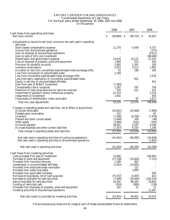#### EMCORE CORPORATION AND SUBSIDIARIES Consolidated Statements of Cash Flows For the fiscal years ended September 30, 2008, 2007 and 2006 (in thousands)

|                                                                                                                                    |    | 2008                |  | 2007           | 2006 |                      |
|------------------------------------------------------------------------------------------------------------------------------------|----|---------------------|--|----------------|------|----------------------|
| Cash flows from operating activities:<br>Net (loss) income                                                                         | \$ | $(80, 860)$ \$      |  | $(58, 722)$ \$ |      | 54,923               |
| Adjustments to reconcile net (loss) income to net cash used in operating                                                           |    |                     |  |                |      |                      |
| activities:                                                                                                                        |    |                     |  |                |      |                      |
| Stock-based compensation expense<br>Income from discontinued operations                                                            |    | 11,278              |  | 5,939          |      | 4,727<br>(373)       |
| Gain on disposal of discontinued operations                                                                                        |    |                     |  |                |      | (9, 511)             |
| Gain on sale of GELcore investment                                                                                                 |    |                     |  |                |      | (88,040)             |
| Depreciation and amortization expense                                                                                              |    | 13,616              |  | 10,122         |      | 12,332               |
| Loss on disposal of property, plant and equipment                                                                                  |    | 1,064               |  | 210            |      | 424                  |
| Provision for doubtful accounts                                                                                                    |    | 1,892               |  | 1,341          |      | 183<br>1,955         |
| Inventory write-downs<br>Accretion of loss from convertible subordinated notes exchange offer                                      |    | 5,053<br>41         |  | 3,513<br>198   |      | 165                  |
| Loss from conversion of subordinated notes                                                                                         |    | 1,169               |  |                |      |                      |
| Loss from convertible subordinated notes exchange offer                                                                            |    |                     |  |                |      | 1,078                |
| Loss from early redemption of convertible subordinated notes                                                                       |    |                     |  | 561            |      |                      |
| Equity in net loss of unconsolidated affiliates                                                                                    |    |                     |  |                |      | 931                  |
| Gain from sale of WWAT investment                                                                                                  |    | (7, 384)            |  |                |      |                      |
| Compensatory stock issuances<br>Reduction of note receivable due for services received                                             |    | 1,282<br>520        |  | 787<br>521     |      | 758<br>521           |
| Impairment of goodwill and/or intellectual property                                                                                |    | 22,233              |  |                |      | 2,233                |
| Impairment of investment                                                                                                           |    | 1,461               |  |                |      | 500                  |
| Forgiveness of shareholders' notes receivable                                                                                      |    |                     |  | 82             |      | 2,613                |
| Total non-cash adjustments                                                                                                         |    | 52,225              |  | 23,274         |      | (69, 504)            |
| Changes in operating assets and liabilities, net of effect of acquisitions:                                                        |    |                     |  |                |      |                      |
| Accounts receivable                                                                                                                |    | (24,062)            |  | (10, 408)      |      | (7,690)              |
| Related party receivables                                                                                                          |    | 332                 |  |                |      | 67                   |
| Inventory<br>Prepaid and other current assets                                                                                      |    | (7, 360)<br>(2,646) |  | (8,760)<br>358 |      | (7, 478)<br>(48)     |
| Other assets                                                                                                                       |    | (1, 895)            |  | (631)          |      | (302)                |
| Accounts payable                                                                                                                   |    | 29,581              |  | 2,187          |      | 4,148                |
| Accrued expenses and other current liabilities                                                                                     |    | (7, 257)            |  | 6,320          |      | 1,248                |
| Total change in operating assets and liabilities                                                                                   |    | (13, 307)           |  | (10, 934)      |      | (10, 055)            |
| Net cash used in operating activities of continuing operations<br>Net cash used in operating activities of discontinued operations |    | (41, 942)           |  | (46, 382)      |      | (24, 636)<br>(1,652) |
| Net cash used in operating activities                                                                                              |    | (41, 942)           |  | (46, 382)      |      | (26, 288)            |
| Cash flows from investing activities:                                                                                              |    |                     |  |                |      |                      |
| Cash proceeds from sale of investment                                                                                              |    | 13,080              |  |                |      | 100,000              |
| Purchase of plant and equipment                                                                                                    |    | (17, 238)           |  | (10,065)       |      | (7, 311)             |
| Proceeds from insurance recovery                                                                                                   |    | 1,189               |  | 362            |      |                      |
| Investments in unconsolidated affiliates                                                                                           |    | (1,503)             |  | (13, 891)      |      |                      |
| Proceeds from employee notes receivable                                                                                            |    |                     |  | 121            |      |                      |
| Proceeds from notes receivable<br>Proceeds from associated company                                                                 |    |                     |  | 3,000          |      | 500                  |
| Purchase of businesses, net of cash acquired                                                                                       |    | (75, 707)           |  | (4,097)        |      | 610                  |
| Purchase of available-for-sale securities                                                                                          |    | (7,000)             |  | (26,000)       |      | (100, 325)           |
| Sale of available-for-sale securities                                                                                              |    | 33,392              |  | 98,300         |      | 19,600               |
| Funding of restricted cash                                                                                                         |    | (316)               |  | (800)          |      | (138)                |
| Proceeds from disposals of property, plant and equipment                                                                           |    | 162                 |  | 22             |      | 21                   |
| Investing activities of discontinued operations                                                                                    |    |                     |  |                |      | 11,267               |
| Net cash (used in) provided by investing activities                                                                                | \$ | $(53,941)$ \$       |  | 46,952         | \$   | 24,224               |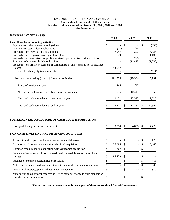#### **EMCORE CORPORATION AND SUBSIDIARIES Consolidated Statements of Cash Flows For the fiscal years ended September 30, 2008, 2007 and 2006 (in thousands)**

(Continued from previous page)

|                                                                                     |                 | 2008             |                 | 2007        |                         | 2006             |
|-------------------------------------------------------------------------------------|-----------------|------------------|-----------------|-------------|-------------------------|------------------|
| <b>Cash flows from financing activities:</b>                                        |                 |                  |                 |             |                         |                  |
| Payments on other long-term obligations                                             | \$              |                  | \$              |             | \$                      | (839)            |
| Payments on capital lease obligations<br>Proceeds from exercise of stock options    |                 | (11)<br>7,047    |                 | (44)<br>202 |                         | 6,326            |
| Proceeds from employee stock purchase plan                                          |                 | 679              |                 |             |                         | 1,108            |
| Proceeds from executives for profits received upon exercise of stock options        |                 | 31               |                 | 276         |                         |                  |
| Payments of convertible debt obligation                                             |                 |                  |                 | (11, 428)   |                         | (1,350)          |
| Proceeds from private placement of common stock and warrants, net of issuance       |                 |                  |                 |             |                         |                  |
| costs                                                                               |                 | 93,647           |                 |             |                         |                  |
| Convertible debt/equity issuance costs                                              |                 |                  |                 |             |                         | (114)            |
| Net cash provided by (used in) financing activities                                 |                 | 101,393          |                 | (10, 994)   |                         | 5,131            |
| Effect of foreign currency                                                          |                 | 566              |                 | (17)        |                         |                  |
| Net increase (decrease) in cash and cash equivalents                                |                 | 6,076            |                 | (10, 441)   |                         | 3,067            |
| Cash and cash equivalents at beginning of year                                      |                 | 12,151           |                 | 22,592      |                         | 19,525           |
| Cash and cash equivalents at end of year                                            | \$              | 18,227           | \$              | 12,151      | \$                      | 22,592           |
| SUPPLEMENTAL DISCLOSURE OF CASH FLOW INFORMATION                                    |                 |                  |                 |             |                         |                  |
| Cash paid during the period for interest                                            | \$              | 3,314            | \$              | 4,836       | \$                      | 4,428            |
| NON-CASH INVESTING AND FINANCING ACTIVITIES                                         |                 |                  |                 |             |                         |                  |
| Acquisition of property and equipment under capital leases                          | \$              |                  | \$              |             | \$                      | 126              |
| Common stock issued in connection with Intel acquisition                            | \$              | 36,085           | $\overline{\$}$ |             | $\overline{\$}$         | 6,460            |
| Common stock issued in connection with Opticomm acquisition                         | \$              | $\overline{707}$ | $\overline{\$}$ |             | $\overline{\$}$         |                  |
| Issuance of common stock for conversion of convertible senior subordinated<br>notes | \$              | 85,429           | \$              |             | \$                      |                  |
|                                                                                     |                 |                  |                 |             |                         |                  |
| Issuance of common stock in lieu of royalties                                       | $\overline{\$}$ |                  | $\overline{\$}$ |             | $\overline{\$}$         | $\overline{418}$ |
| Note receivable received in connection with sale of discontinued operations         | \$              |                  | \$              |             | $\overline{\$}$         | 3,000            |
| Purchase of property, plant and equipment on account                                | $\overline{\$}$ |                  | \$              | 390         | $\overline{\mathbb{S}}$ | 339              |

Manufacturing equipment received in lieu of earn-out proceeds from disposition of discontinued operations  $\qquad$   $\qquad$   $\qquad$   $\qquad$   $\qquad$   $\qquad$   $\qquad$   $\qquad$   $\qquad$   $\qquad$   $\qquad$   $\qquad$   $\qquad$   $\qquad$   $\qquad$   $\qquad$   $\qquad$   $\qquad$   $\qquad$   $\qquad$   $\qquad$   $\qquad$   $\qquad$   $\qquad$   $\qquad$   $\qquad$   $\qquad$   $\qquad$   $\qquad$   $\qquad$   $\qquad$   $\qquad$   $\q$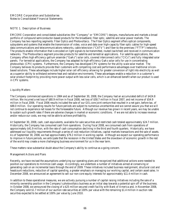## EMCORE Corporation and Subsidiaries Notes to Consolidated Financial Statements

# NOTE 1. Description of Business

EMCORE Corporation and consolidated subsidiaries (the "Company" or "EMCORE") designs, manufactures and markets a broad portfolio of compound semiconductor-based products for the broadband, fiber optic, satellite and solar power markets. The Company has two reporting segments: Fiber Optics and Photovoltaics. The Fiber Optics segment offers optical components, subsystems and systems that enable the transmission of video, voice and data over high-capacity fiber optic cables for high-speed data communications and telecommunications networks, cable television ("CATV") and fiber-to-the-premises ("FTTP") networks. The products enable information that is encoded on light signals to be transmitted, routed (switched) and received in communication networks. The Photovoltaics segment provides products for satellite and terrestrial applications. For satellite applications, the Company offers high efficiency gallium arsenide ("GaAs") solar cells, covered interconnect cells ("CICs") and fully integrated solar panels. For terrestrial applications, the Company has adapted its high-efficiency GaAs solar cells for use in concentrating photovoltaic (CPV) systems. Furthermore, the Company has developed CPV systems for the utility scale solar market. The Company believes its products provide their customers with compelling cost and performance advantages over traditional siliconbased solutions. These advantages include higher solar cell efficiency allowing for greater conversion of light into electricity as well as a superior ability to withstand extreme heat and radiation environments. These advantages enable a reduction in a customer's solar product footprint by providing more power output with less solar cells, which is an enhanced benefit when our product is used in CPV systems.

## *Liquidity Matters*

The Company commenced operations in 1984 and as of September 30, 2008, the Company had an accumulated deficit of \$424.8 million. We incurred a net loss of \$80.9 million in fiscal 2008, net loss of \$58.7 million in fiscal 2007, and net income of \$54.9 million in fiscal 2006. Fiscal 2006 results included the sale of our GELcore joint venture that resulted in a net gain, before tax, of \$88.0 million. Our operating results for future periods are subject to numerous uncertainties and we cannot assure you that we will not continue to experience net losses for the foreseeable future. Although our revenue has grown in recent years, we may be unable to sustain such growth rates if there are adverse changes in market or economic conditions. If we are not able to increase revenue and/or reduce our costs, we may not be able to achieve profitability.

At September 30, 2008, cash, cash equivalents, available-for-sale securities and restricted cash totaled approximately \$24.7 million. Historically, the Company has consumed cash from operations. During fiscal 2008, we consumed cash from operations of approximately \$41.9 million, with the rate of cash consumption declining in the third and fourth quarters. Historically, we have addressed our liquidity requirements through a series of cost reduction initiatives, capital markets transactions and the sale of assets. As of September 30, 2008, we had approximately \$79.2 million in working capital. Although we expect our operating performance to improve in future periods, we anticipate that the recession in the United States and the slowdown of economic growth in the rest of the world may create a more challenging business environment for us in the near term.

These matters raise substantial doubt about the Company's ability to continue as a going concern.

## Management Actions and Plans

Recently, we have revised the assumptions underlying our operating plans and recognized that additional actions were needed to position our operations to minimize cash usage. Accordingly, we undertook a number of initiatives aimed at conserving or generating cash on an incremental basis through the end of 2009. These initiatives included business realignment, structural cost and headcount reductions, reduction of capital spending, a greater emphasis on managing our working capital, and certain asset sales. In December 2008, we announced an agreement to sell our non-core equity interests for approximately \$11.4 million in cash.

In addition to these operational measures, we are actively pursuing a number of capital raising initiatives including the sale of a minority ownership position in the Company's photovoltaics business as an initial step towards a potential spin off of the business. In October 2008, we announced the closing of a \$25 million secured credit facility with Bank of America and, in November 2008, the Company sold \$1.7 million of our auction rate securities at 100% par value with the remaining \$1.4 million in auction rate securities expected to be settled at 100% par value by June 2010.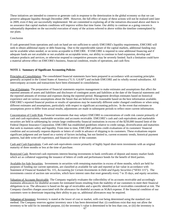These initiatives are intended to conserve or generate cash in response to the deterioration in the global economy so that we can preserve adequate liquidity through December 2009. However, the full effect of many of these actions will not be realized until later in 2009, even if they are successfully implemented. We are committed to exploring all of the initiatives discussed above and there is no assurance that capital markets conditions will improve within that time frame. Our ability to continue as a going concern is substantially dependent on the successful execution of many of the actions referred to above within the timeline contemplated by our plans.

### Conclusion

If cash generated from operations and cash on hand are not sufficient to satisfy EMCORE's liquidity requirements, EMCORE will seek to obtain additional equity or debt financing. Due to the unpredictable nature of the capital markets, additional funding may not be available when needed, or on terms acceptable to EMCORE. If EMCORE is required to raise additional financing and if adequate funds are not available or not available on acceptable terms, our ability to continue to fund expansion, develop and enhance products and services, or otherwise respond to competitive pressures may be severely limited. Such a limitation could have a material adverse effect on EMCORE's business, financial condition, results of operations, and cash flow.

### **NOTE 2. Summary of Significant Accounting Policies**

Principles of Consolidation. The consolidated financial statements have been prepared in accordance with accounting principles generally accepted in the United States of America ("U.S. GAAP") and include EMCORE and its wholly owned subsidiaries. All intercompany accounts and transactions have been eliminated in consolidation.

Use of Estimates. The preparation of financial statements requires management to make estimates and assumptions that affect the reported amounts of assets and liabilities and disclosure of contingent assets and liabilities at the date of the financial statements and the reported amounts of revenue and expenses during the reported period. Management develops estimates based on historical experience and on various assumptions about the future that are believed to be reasonable based on the best information available. EMCORE's reported financial position or results of operations may be materially different under changed conditions or when using different estimates and assumptions, particularly with respect to significant accounting policies. In the event that estimates or assumptions prove to differ from actual results, adjustments are made in subsequent periods to reflect more current information.

Concentration of Credit Risk. Financial instruments that may subject EMCORE to concentrations of credit risk consist primarily of cash and cash equivalents, marketable securities and accounts receivable. EMCORE's cash and cash equivalents and marketable securities are held in safekeeping by certain large creditworthy financial institutions in excess of the \$250,000 insured limit of the Federal Deposit Insurance Corporation. EMCORE has established guidelines relative to credit ratings, diversification and maturities that seek to maintain safety and liquidity. From time to time, EMCORE performs credit evaluations of its customers' financial condition and occasionally requests deposits or letters of credit in advance of shipping to its customers. These evaluations require significant judgment and are based on a variety of factors including, but not limited to, current economic trends, historical payment patterns, bad debt write-off experience, and financial review of the customer.

Cash and Cash Equivalents. Cash and cash equivalents consist primarily of highly liquid short-term investments with an original maturity of three months or less at the time of purchase.

Restricted Cash. Restricted cash represents interest-bearing investments in bank certificates of deposit and money market funds which act as collateral supporting the issuance of letters of credit and performance bonds for the benefit of third parties.

Available-for-Sale Securities. Investments in securities with remaining maturities in excess of three months, which are held for purposes of funding our current operations, are classified as available for sale and reported at fair value in accordance with Statement of Financial Standard No. 115, *Accounting for Certain Investments in Debt and Equity Securities* ("SFAS 115"). The investments consist of auction rate securities, which have interest rates that reset generally every 7 to 35 days, and equity securities.

Valuation of Accounts Receivable. The Company regularly evaluates the collectibility of its accounts receivable and accordingly maintains allowances for doubtful accounts for estimated losses resulting from the inability of our customers to meet their financial obligations to us. The allowance is based on the age of receivables and a specific identification of receivables considered at risk. The Company classifies charges associated with the allowance for doubtful accounts as SG&A expense. If the financial condition of our customers were to deteriorate impacting their ability to pay us, additional allowances may be required.

Valuation of Inventory. Inventory is stated at the lower of cost or market, with cost being determined using the standard cost method. The Company reserves against inventory once it has been determined that: (i) conditions exist that may not allow the inventory to be sold for its intended purpose, (ii) the inventory's value is determined to be less than cost, or (iii) the inventory is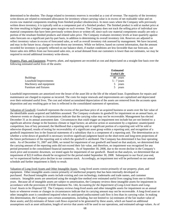determined to be obsolete. The charge related to inventory reserves is recorded as a cost of revenue. The majority of the inventory write-downs are related to estimated allowances for inventory whose carrying value is in excess of net realizable value and on excess raw material components resulting from finished product obsolescence. In most cases where the Company sells previously written down inventory, it is typically sold as a component part of a finished product. The finished product is sold at market price at the time resulting in higher average gross margin on such revenue. The Company does not track the selling price of individual raw material components that have been previously written down or written off, since such raw material components usually are only a portion of the resultant finished products and related sales price. The Company evaluates inventory levels at least quarterly against sales forecasts on a significant part-by-part basis, in addition to determining its overall inventory risk. Reserves are adjusted to reflect inventory values in excess of forecasted sales, as well as overall inventory risk assessed by management. We have incurred, and may in the future incur, charges to write-down our inventory. While we believe, based on current information, that the amount recorded for inventory is properly reflected on our balance sheet, if market conditions are less favorable than our forecasts, our future sales mix differs from our forecasted sales mix, or actual demand from our customers is lower than our estimates, we may be required to record additional inventory write-downs.

Property, Plant, and Equipment. Property, plant, and equipment are recorded at cost and depreciated on a straight-line basis over the following estimated useful lives of the assets:

|                         | <b>Estimated</b>   |
|-------------------------|--------------------|
|                         | <b>Useful Life</b> |
| <b>Buildings</b>        | 40<br>years        |
| Leasehold Improvements  | $5 - 7$ years      |
| Machinery and equipment | vears<br>5         |
| Furniture and fixtures  | years<br>5         |

Leasehold improvements are amortized over the lesser of the asset life or the life of the related lease. Expenditures for repairs and maintenance are charged to expense as incurred. The costs for major renewals and improvements are capitalized and depreciated over their estimated useful lives. The cost and related accumulated depreciation of the assets are removed from the accounts upon disposition and any resulting gain or loss is reflected in the consolidated statement of operations.

Valuation of Goodwill. Goodwill represents the excess of the purchase price of an acquired business or assets over the fair value of the identifiable assets acquired and liabilities assumed. The Company evaluates its goodwill for impairment on an annual basis, or whenever events or changes in circumstances indicate that the carrying value may not be recoverable. Management has elected December 31 as its annual assessment date. Circumstances that could trigger an impairment test include but are not limited to: a significant adverse change in the business climate or legal factors; an adverse action or assessment by a regulator; unanticipated competition; loss of key personnel; the likelihood that a reporting unit or significant portion of a reporting unit will be sold or otherwise disposed; results of testing for recoverability of a significant asset group within a reporting unit; and recognition of a goodwill impairment loss in the financial statements of a subsidiary that is a component of a reporting unit. The determination as to whether a write-down of goodwill is necessary involves significant judgment based on the short-term and long-term projections of the future performance of the reporting unit to which the goodwill is attributed. The Company has determined it has four operating units. As of December 31, 2007 and 2006, we tested for impairment of our goodwill and based on that analysis, we determined that the carrying amount of the reporting units did not exceed their fair value, and therefore, no impairment was recognized for any period presented in the consolidated financial statements. As of September 30, 2008, due to the recent decline in the Company's stock price and economic downturn, we tested again for impairment of our goodwill. Based on that analysis, we determined that an impairment of \$22.0 million should be recognized for the period ended September 30, 2008. Subsequent to our fiscal year-end, we've experienced further price decline in our common stock. Accordingly, an impairment test will be performed on our annual schedule and further impairment is likely to result.

Valuation of Long-lived Assets and Other Intangible Assets. Long-lived assets consist primarily of our property, plant, and equipment. Other intangible assets consist primarily of intellectual property that has been internally developed or purchased. Purchased intangible assets include existing and core technology, trademarks and trade names, and customer contracts. Intangible assets are amortized using the straight-line method over estimated useful lives ranging from one to fifteen years. Because all of intangible assets are subject to amortization, the Company reviews these intangible assets for impairment in accordance with the provisions of FASB Statement No. 144, *Accounting for the Impairment of Long-Lived Assets and Long-Lived Assets to be Disposed Of.* The Company reviews long-lived assets and other intangible assets for impairment on an annual basis or whenever events or changes in circumstances indicate that its carrying amount may not be recoverable. A long-lived asset or other intangible asset is considered impaired when its anticipated undiscounted cash flow is less than its carrying value. In making this determination, the Company uses certain assumptions, including, but not limited to: (a) estimates of the fair market value of these assets; and (b) estimates of future cash flows expected to be generated by these assets, which are based on additional assumptions such as asset utilization, length of service that assets will be used in our operations, and estimated salvage values. As of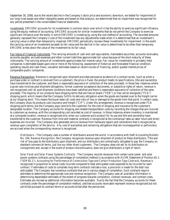September 30, 2008, due to the recent decline in the Company's stock price and economic downturn, we tested for impairment of our long-lived assets and other intangible assets and based on that analysis, we determined that no impairment was recognized for any period presented in the consolidated financial statements.

Investments. EMCORE accounts for its investments in common stock over which it has the ability to exercise significant influence, using the equity method of accounting. EMCORE accounts for similar investments that do not permit the Company to exercise significant influence over the entity in which EMCORE is investing by using the cost method of accounting. The recorded amounts generally represent the Company's cost of the investment less any adjustments made when it is determined that an investment's carrying value is other-than-temporarily impaired. EMCORE periodically reviews these investments for impairment. In the event the carrying value of an investment exceeds its fair value and the decline in fair value is determined to be other-than-temporary, EMCORE writes down the value of the investment to its fair value.

Fair Value of Financial Instruments. The carrying amounts of cash and cash equivalents, marketable securities, accounts receivable, accounts payable, accrued expenses and other current liabilities approximate fair value because of the short maturity of these instruments. The carrying amount of investments approximates fair market value. Fair value for investments in privately-held companies is estimated based upon one or more of the following: assessment of historical and forecasted financial condition; operating results and cash flows, valuation estimates based on recent rounds of financing, and/or quoted market prices of comparable public companies.

Revenue Recognition. Revenue is recognized upon shipment provided persuasive evidence of a contract exists, (such as when a purchase order or contract is received from a customer), the price is fixed, the product meets its specifications, title and ownership have transferred to the customer, and there is reasonable assurance of collection of the sales proceeds. In those few instances where a given sale involves post shipment obligations, formal customer acceptance documents, or subjective rights of return, revenue is not recognized until all post-shipment conditions have been satisfied and there is reasonable assurance of collection of the sales proceeds. The majority of our products have shipping terms that are free on board ("FOB") or free carrier alongside ("FCA") shipping point, which means that the Company fulfills its delivery obligation when the goods are handed over to the freight carrier at our shipping dock. This means the buyer bears all costs and risks of loss or damage to the goods from that point. In certain cases, the Company ships its products cost insurance and freight ("CIF"). Under this arrangement, revenue is recognized under FCA shipping point terms, but the Company pays (and bills the customer) for the cost of shipping and insurance to the customer's designated location. The Company accounts for shipping and related transportation costs by recording the charges that are invoiced to customers as revenue, with the corresponding cost recorded as cost of revenue. In those instances where inventory is maintained at a consigned location, revenue is recognized only when our customer pulls product for its use and title and ownership have transferred to the customer. Revenue from time and material contracts is recognized at the contractual rates as labor hours and direct expenses are incurred. The Company also generates service revenue from hardware repairs and calibrations that is recognized as revenue upon completion of the service. Any cost of warranties and remaining obligations that are inconsequential or perfunctory are accrued when the corresponding revenue is recognized.

*Distributors* - The Company uses a number of distributors around the world. In accordance with Staff Accounting Bulletin No. 104, *Revenue Recognition*, the Company recognizes revenue upon shipment of product to these distributors. Title and risk of loss pass to the distributors upon shipment, and our distributors are contractually obligated to pay the Company on standard commercial terms, just like our other direct customers. The Company does not sell to its distributors on consignment and, except in the event of product discontinuance, does not give distributors a right of return.

*Solar Panel and Solar Power Systems Contracts* - The Company records revenues from certain solar panel and solar power systems contracts using the percentage-of-completion method in accordance with AICPA Statement of Position 81-1 ("SOP 81-1"), *Accounting for Performance of Construction-Type and Certain Production-Type Contracts*. Revenue is recognized in proportion to actual costs incurred compared to total anticipated costs expected to be incurred for each contract. If estimates of costs to complete long-term contracts indicate a loss, a provision is made for the total loss anticipated. The Company has numerous contracts that are in various stages of completion. Such contracts require estimates to determine the appropriate cost and revenue recognition. The Company uses all available information in determining dependable estimates of the extent of progress towards completion, contract revenues, and contract costs. Estimates are revised as additional information becomes available. Due to the fact that the Company accounts for these contracts under the percentage-of-completion method, unbilled accounts receivable represent revenue recognized but not yet billed pursuant to contract terms or accounts billed after the period end.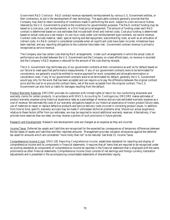*Government R&D Contracts* - R&D contract revenue represents reimbursement by various U.S. Government entities, or their contractors, to aid in the development of new technology. The applicable contracts generally provide that the Company may elect to retain ownership of inventions made in performing the work, subject to a non-exclusive license retained by the U.S. Government to practice the inventions for governmental purposes. The R&D contract funding may be based on a cost-plus, cost reimbursement, or a firm fixed price arrangement. The amount of funding under each R&D contract is determined based on cost estimates that include both direct and indirect costs. Cost-plus funding is determined based on actual costs plus a set margin. As we incur costs under cost reimbursement type contracts, we record revenue. Contract costs include material, labor, special tooling and test equipment, subcontracting costs, as well as an allocation of indirect costs. An R&D contract is considered complete when all significant costs have been incurred, milestones have been reached, and any reporting obligations to the customer have been met. Government contract revenue is primarily recognized as service revenue.

The Company also has certain cost-sharing R&D arrangements. Under such arrangements in which the actual costs of performance are divided between the U.S. Government and the Company on a best efforts basis, no revenue is recorded and the Company's R&D expense is reduced for the amount of the cost-sharing receipts.

The U.S. Government may terminate any of our government contracts at their convenience as well as for default based on our failure to meet specified performance measurements. If any of our government contracts were to be terminated for convenience, we generally would be entitled to receive payment for work completed and allowable termination or cancellation costs. If any of our government contracts were to be terminated for default, generally the U.S. Government would pay only for the work that has been accepted and can require us to pay the difference between the original contract price and the cost to re-procure the contract items, net of the work accepted from the original contract. The U.S. Government can also hold us liable for damages resulting from the default.

Product Warranty Reserves. EMCORE provides its customers with limited rights of return for non-conforming shipments and warranty claims for certain products. In accordance with SFAS 5, *Accounting for Contingencies,* EMCORE makes estimates of product warranty expense using historical experience rates as a percentage of revenue and accrues estimated warranty expense as a cost of revenue. We estimate the costs of our warranty obligations based on our historical experience of known product failure rates, use of materials to repair or replace defective products and service delivery costs incurred in correcting product issues. In addition, from time to time, specific warranty accruals may be made if unforeseen technical problems arise. Should our actual experience relative to these factors differ from our estimates, we may be required to record additional warranty reserves. Alternatively, if we provide more reserves than we need, we may reverse a portion of such provisions in future periods.

Research and Development. Research and development costs are charged as an expense as they are incurred.

Income Taxes. Deferred tax assets and liabilities are recognized for the expected tax consequences of temporary differences between the tax bases of assets and liabilities and their reported amounts. Management provides valuation allowances against the deferred tax asset for amounts which are considered "more likely than not" to be realized. See Note 15, Income Taxes.

Comprehensive Income (Loss). SFAS 130, *Reporting Comprehensive Income*, establishes standards for reporting and display of comprehensive income and its components in financial statements. It requires that all items that are required to be recognized under accounting standards as components of comprehensive income be reported in the financial statement that is displayed with the same prominence as other financial statements. Comprehensive income (loss) consists of net earnings and foreign currency translation adjustments and is presented in the accompanying consolidated statements of shareholders' equity.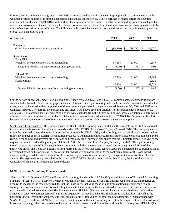Earnings Per Share. Basic earnings per share ("EPS") are calculated by dividing net earnings applicable to common stock by the weighted average number of common stock shares outstanding for the period. Diluted earnings per share reflect the potential dilution that could occur if EMCORE's outstanding stock options were exercised. The effect of outstanding common stock purchase options and warrants and the convertible subordinated notes has been excluded from the diluted earnings per share calculation if the effect of such securities is anti-dilutive. The following table reconciles the numerators and denominators used in the computations of both basic and diluted EPS:

| (in thousands)                                           |    | 2008           |  | 2007           | 2006 |        |  |
|----------------------------------------------------------|----|----------------|--|----------------|------|--------|--|
| Numerator:                                               |    |                |  |                |      |        |  |
| (Loss) income from continuing operations                 | \$ | $(80, 860)$ \$ |  | $(58, 722)$ \$ |      | 45,039 |  |
| Denominator:<br>Basic EPS:                               |    |                |  |                |      |        |  |
| Weighted average common shares outstanding               |    | 67,568         |  | 51,001         |      | 49,687 |  |
| Basic EPS for (loss) income from continuing operations   |    | $(1.20)$ \$    |  | $(1.15)$ \$    |      | 0.91   |  |
| Diluted EPS:                                             |    |                |  |                |      |        |  |
| Weighted average common shares outstanding               |    | 67,568         |  | 51,001         |      | 49,687 |  |
| Stock options                                            |    |                |  |                |      | 2,332  |  |
|                                                          |    | 67,568         |  | 51,001         |      | 52,019 |  |
| Diluted EPS for (loss) income from continuing operations |    | $(1.20)$ \$    |  | $(1.15)$ \$    |      | 0.87   |  |
|                                                          |    |                |  |                |      |        |  |

For the periods ended September 30, 2008 and 2007, respectively, 2,255,527 and 5,697,766 common shares representing options were excluded from the diluted earnings per share calculations. These options, along with the Company's convertible subordinated notes, were not included in the computation of diluted earnings per share in the periods ended September 30, 2008 and 2007 as the Company incurred a net loss for the periods and any effect would have been anti-dilutive. For the period ended September 30, 2006, 2,331,715 common shares representing options were excluded from the diluted earnings per share calculations. There was no dilutive effect from these shares or the shares related to our convertible subordinated notes of 12,016,930 at September 30, 2006 because the average market price of our common stock during that period did not exceed the conversion price.

Stock-Based Compensation. The Company uses the Black-Scholes option-pricing model and the straight-line attribution approach to determine the fair-value of stock-based awards under SFAS 123(R), *Share-Based Payment (revised 2004).* The Company elected to use the modified prospective transition method as permitted by SFAS 123(R) and accordingly prior periods were not restated to reflect the impact of SFAS 123(R). The modified prospective transition method requires that stock-based compensation expense be recorded for all new and unvested stock options and employee stock purchase plan shares that are ultimately expected to vest as the requisite service is rendered beginning on October 1, 2005, the first day of the Company's fiscal year 2006. The option-pricing model requires the input of highly subjective assumptions, including the option's expected life and the price volatility of the underlying stock. The Company's expected term represents the period that stock-based awards are expected to be outstanding and is determined based on historical experience of similar awards, giving consideration to the contractual terms of the stock-based awards, vesting schedules and expectations of future employee behavior as influenced by changes to the terms of its stock-based awards. The expected stock price volatility is based on EMCORE's historical stock prices. See Note 4, Equity, of the Notes to Consolidated Financial Statements for further details.

#### **NOTE 3. Recent Accounting Pronouncements**

 $SFAST 141(R)$  - In December 2007, the Financial Accounting Standards Board ("FASB") issued Statement of Financial Accounting Standard ("SFAS") 141(R), *Business Combinations*. This statement replaces SFAS 141, *Business Combinations,* and requires an acquirer to recognize the assets acquired, the liabilities assumed, including those arising from contractual contingencies, any contingent consideration, and any noncontrolling interest in the acquiree at the acquisition date, measured at their fair values as of that date, with limited exceptions specified in the statement. SFAS 141(R) also requires the acquirer in a business combination achieved in stages (sometimes referred to as a step acquisition) to recognize the identifiable assets and liabilities, as well as the noncontrolling interest in the acquiree, at the full amounts of their fair values (or other amounts determined in accordance with SFAS 141(R)). In addition, SFAS 141(R)'s requirement to measure the noncontrolling interest in the acquiree at fair value will result in recognizing the goodwill attributable to the noncontrolling interest in addition to that attributable to the acquirer. SFAS 141(R)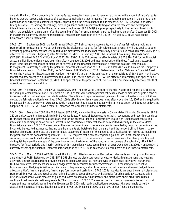amends SFAS No. 109, *Accounting for Income Taxes*, to require the acquirer to recognize changes in the amount of its deferred tax benefits that are recognizable because of a business combination either in income from continuing operations in the period of the combination or directly in contributed capital, depending on the circumstances. It also amends SFAS 142, *Goodwill and Other Intangible Assets*, to, among other things, provide guidance on the impairment testing of acquired research and development intangible assets and assets that the acquirer intends not to use. SFAS 141(R) applies prospectively to business combinations for which the acquisition date is on or after the beginning of the first annual reporting period beginning on or after December 15, 2008. Management is currently assessing the potential impact that the adoption of SFAS 141(R) in fiscal 2010 could have on the Company's financial statements.

SFAS 157 - In September 2006, the FASB issued SFAS 157, *Fair Value Measurements,* which defines fair value, providing a framework for measuring fair value, and expands the disclosures required for fair value measurements. SFAS 157 applies to other accounting pronouncements that require fair value measurements; it does not require any new fair value measurements. SFAS 157 is effective for fiscal years beginning after November 15, 2007. In February 2008, the Financial Accounting Standards Board ("FASB") finalized FASB Staff Position ("FSP") No. 157-2. This FSP delays the effective date of SFAS No. 157 for nonfinancial assets and liabilities to fiscal years beginning after November 15, 2008 and interim periods within those fiscal years, except for those items that are recognized or disclosed at fair value in the financial statements on a recurring basis (at least annually). Management is currently assessing the potential impact that the adoption of SFAS 157 in fiscal 2009 could have on the Company's financial statements. In October 2008, the FASB issued FSP SFAS No. 157-3, *"*Determining the Fair Value of a Financial Asset When The Market for That Asset Is Not Active" (FSP 157-3), to clarify the application of the provisions of SFAS 157 in an inactive market and how an entity would determine fair value in an inactive market. FSP 157-3 is effective immediately and applies to our financial statements on September 30, 2008. The application of the provisions of FSP 157-3 did not materially affect our results of operations or financial condition.

SFAS 159 - In February 2007, the FASB issued SFAS 159, *The Fair Value Option for Financial Assets and Financial Liabilities – Including an Amendment of FASB Statement No. 115*. The fair value option permits entities to choose to measure eligible financial instruments at fair value at specified election dates. The entity will report unrealized gains and losses on the items on which it has elected the fair value option in earnings. SFAS 159 is effective for fiscal years beginning after November 15, 2007 and is required to be adopted by the Company on October 1, 2008. Management has elected to not apply the fair value option and does not believe the adoption of SFAS 159 will have a material impact on the Company's financial statements.

SFAS 160 - In December 2007, the FASB issued SFAS 160, *Noncontrolling Interests in Consolidated Financial Statements*. SFAS 160 amends Accounting Research Bulletin 51, *Consolidated Financial Statements*, to establish accounting and reporting standards for the noncontrolling interest in a subsidiary and for the deconsolidation of a subsidiary. It also clarifies that a noncontrolling interest in a subsidiary is an ownership interest in the consolidated entity that should be reported as equity in the consolidated financial statements. SFAS 160 also changes the way the consolidated income statement is presented by requiring consolidated net income to be reported at amounts that include the amounts attributable to both the parent and the noncontrolling interest. It also requires disclosure, on the face of the consolidated statement of income, of the amounts of consolidated net income attributable to the parent and to the noncontrolling interest. SFAS 160 requires that a parent recognize a gain or loss in net income when a subsidiary is deconsolidated and requires expanded disclosures in the consolidated financial statements that clearly identify and distinguish between the interests of the parent owners and the interests of the noncontrolling owners of a subsidiary. SFAS 160 is effective for fiscal periods, and interim periods within those fiscal years, beginning on or after December 15, 2008. Management is currently assessing the potential impact that the adoption of SFAS 160 in calendar 2009 could have on our financial statements.

SFAS 161 - In March 2008, the FASB issued SFAS No. 161, *Disclosures about Derivative Instruments and Hedging Activities an amendment of FASB Statement No. 133*. SFAS 161 changes the disclosure requirements for derivative instruments and hedging activities. Entities are required to provide enhanced disclosures about (a) how and why an entity uses derivative instruments, (b) how derivative instruments and related hedge items are accounted for under Statement 133, *Accounting for Derivative Instruments and Hedging Activities,* and its related interpretations, and (c) how derivative instruments and related hedged items affect an entity's financial position, financial performance, and cash flows. SFAS 161 is intended to enhance the current disclosure framework in SFAS 133 and requires qualitative disclosures about objectives and strategies for using derivatives, quantitative disclosures about fair value amounts of gains and losses on derivative instruments, and disclosures about credit-risk related contingent features in derivative agreements. The provisions of SFAS 161 are effective for financial statements issued for fiscal years and interim periods beginning after November 15, 2008, with early application encouraged. Management is currently assessing the potential impact that the adoption of SFAS 161 in calendar 2009 could have on our financial statements.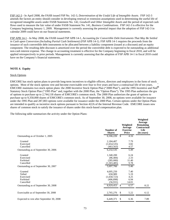FSP 142-3 - In April 2008, the FASB issued FSP No. 142-3, *Determination of the Useful Life of Intangible Assets.* FSP 142-3 amends the factors an entity should consider in developing renewal or extension assumptions used in determining the useful life of recognized intangible assets under FASB Statement No. 142, *Goodwill and Other Intangible Assets* and the period of expected cash flows used to measure the fair value of under FASB Statement No. 141, *Business Combinations.* FSP 142-3 is effective for the Company beginning January 1, 2009. Management is currently assessing the potential impact that the adoption of FSP 142-3 in calendar 2009 could have on our financial statements.

FSP APB 14-1 - In May 2008, the FASB issued FSP APB 14-1, *Accounting for Convertible Debt Instruments That May Be Settled in Cash upon Conversion (Including Partial Cash Settlement)* (FSP APB 14-1). FSP APB 14-1 requires the proceeds from the issuance of such convertible debt instruments to be allocated between a liability component (issued at a discount) and an equity component. The resulting debt discount is amortized over the period the convertible debt is expected to be outstanding as additional non-cash interest expense. The change in accounting treatment is effective for the Company beginning in fiscal 2010, and will be applied retrospectively to prior periods. Management is currently assessing that the adoption of FSP APB 14-1 in fiscal 2010 could have on the Company's financial statements.

### **NOTE 4. Equity**

### **Stock Options**

EMCORE has stock option plans to provide long-term incentives to eligible officers, directors and employees in the form of stock options. Most of the stock options vest and become exercisable over four to five years and have a contractual life of ten years. EMCORE maintains two stock option plans: the 2000 Incentive Stock Option Plan ("2000 Plan"), and the 1995 Incentive and Non nt - Statutory Stock Option Plan ("1995 Plan" and, together with the 2000 Plan, the "Option Plans"). The 1995 Plan authorizes the gra of options to purchase up to 2,744,118 shares of EMCORE's common stock. The 2000 Plan authorizes the grant of options to purchase up to 9,350,000 shares of EMCORE's common stock. As of September 30, 2008, no options were available for issuance under the 1995 Plan and 287,003 options were available for issuance under the 2000 Plan. Certain options under the Option Plans are intended to qualify as incentive stock options pursuant to Section 422A of the Internal Revenue Code. EMCORE issues new shares of common stock to satisfy the issuance of shares under this stock-based compensation plan.

The following table summarizes the activity under the Option Plans:

|                                                                                                  | Number of<br><b>Shares</b>                                                  | Weighted<br>Average<br><b>Exercise</b><br>Price     | Weighted<br>Average<br><b>Remaining</b><br><b>Contractual</b><br>Life<br>(in years) |
|--------------------------------------------------------------------------------------------------|-----------------------------------------------------------------------------|-----------------------------------------------------|-------------------------------------------------------------------------------------|
| Outstanding as of October 1, 2005                                                                | 6,166,226                                                                   | $\overline{\mathbb{S}}$<br>4.16                     |                                                                                     |
| Granted<br>Exercised<br>Cancelled<br>Outstanding as of September 30, 2006                        | 2,184,407<br>(1,654,535)<br>(463, 563)<br>6,232,535                         | 7.79<br>3.82<br>4.57<br>5.49                        |                                                                                     |
| Granted<br>Exercised<br>Forfeited<br>Cancelled<br>Outstanding as of September 30, 2007           | 1,340,200<br>(86, 484)<br>(285,000)<br>(1,503,485)<br>5,697,766             | 6.24<br>2.33<br>11.40<br>9.78<br>5.46               |                                                                                     |
| Granted<br>Tolled<br>Exercised<br>Forfeited<br>Cancelled<br>Outstanding as of September 30, 2008 | 4,695,250<br>658,989<br>(1,658,723)<br>(406, 898)<br>(56, 931)<br>8,929,453 | 7.40<br>5.19<br>4.25<br>6.94<br>14.01<br>6.57<br>\$ | 8.22                                                                                |
| Exercisable as of September 30, 2008                                                             | 2,765,276                                                                   | 5.22<br>$\mathbb{S}$                                | 6.12                                                                                |
| Expected to vest after September 30, 2008                                                        | 6,449,371                                                                   | \$<br>6.36                                          | 7.89                                                                                |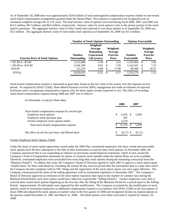As of September 30, 2008 there was approximately \$18.0 million of total unrecognized compensation expense related to non-vested stock-based compensation arrangements granted under the Option Plans. This expense is expected to be recognized over an estimated weighted average life of 3.41 years. The total intrinsic value of options exercised during fiscal 2008, 2007, and 2006 was \$11.6 million, \$0.3 million, and \$8.0 million, respectively. Intrinsic value for stock options is the in-the-money portion of the stock option's premium. The aggregate intrinsic value of fully vested and expected to vest share options as of September 30, 2008 was \$3.5 million. The aggregate intrinsic value of exercisable stock options as of September 30, 2008 was \$3.3 million.

|                                        | <b>Number of Stock Options Outstanding</b> | <b>Options Exercisable</b>                                                           |                                                                |       |                                     |   |                                                         |
|----------------------------------------|--------------------------------------------|--------------------------------------------------------------------------------------|----------------------------------------------------------------|-------|-------------------------------------|---|---------------------------------------------------------|
| <b>Exercise Price of Stock Options</b> | <b>Number</b><br><b>Outstanding</b>        | Weighted<br><b>Average</b><br><b>Remaining</b><br><b>Contractual</b><br>Life (years) | <b>Weighted-</b><br>Average<br><b>Exercise</b><br><b>Price</b> |       | <b>Number</b><br><b>Exercisable</b> |   | Weighted-<br>Average<br><b>Exercise</b><br><b>Price</b> |
| $>=\$1.00$ to $<\$5.00$                | 2.212.084                                  | 6.39                                                                                 | \$.                                                            | 3.23  | 1,533,465                           | S | 2.82                                                    |
| $>= $5.00$ to $< $10.00$               | 6,566,299                                  | 8.91                                                                                 | \$.                                                            | 7.45  | 1,142,431                           | S | 7.22                                                    |
| > \$10.00                              | 151,070                                    | 4.89                                                                                 | S                                                              | 17.08 | 89,380                              | S | 20.91                                                   |
| <b>TOTAL</b>                           | 8,929,453                                  | 8.22                                                                                 | S                                                              | 6.57  | 2,765,276                           | S | 5.22                                                    |

Stock-based compensation expense is measured at grant date, based on the fair value of the award, over the requisite service period. As required by SFAS 123(R), *Share-Based Payment (revised 2004)*, management has made an estimate of expected forfeitures and is recognizing compensation expense only for those equity awards expected to vest. The effect of recording stock-based compensation expense during 2008 and 2007 was as follows:

*(in thousands, except per share data)*

|                                                    | 2008        | 2007   |
|----------------------------------------------------|-------------|--------|
| Stock-based compensation expense by award type:    |             |        |
| Employee stock options                             | $6,455$ \$  | 5.939  |
| Employee stock purchase plan                       | 507         |        |
| Former employee stock options tolled               | 4.316       |        |
| Total stock-based compensation expense             | 11.278      | 5.939  |
| Net effect on net loss per basic and diluted share | $(0.17)$ \$ | (0.12) |

#### Former Employee Stock Options Tolled

Under the terms of stock option agreements issued under the 2000 Plan, terminated employees who have vested and exercisable stock options have 90 days subsequent to the date of their termination to exercise their stock options. In November 2006, the Company announced that it was suspending its reliance on previously issued financial statements, which in turn caused the Company's Form S-8 registration statements for shares of common stock issuable under the Option Plans not to be available. Therefore, terminated employees were precluded from exercising their stock options during the remaining contractual term (the "Blackout Period"). To address this issue, the Company's Board of Directors agreed in April 2007 to approve a stock option grant "modification" for these individuals by extending the normal 90-day exercise period after the termination date to a date after which the Company became compliant with its SEC filings and the registration of the stock option shares was once again effective. The Company communicated the terms of the tolling agreement with its terminated employees in November 2007. The Company's Board of Directors approved an extension of the stock option expiration date equal to the number of calendar days during the Blackout Period before such stock option would have otherwise expired (the "Tolling Period"). Former employees were able to exercise their vested stock options beginning on the first day after the lifting of the Blackout Period for a period equal to the Tolling Period. Approximately 50 individuals were impacted by this modification. The Company accounted for the modification of stock options issued to terminated employees as additional compensation expense in accordance with SFAS 123(R) in the first quarter of fiscal 2008 and adjusted the stock options to market value in the first quarter of 2008 and recognized income on expired options in the quarters ended December 31, 2007 and March 31, 2008. All tolled options were either exercised or expired by January 29, 2008.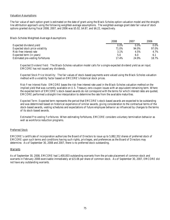### Valuation Assumptions

The fair value of each option grant is estimated on the date of grant using the Black-Scholes option valuation model and the straightline attribution approach using the following weighted-average assumptions. The weighted-average grant date fair value of stock options granted during fiscal 2008, 2007, and 2006 was \$5.02, \$4.87, and \$6.22, respectively.

### Black-Scholes Weighted-Average Assumptions

|                                    | 2008    | 2007    | 2006    |
|------------------------------------|---------|---------|---------|
| Expected dividend yield            | $0.0\%$ | $0.0\%$ | $0.0\%$ |
| Expected stock price volatility    | 71.0%   | 94.0%   | 97.0%   |
| Risk-free interest rate            | 3.1%    | 4.5%    | 4.7%    |
| Expected term (in years)           | 5.0     | 6.0     | 6.1     |
| Estimated pre-vesting for feitures | 17.4%   | 24.9%   | 18.7%   |

*Expected Dividend Yield:* The Black-Scholes valuation model calls for a single expected dividend yield as an input. EMCORE has not issued any dividends.

*Expected Stock Price Volatility:* The fair values of stock-based payments were valued using the Black-Scholes valuation method with a volatility factor based on EMCORE's historical stock prices.

*Risk-Free Interest Rate*: EMCORE bases the risk-free interest rate used in the Black-Scholes valuation method on the implied yield that was currently available on U.S. Treasury zero-coupon issues with an equivalent remaining term. Where the expected term of EMCORE's stock-based awards do not correspond with the terms for which interest rates are quoted, EMCORE performed a straight-line interpolation to determine the rate from the available maturities.

*Expected Term:* Expected term represents the period that EMCORE's stock-based awards are expected to be outstanding and was determined based on historical experience of similar awards, giving consideration to the contractual terms of the stock-based awards, vesting schedules and expectations of future employee behavior as influenced by changes to the terms of its stock-based awards.

*Estimated Pre-vesting Forfeitures:* When estimating forfeitures, EMCORE considers voluntary termination behavior as well as workforce reduction programs.

# Preferred Stock

EMCORE's certificate of incorporation authorizes the Board of Directors to issue up to 5,882,352 shares of preferred stock of EMCORE upon such terms and conditions having such rights, privileges, and preferences as the Board of Directors may determine. As of September 30, 2008 and 2007, there is no preferred stock outstanding.

### **Warrants**

As of September 30, 2008, EMCORE had 1,400,003 outstanding warrants from the private placement of common stock and warrants in February 2008 exercisable immediately at \$15.06 per share of common stock. As of September 30, 2007, EMCORE did not have any outstanding warrants.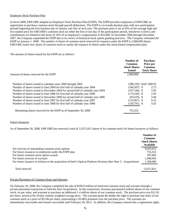### Employee Stock Purchase Plan

In fiscal 2000, EMCORE adopted an Employee Stock Purchase Plan (ESPP). The ESPP provides employees of EMCORE an opportunity to purchase common stock through payroll deductions. The ESPP is a 6-month duration plan with new participation periods beginning the first business day of January and July of each year. The purchase price is set at 85% of the average high and low market price for EMCORE's common stock on either the first or last day of the participation period, whichever is lower, and contributions are limited to the lower of 10% of an employee's compensation or \$25,000. In November 2006 through December 2007, the Company suspended the ESPP due to its review of historical stock option granting practices. The Company reinstated the ESPP on January 1, 2008. The number of shares of common stock reserved for issuance under the ESPP is 2,000,000 shares. EMCORE issues new shares of common stock to satisfy the issuance of shares under this stock-based compensation plan.

The amount of shares issued for the ESPP are as follows:

|                                                                                | Number of<br><b>Common</b><br><b>Stock Shares</b><br><b>Issued</b> | <b>Purchase</b><br>Price per<br><b>Common</b><br><b>Stock Share</b> |
|--------------------------------------------------------------------------------|--------------------------------------------------------------------|---------------------------------------------------------------------|
| Amount of shares reserved for the ESPP                                         | 2,000,000                                                          |                                                                     |
| Number of shares issued in calendar years 2000 through 2003                    |                                                                    | $(398, 159)$ \$1.87-\$40.93                                         |
| Number of shares issued in June 2004 for first half of calendar year 2004      | $(166,507)$ \$                                                     | 2.73                                                                |
| Number of shares issued in December 2004 for second half of calendar year 2004 | $(167,546)$ \$                                                     | 2.95                                                                |
| Number of shares issued in June 2006 for first half of calendar year 2006      | $(174, 169)$ \$                                                    | 2.93                                                                |
| Number of shares issued in December 2006 for second half of calendar year 2006 | $(93,619)$ \$                                                      | 3.48                                                                |
| Number of shares issued in June 2007 for first half of calendar year 2007      | $(123, 857)$ \$                                                    | 6.32                                                                |
| Number of shares issued in June 2008 for first half of calendar year 2008      | $(120,791)$ \$                                                     | 5.62                                                                |
| Remaining shares reserved for the ESPP as of September 30, 2008                | 755,352                                                            |                                                                     |

#### Future Issuances

As of September 30, 2008, EMCORE has reserved a total of 12,671,811 shares of its common stock for future issuances as follows:

|                                                                                                                     | Number of<br><b>Common</b><br><b>Stock Shares</b><br><b>Available</b> |
|---------------------------------------------------------------------------------------------------------------------|-----------------------------------------------------------------------|
| For exercise of outstanding common stock options                                                                    | 8,929,453                                                             |
| For future issuances to employees under the ESPP plan                                                               | 755,352                                                               |
| For future common stock option awards                                                                               | 287,003                                                               |
| For future exercise of warrants                                                                                     | 1,400,003                                                             |
| For future issuance in relation to the acquisition of Intel's Optical Platform Division (See Note 5 - Acquisitions) | 1,300,000                                                             |
| Total reserved                                                                                                      | 12.671.811                                                            |

#### Private Placement of Common Stock and Warrants

On February 20, 2008, the Company completed the sale of \$100.0 million of restricted common stock and warrants through a private placement transaction to fund the Intel Acquisitions. In this transaction, investors purchased 8 million shares of our common stock, no par value, and warrants to purchase an additional 1.4 million shares of our common stock. The purchase price was \$12.50 per share, priced at the 20-day volume-weighted average price. The warrants grant the holder the right to purchase one share of our common stock at a price of \$15.06 per share, representing a 20.48% premium over the purchase price. The warrants are immediately exercisable and remain exercisable until February 20, 2013. In addition, the Company entered into a registration rights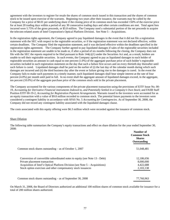agreement with the investors to register for resale the shares of common stock issued in this transaction and the shares of common stock to be issued upon exercise of the warrants. Beginning two years after their issuance, the warrants may be called by the Company for a price of \$0.01 per underlying share if the closing price of its common stock has exceeded 150% of the exercise price for at least 20 trading days within a period of any 30 consecutive trading days and other certain conditions are met. Total agent fees incurred were 5.75% of the gross proceeds, or \$5.8 million. The Company used a substantial portion of the net proceeds to acquire the telecom-related assets of Intel Corporation's Optical Platform Division. See Note 5 – Acquisitions.

In the registration rights agreement, the Company agreed to pay liquidated damages in the event that it did not file a registration statement with the SEC with respect to the registrable securities, or if the registration statement was not declared effective, within certain deadlines. The Company filed the registration statement, and it was declared effective within the deadlines specified in the registration rights agreement. The Company further agreed to pay liquidated damages if sales of the registrable securities included in the registration statement are unable to be made or, if after a period of six months following the closing, the Company does not file with the SEC the reports required to be filed pursuant to Rule  $144(c)(1)$  under the Securities Act and, as a result, holders are unable to sell their registrable securities. In such events, the Company agreed to pay as liquidated damages to each holder of registrable securities an amount in cash equal to one percent (1.0%) of the aggregate purchase price of such holder's registrable securities included in such registration statement on the day that such a failure first occurs and on every thirtieth day thereafter until such failure is cured. Liquidated damages shall be paid on the earlier of (i) the last day of the calendar month during which such damages are incurred and (ii) the third business day after the event or failure giving rise to the damages is cured. In the event the Company fails to make such payments in a timely manner, such liquidated damages shall bear simple interest at the rate of four percent (4.0%) per month until paid in full. In no event shall the aggregate amount of liquidated damages exceed, in the aggregate, ten percent (10.0%) of the aggregate purchase price of the common stock sold in the private placement.

The Company accounted for the various components of the private placement transaction using the provisions of EITF Issue No. 00- 19, *Accounting for Derivative Financial instruments Indexed to, and Potentially Settled in a Company's Own Stock*; and FASB Staff Position EITF 00-19-2, *Accounting for Registration Payment Arrangements.* Warrants issued to the investors were accounted for as an equity transaction with a value of \$9.8 million recorded to common stock. The potential future payments to the investors were considered a contingent liability in accordance with SFAS No. 5 *Accounting for Contingencies*. As of September 30, 2008, the Company did not record any contingent liability associated with the liquidated damages clause.

The costs associated with this equity offering were \$6.3 million which were recorded against the issuance of common stock.

#### Share Dilution

The following table summarizes the Company's equity transactions and effect on share dilution for the year ended September 30, 2008:

|                                                                                                                                                                                                                                                                 | Number of<br><b>Common Stock</b><br><b>Shares</b><br>Outstanding |
|-----------------------------------------------------------------------------------------------------------------------------------------------------------------------------------------------------------------------------------------------------------------|------------------------------------------------------------------|
| Common stock shares outstanding $-$ as of October 1, 2007                                                                                                                                                                                                       | 51,048,481                                                       |
| Conversion of convertible subordinated notes to equity (see Note 13 - Debt)<br>Private placement transaction<br>Acquisition of Intel's Optical Platform Division (see Note $5 -$ Acquisitions)<br>Stock option exercises and other compensatory stock issuances | 12,186,656<br>8,000,000<br>4,422,688<br>2,103,138                |
| Common stock shares outstanding $-$ as of September 30, 2008                                                                                                                                                                                                    | 77.760.963                                                       |

On March 31, 2008, the Board of Directors authorized an additional 100 million shares of common stock available for issuance for a total of 200 million shares authorized.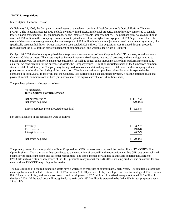### **NOTE 5. Acquisitions**

### Intel's Optical Platform Division

On February 22, 2008, the Company acquired assets of the telecom portion of Intel Corporation's Optical Platform Division ("OPD"). The telecom assets acquired include inventory, fixed assets, intellectual property, and technology comprised of tunable lasers, tunable transponders, 300-pin transponders, and integrated tunable laser assemblies. The purchase price was \$75 million in cash and \$10 million in the Company's common stock, priced at a volume-weighted average price of \$13.84 per share. Under the terms of the asset purchase agreement, the purchase price of \$85 million is subject to adjustment based on an inventory true-up, plus specifically assumed liabilities. Direct transaction costs totaled \$0.5 million. This acquisition was financed through proceeds received from the \$100 million private placement of common stock and warrants (see Note 4 - Equity).

On April 20, 2008, the Company acquired the enterprise and storage assets of Intel Corporation's OPD business, as well as Intel's Connects Cables business. The assets acquired include inventory, fixed assets, intellectual property, and technology relating to optical transceivers for enterprise and storage customers, as well as optical cable interconnects for high-performance computing clusters. As consideration for the purchase of assets, the Company issued 3.7 million restricted shares of the Company's common stock to Intel. In addition, the Company may be required to make an additional payment to Intel based on the Company's stock price twelve months after the closing of the transaction. The final valuation and purchase price allocation is expected to be completed in fiscal 2009. In the event that the Company is required to make an additional payment, it has the option to make that payment in cash, common stock or both (but not to exceed the equivalent value of 1.3 million shares).

The purchase price was allocated as follows:

| (in thousands)<br><b>Intel's Optical Platform Division</b> |                            |
|------------------------------------------------------------|----------------------------|
| Net purchase price<br>Net assets acquired                  | \$111,792<br>(79, 444)     |
| Excess purchase price allocated to goodwill                | 32,348                     |
| Net assets acquired in the acquisition were as follows:    |                            |
| Inventory<br>Fixed assets<br>Intangible assets             | 33,287<br>19,878<br>26,279 |
| Net assets acquired                                        | 79.444<br>У.               |

The primary reason for the acquisition of Intel Corporation's OPD business was to expand the product line of EMCORE's Fiber Optics business. The main factor that contributed to the recognition of goodwill in the transaction was that OPD was an established business with significant assets and customer recognition. The assets include certain non-quantifiable benefits that accrue to EMCORE such as customer acceptance of the OPD products, ready market for EMCORE's existing products and customers for any new products EMCORE may bring to the market.

The \$26.3 million of acquired intangible assets have a weighted average life of approximately eight years. The intangible assets that make up that amount include customer lists of \$7.5 million (8 to 10 year useful life), developed and core technology of \$16.6 million  $(6$  to 10 year useful life), and in-process research and development of \$2.2 million. Amortization expense totaled \$2.3 million for the fiscal 2008. Of the total goodwill recognized, approximately \$32.3 million is expected to be deductible for tax purposes over a 15 year life.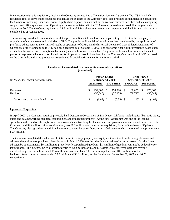In connection with this acquisition, Intel and the Company entered into a Transition Services Agreement (the "TSA"), which facilitated Intel to carve-out the business and deliver those assets to the Company. Intel also provided certain transition services to the Company, including financial services, supply chain support, data extraction, conversion services, facilities and site computing support, and office space services. Operating expenses associated with the TSA were expensed as incurred. For the year ended September 30, 2008, the Company incurred \$4.8 million of TSA-related fees in operating expenses and the TSA was substantially completed as of August 2008.

The following unaudited condensed consolidated pro forma financial data has been prepared to give effect to the Company's acquisition of certain assets and liabilities of OPD. The pro forma financial information has been developed by the application of pro forma adjustments to the estimated results of operations of OPD, and the historical Condensed Consolidated Statements of Operations of the Company as if OPD had been acquired as of October 1, 2006. The pro forma financial information is based upon available information and assumptions that management believes are reasonable. The pro forma financial information does not purport to represent what our consolidated results of operations would have been had the Company's acquisition of OPD occurred on the dates indicated, or to project our consolidated financial performance for any future period.

### **Condensed Consolidated Pro Forma Statement of Operations (unaudited)**

| (in thousands, except per share data) |    | <b>Period Ended</b><br><b>September 30, 2008</b> |  | <b>Period Ended</b><br><b>September 30, 2007</b> |  |                     |  |                      |
|---------------------------------------|----|--------------------------------------------------|--|--------------------------------------------------|--|---------------------|--|----------------------|
|                                       |    | <b>EMCORE</b>                                    |  | <b>Pro Forma</b>                                 |  | <b>EMCORE</b>       |  | <b>Pro Forma</b>     |
| Revenues<br>Net loss                  | S. | 239.303<br>(58.640)                              |  | 276,828<br>(57, 285)                             |  | 169,606<br>(58.722) |  | 273,063<br>(55, 542) |
| Net loss per basic and diluted shares | S. | $(0.87)$ \$                                      |  | $(0.85)$ \$                                      |  | $(1.15)$ \$         |  | (1.03)               |

### Opticomm Corporation

In April 2007, the Company acquired privately-held Opticomm Corporation of San Diego, California, including its fiber optic video, audio and data networking business, technologies, and intellectual property. At the time, Opticomm was one of the leading specialists in the field of fiber optic video, audio and data networking for the commercial, governmental and industrial sectors. The Company paid \$4.2 million initial consideration, less \$0.1 million cash received at acquisition, for all of the shares of Opticomm. The Company also agreed to an additional earn-out payment based on Opticomm's 2007 revenue which amounted to approximately \$0.7 million.

The Company completed the valuation of Opticomm's inventory, property and equipment, and identifiable intangible assets and adjusted the preliminary purchase price allocation in March 2008 to reflect the final valuation of acquired assets. Goodwill was adjusted by approximately \$0.1 million to properly reflect purchased goodwill, \$1.4 million of goodwill will not be deductible for tax purposes. The purchase price allocation identified \$2.2 million of intangible assets with a five year weighted average amortization period, which included \$1.4 million in customer lists, \$0.7 million in patents and \$0.1 million in order backlog. Amortization expense totaled \$0.3 million and \$0.3 million, for the fiscal ended September 30, 2008 and 2007, respectively.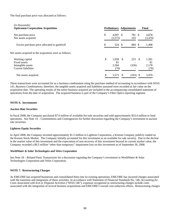The final purchase price was allocated as follows:

| (in thousands)<br><b>Opticomm Corporation Acquisition</b>                          | <b>Preliminary Adjustments</b>          |          |               |      | Final                        |
|------------------------------------------------------------------------------------|-----------------------------------------|----------|---------------|------|------------------------------|
| Net purchase price<br>Net assets acquired                                          | \$<br>$4.097 \text{ }$ \$<br>(3,573)    |          | 781 \$<br>103 |      | 4,878<br>(3,470)             |
| Excess purchase price allocated to goodwill                                        | \$<br>524 \$                            |          | 884 \$        |      | 1,408                        |
| Net assets acquired in the acquisition were as follows:                            |                                         |          |               |      |                              |
| Working capital<br>Fixed assets<br>Intangible assets<br><b>Current liabilities</b> | \$<br>$1,058$ \$<br>81<br>2,504<br>(70) |          | 223<br>(326)  | - \$ | 1,281<br>81<br>2,178<br>(70) |
| Net assets acquired                                                                | \$<br>3,573                             | <b>S</b> | $(103)$ \$    |      | 3,470                        |

These transactions were accounted for as a business combination using the purchase method of accounting in accordance with SFAS 141, *Business Combinations*; therefore, the tangible assets acquired and liabilities assumed were recorded at fair value on the acquisition date. The operating results of the entire business acquired are included in the accompanying consolidated statement of operations from the date of acquisition. The acquired business is part of the Company's Fiber Optics reporting segment.

### **NOTE 6. Investments**

#### *Auction Rate Securities*

In fiscal 2008, the Company purchased \$7.0 million of available-for-sale securities and sold approximately \$33.4 million to fund operations. See Note 14 – Commitments and Contingencies for further discussion regarding the Company's investment in auction rate securities.

### *Lightron Equity Securities*

In April 2008, the Company invested approximately \$1.5 million in Lightron Corporation, a Korean Company publicly traded on the Korean Stock Market. The Company initially accounted for this investment as an available for sale security. Due to the decline in the market value of this investment and the expectation of non-recovery of this investment beyond its current market value, the Company recorded a \$0.5 million "other than temporary" impairment loss on this investment as of September 30, 2008.

### *WorldWater & Solar Technologies and Velox Corporation*

See Note 18 – Related Party Transactions for a discussion regarding the Company's investment in WorldWater & Solar Technologies Corporation and Velox Corporation.

### **NOTE 7. Restructuring Charges**

As EMCORE has acquired businesses and consolidated them into its existing operations, EMCORE has incurred charges associated with the transition and integration of those activities. In accordance with Statement of Financial Standards No. 146, *Accounting for Costs Associated with Exit or Disposal Activities* ("SFAS 146"), expenses recognized as restructuring charges include costs associated with the integration of several business acquisitions and EMCORE's overall cost-reduction efforts. Restructuring charges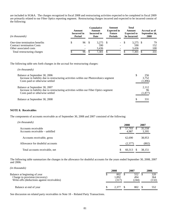are included in SG&A. The charges recognized in fiscal 2008 and restructuring activities expected to be completed in fiscal 2009 are primarily related to our Fiber Optics reporting segment. Restructuring charges incurred and expected to be incurred consist of the following:

| ( <i>in thousands</i> )           | Amount<br><b>Incurred</b> in<br>Period |                          | <b>Cumulative</b><br>Amount<br>Incurred to<br>Date |       | Amount<br><b>Expected in</b><br><b>Future</b><br><b>Periods</b> |                          | <b>Total</b><br>Amount<br><b>Expected to</b><br>be Incurred |            | Accrual as of<br>September 30.<br>2008 |     |
|-----------------------------------|----------------------------------------|--------------------------|----------------------------------------------------|-------|-----------------------------------------------------------------|--------------------------|-------------------------------------------------------------|------------|----------------------------------------|-----|
| One-time termination benefits     |                                        | 96                       |                                                    | 3.275 |                                                                 | $\sim$ .                 | \$.                                                         | $3,275$ \$ |                                        | 79  |
| <b>Contract termination Costs</b> |                                        | $\overline{\phantom{0}}$ |                                                    | 590   |                                                                 | -                        |                                                             | 590        |                                        | 152 |
| Other associated costs            |                                        | $\overline{\phantom{0}}$ |                                                    | 3.436 |                                                                 | -                        |                                                             | 3.436      |                                        | 100 |
| Total restructuring charges       |                                        | 96                       |                                                    | 7,301 |                                                                 | $\overline{\phantom{0}}$ |                                                             | 7,301      |                                        | 331 |

The following table sets forth changes in the accrual for restructuring charges:

| (in thousands)                                                                                                                                             |                         |
|------------------------------------------------------------------------------------------------------------------------------------------------------------|-------------------------|
| Balance at September 30, 2006<br>Increase in liability due to restructuring activities within our Photovoltaics segment<br>Costs paid or otherwise settled | 256<br>3,752<br>(1,896) |
| Balance at September 30, 2007<br>Increase in liability due to restructuring activities within our Fiber Optics segment<br>Costs paid or otherwise settled  | 2.112<br>96<br>(1,877)  |
| Balance at September 30, 2008                                                                                                                              | 331                     |

## **NOTE 8. Receivables**

The components of accounts receivable as of September 30, 2008 and 2007 consisted of the following:

| ( <i>in thousands</i> )                               |                      |                      |
|-------------------------------------------------------|----------------------|----------------------|
|                                                       | 2008                 | 2007                 |
| Accounts receivable<br>Accounts receivable – unbilled | 57,703<br>S<br>4.987 | 35,558<br>S<br>3,395 |
| Accounts receivable, gross                            | 62,690               | 38,953               |
| Allowance for doubtful accounts                       | (2,377)              | (802)                |
| Total accounts receivable, net                        | 60,313<br>S          | 38,151               |

The following table summarizes the changes in the allowance for doubtful accounts for the years ended September 30, 2008, 2007 and 2006:

*(in thousands)*

|                                                                                                               | 2008                 | 2007                | 2006                |
|---------------------------------------------------------------------------------------------------------------|----------------------|---------------------|---------------------|
| Balance at beginning of year<br>Charge to provision (recovery)<br>Write-offs (deductions against receivables) | 802<br>1.892<br>(317 | 552<br>494<br>(244) | 320<br>364<br>(132) |
| Balance at end of year                                                                                        | 2.377                | 802                 | 552                 |

See discussion on related party receivables in Note 18 – Related Party Transactions.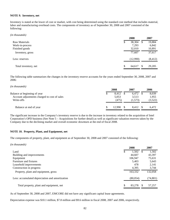### **NOTE 9. Inventory, net**

Inventory is stated at the lower of cost or market, with cost being determined using the standard cost method that includes material, labor and manufacturing overhead costs. The components of inventory as of September 30, 2008 and 2007 consisted of the following:

*(in thousands)*

|                      |    | 2008     |    | 2007     |
|----------------------|----|----------|----|----------|
| Raw Materials        | Φ  | 38,304   | -S | 19,884   |
| Work-in-process      |    | 7,293    |    | 6,842    |
| Finished goods       |    | 32,010   |    | 10,891   |
| Inventory, gross     |    | 77,607   |    | 37,617   |
| Less: reserves       |    | (12,990) |    | (8, 412) |
| Total inventory, net | \$ | 64,617   | -S | 29,205   |

The following table summarizes the changes in the inventory reserve accounts for the years ended September 30, 2008, 2007 and 2006:

#### *(in thousands)*

|                                                                                            | 2008 |                         | 2007                         | 2006                      |
|--------------------------------------------------------------------------------------------|------|-------------------------|------------------------------|---------------------------|
| Balance at beginning of year<br>Account adjustments charged to cost of sales<br>Write-offs |      | 8.412<br>5,053<br>(475) | 6.472 \$<br>3,513<br>(1.573) | 8,039<br>1,955<br>(3,522) |
| Balance at end of year                                                                     |      | 12.990                  | 8.412                        | 6.472                     |

The significant increase in the Company's inventory reserve is due to the increase in inventory related to the acquisition of Intel Corporation's OPD business (See Note 5 – Acquisitions for further detail) as well as significant valuation reserves taken by the Company due to the declining market and overall economic downturn at the end of fiscal 2008.

#### **NOTE 10. Property, Plant, and Equipment, net**

The components of property, plant, and equipment as of September 30, 2008 and 2007 consisted of the following:

*(in thousands)*

|                                                 | 2008         |     | 2007      |
|-------------------------------------------------|--------------|-----|-----------|
| Land                                            | 1,502        | -S  | 1,502     |
| Building and improvements                       | 44,607       |     | 43,397    |
| Equipment                                       | 106,947      |     | 75,631    |
| Furniture and fixtures                          | 5.403        |     | 5,643     |
| Leasehold improvements                          | 478          |     | 2,141     |
| Construction in progress                        | 4,395        |     | 3,744     |
| Property, plant and equipment, gross            | 163,332      |     | 132,058   |
| Less: accumulated depreciation and amortization | (80,054)     |     | (74, 801) |
| Total property, plant and equipment, net        | \$<br>83,278 | \$. | 57,257    |

As of September 30, 2008 and 2007, EMCORE did not have any significant capital lease agreements.

Depreciation expense was \$10.1 million, \$7.8 million and \$9.6 million in fiscal 2008, 2007 and 2006, respectively.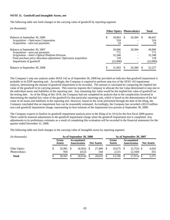### **NOTE 11. Goodwill and Intangible Assets, net**

*(in thousands)*

The following table sets forth changes in the carrying value of goodwill by reporting segment:

| un mousanus)                                                                                                                                                                                                      |   | <b>Fiber Optics Photovoltaics</b>          |  |        | <b>Total</b> |                                            |
|-------------------------------------------------------------------------------------------------------------------------------------------------------------------------------------------------------------------|---|--------------------------------------------|--|--------|--------------|--------------------------------------------|
| Balance at September 30, 2006<br>Acquisition – Opticomm Corporation<br>Acquisition – earn-out payments                                                                                                            | S | 20,063<br>524<br>19                        |  | 20,384 |              | 40,447<br>524<br>19                        |
| Balance at September 30, 2007<br>Acquisition – earn-out payments<br>Acquisition – Intel's Optical Platform Division<br>Final purchase price allocation adjustment: Opticomm acquisition<br>Impairment of goodwill |   | 20,606<br>771<br>32,348<br>118<br>(22,000) |  | 20,384 |              | 40,990<br>771<br>32,348<br>118<br>(22,000) |
| Balance at September 30, 2008                                                                                                                                                                                     |   | 31.843                                     |  | 20.384 |              | 52,227                                     |

The Company's step one analysis under SFAS 142 as of September 30, 2008 has provided an indicator that goodwill impairment is probable in its EDP reporting unit. Accordingly, the Company is required to perform step two of the SFAS 142 impairment analysis, determining the amount of goodwill impairment to be recorded. The amount is calculated by comparing the implied fair value of the goodwill to its carrying amount. This exercise requires the Company to allocate the fair value determined in step one to the individual assets and liabilities of the reporting unit. Any remaining fair value would be the implied fair value of goodwill on the testing date. As of the filing of this 10-K, the Company had not completed its analysis due to the complexities involved in determining the implied fair value of the goodwill for that particular reporting unit, which is based on the determination of the fair value of all assets and liabilities in the reporting unit. However, based on the work performed through the date of the filing, the Company concluded that an impairment loss can be reasonably estimated. Accordingly, the Company has recorded a \$22.0 million non-cash goodwill impairment charge, representing its best estimate of the impairment loss present at September 30, 2008.

The Company expects to finalize its goodwill impairment analysis prior to the filing of its 10-Q for the first fiscal 2009 quarter. There could be material adjustments to the goodwill impairment charge when the goodwill impairment test is completed. Any adjustments to its preliminary estimates as a result of completing this evaluation will be recorded in the financial statements for the quarter ended December 31, 2008.

The following table sets forth changes in the carrying value of intangible assets by reporting segment:

| ( <i>in thousands</i> ) | As of September 30, 2008 |  |                             |  |                   | As of September 30, 2007 |                        |  |                             |  |                   |
|-------------------------|--------------------------|--|-----------------------------|--|-------------------|--------------------------|------------------------|--|-----------------------------|--|-------------------|
|                         | Gross<br><b>Assets</b>   |  | Accumulated<br>Amortization |  | <b>Net Assets</b> |                          | Gross<br><b>Assets</b> |  | Accumulated<br>Amortization |  | <b>Net Assets</b> |
| Fiber Optics            | 35.991                   |  | (8,502)                     |  | 27,489            |                          | 10.675                 |  | (5,755)                     |  | 4,920             |
| Photovoltaics           | 956                      |  | (412)                       |  | 544               |                          | 2.515                  |  | (2,160)                     |  | 355               |
| <b>Total</b>            | 36.947                   |  | (8.914)                     |  | 28.033            |                          | 13.190                 |  | (7.915)                     |  | 5,275             |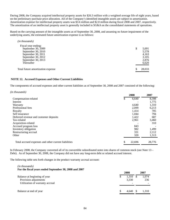During 2008, the Company acquired intellectual property assets for \$26.3 million with a weighted-average life of eight years, based on the preliminary purchase price allocation. All of the Company's identified intangible assets are subject to amortization. Amortization expense for intellectual property assets was \$3.6 million and \$2.0 million during fiscal 2008 and 2007, respectively. The amortization of an intellectual property asset is generally included in SG&A on the consolidated statements of operations.

Based on the carrying amount of the intangible assets as of September 30, 2008, and assuming no future impairment of the underlying assets, the estimated future amortization expense is as follows:

| (in thousands)                    |             |
|-----------------------------------|-------------|
| Fiscal year ending:               |             |
| September 30, 2009                | \$<br>5,691 |
| September 30, 2010                | 5,578       |
| September 30, 2011                | 4,163       |
| September 30, 2012                | 3,105       |
| September 30, 2013                | 2,876       |
| Thereafter                        | 6,620       |
| Total future amortization expense | 28,033      |
|                                   |             |

### **NOTE 12. Accrued Expenses and Other Current Liabilities**

The components of accrued expenses and other current liabilities as of September 30, 2008 and 2007 consisted of the following:

| ( <i>in thousands</i> )                              |              |        |
|------------------------------------------------------|--------------|--------|
|                                                      | 2008         | 2007   |
| Compensation-related                                 | 6,640<br>SУ. | 8,398  |
| Interest                                             |              | 1,775  |
| Warranty                                             | 4,640        | 1,310  |
| Professional fees                                    | 2,099        | 6,213  |
| Royalty                                              | 1,414        | 705    |
| Self insurance                                       | 1,044        | 794    |
| Deferred revenue and customer deposits               | 1,422        | 687    |
| Tax-related                                          | 2,961        | 3,460  |
| Acquisition-related                                  |              | 310    |
| Accrued program loss                                 | 843          |        |
| Inventory obligation                                 | 982          | 1,499  |
| Restructuring accrual                                | 331          | 2,112  |
| Other                                                | 320          | 1,513  |
| Total accrued expenses and other current liabilities | \$<br>22,696 | 28,776 |
|                                                      |              |        |

In February 2008, the Company converted all of its convertible subordinated notes into shares of common stock (see Note 13 – Debt). As of September 30, 2008, the Company did not have any long-term debt or related accrued interest.

The following table sets forth changes in the product warranty accrual account:

| (in thousands)<br>For the fiscal years ended September 30, 2008 and 2007                 |     | 2008           | 2007         |
|------------------------------------------------------------------------------------------|-----|----------------|--------------|
| Balance at beginning of year<br>Provision adjustments<br>Utilization of warranty accrual | S   | 1,310<br>3,330 | 1,074<br>236 |
| Balance at end of year                                                                   | \$. | 4.640          | 1.310        |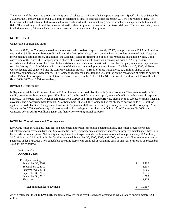The majority of the increased product warranty accrual relates to the Photovoltaics reporting segment. Specifically as of September 30, 2008, the Company had accrued \$0.8 million related to estimated contract losses on certain CPV system-related orders. The Company had noted potential failures related to materials used in the manufacturing process which could experience failures in the field. The remaining portion of the increase primarily related to product issues within our terrestrial line. These issues mainly were in relation to epoxy failures which have been corrected by moving to a solder process.

### **NOTE 13. Debt**

### Convertible Subordinated Notes

In January 2008, the Company entered into agreements with holders of approximately 97.5%, or approximately \$83.3 million of its outstanding 5.50% convertible subordinated notes due 2011 (the "Notes") pursuant to which the holders converted their Notes into the Company's common stock. In addition, the Company called for redemption of all of its remaining outstanding Notes. Upon conversion of the Notes, the Company issued shares of its common stock, based on a conversion price of \$7.01 per share, in accordance with the terms of the Notes. To incentivize certain holders to convert their Notes, the Company made cash payments to such holders equal to 4% of the principal amount of the Notes converted, plus accrued interest. By February 20, 2008, all Notes were redeemed and converted into the Company common stock. As a result of these transactions, 12.2 million shares of the Company common stock were issued. The Company recognized a loss totaling \$4.7 million on the conversion of Notes to equity of which \$3.5 million was paid in cash. Interest expense incurred on the Notes totaled \$1.6 million, \$5.0 million and \$5.4 million for fiscal 2008, 2007 and 2006, respectively.

### Revolving Credit Facility

In September 2008, the Company closed a \$25 million revolving credit facility with Bank of America. The asset-backed credit facility provides for borrowings up to \$25 million and can be used for working capital, letters of credit and other general corporate purposes. The credit facility, which incorporates both LIBOR and Prime-based borrowing alternatives, is subject to certain financial covenants and a borrowing base formula. As of September 30, 2008, the Company had the ability to borrow up to \$16.9 million against the credit facility. The agreement matures in September 2011 and is secured by virtually all assets of the Company. As of September 30, 2008, the Company had no outstanding borrowings against the credit facility. As of December 30, 2008, the Company borrowed \$15.0 million against this facility for working capital purposes.

#### **NOTE 14. Commitments and Contingencies**

EMCORE leases certain land, facilities, and equipment under non-cancelable operating leases. The leases provide for rental adjustments for increases in base rent (up to specific limits), property taxes, insurance and general property maintenance that would be recorded as rent expense. Net facility and equipment rent expense under such leases amounted to approximately \$1.6 million, \$1.6 million, and \$2.1 million for the fiscal years ended September 30, 2008, 2007, and 2006, respectively. Future minimum rental payments under EMCORE's non-cancelable operating leases with an initial or remaining term of one year or more as of September 30, 2008 are as follows:

| (in thousands)          |
|-------------------------|
| <b>Operating Leases</b> |

| Fiscal year ending:          |        |       |
|------------------------------|--------|-------|
| September 30, 2009           | S      | 2,766 |
| September 30, 2010           |        | 2,609 |
| September 30, 2011           |        | 1,865 |
| September 30, 2012           |        | 1,076 |
| September 30, 2013           |        | 565   |
| Thereafter                   |        | 2,776 |
| Total minimum lease payments | 11.657 |       |

As of September 30, 2008, EMCORE had ten standby letters of credit issued and outstanding which totaled approximately \$2.4 million.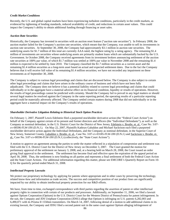### *Credit Market Conditions*

Recently, the U.S. and global capital markets have been experiencing turbulent conditions, particularly in the credit markets, as evidenced by tightening of lending standards, reduced availability of credit, and reductions in certain asset values. This could impact the Company's ability to obtain additional funding through financing or asset sales.

### *Auction Rate Securities*

Historically, the Company has invested in securities with an auction reset feature ("auction rate securities"). In February 2008, the auction market failed for the Company's auction rate securities, which meant that the Company, was unable to sell its investments in auction rate securities. At September 30, 2008, the Company had approximately \$3.1 million in auction rate securities. The underlying assets for \$1.7 million of this total are currently AAA rated, the highest rating by a rating agency. The remaining \$1.4 million of investments are securities whose underlying assets are primarily student loans which are substantially backed by the U.S. Government. In October 2008, the Company received agreements from its investment brokers announcing settlement of the auction rate securities at 100% par value, of which \$1.7 million was settled at 100% par value in November 2008 and the remaining \$1.4 million is expected to be settled by June 2010. The Company classified the \$1.7 million securities as a current asset and the remaining \$1.4 million securities as a long-term asset based on actual and expected settlement dates. Due to the fact the Company believes that it will receive full value of its remaining \$1.4 million securities; we have not recorded any impairment on these investments as of September 30, 2008.

The Company is subject to various legal proceedings and claims that are discussed below. The Company is also subject to certain other legal proceedings and claims that have arisen in the ordinary course of business and which have not been fully adjudicated. The Company does not believe it has a potential liability related to current legal proceedings and claims that could individually or in the aggregate have a material adverse effect on its financial condition, liquidity or results of operations. However, the results of legal proceedings cannot be predicted with certainty. Should the Company fail to prevail in any legal matters or should several legal matters be resolved against the Company in the same reporting period, the operating results of a particular reporting period could be materially adversely affected. The Company settled certain matters during 2008 that did not individually or in the aggregate have a material impact on the Company's results of operations.

### *Shareholder Derivative Litigation Relating to Historical Stock Option Practices*

On February 1, 2007, Plaintiff Lewis Edelstein filed a purported stockholder derivative action (the "Federal Court Action") on behalf of the Company against certain of its present and former directors and officers (the "Individual Defendants"), as well as the Company as nominal defendant, in the U.S. District Court for the District of New Jersey, Edelstein v. Brodie, et. al., Case No. 3:07 cv-00596-FLW-JJH (D.N.J.). On May 22, 2007, Plaintiffs Kathryn Gabaldon and Michael Sackrison each filed a purported stockholder derivative action against the Individual Defendants, and the Company as nominal defendant, in the Superior Court of New Jersey, Somerset County, Gabaldon v. Brodie, et. al., Case No. 3:07-cv-03185-FLW-JJH (D.N.J.) and Sackrison v. Brodie, et. al., Case No. 3:07-cv-00596-FLW-JJH (D.N.J.) (collectively, the "State Court Actions").

A motion to approve an agreement among the parties to settle the matter reflected in a stipulation of compromise and settlement was filed with the U.S. District Court for the District of New Jersey on December 3, 2007. The Court granted the motion for preliminary approval of the settlement on January 3, 2008, and, at a hearing held on March 28, 2008, the Court issued an order giving final approval to the settlement. The settlement has become final and effective upon the expiration of the appeal period on April 30, 2008. Thus, the settlement is now binding on all parties and represents a final settlement of both the Federal Court Action and the State Court Actions. For additional information regarding this matter, please see EMCORE's Quarterly Report on Form 10- Q for the quarterly period ended March 31, 2008.

# *Intellectual Property Lawsuits*

We protect our proprietary technology by applying for patents where appropriate and in other cases by preserving the technology, related know-how and information as trade secrets. The success and competitive position of our product lines are significantly impacted by our ability to obtain intellectual property protection for our R&D efforts.

We have, from time to time, exchanged correspondence with third parties regarding the assertion of patent or other intellectual property rights in connection with certain of our products and processes. Additionally, on September 11, 2006, we filed a lawsuit against Optium Corporation (Optium) in the U.S. District Court for the Western District of Pennsylvania for patent infringement. In the suit, the Company and JDS Uniphase Corporation (JDSU) allege that Optium is infringing on U.S. patents 6,282,003 and 6,490,071 with its Prisma II 1550nm transmitters. On March 14, 2007, following denial of a motion to add additional claims to its existing lawsuit, the Company and JDSU filed a second patent suit in the same court against Optium alleging infringement of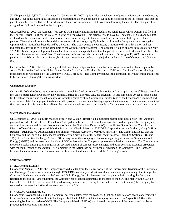JDSU's patent 6,519,374 ("the '374 patent"). On March 15, 2007, Optium filed a declaratory judgment action against the Company and JDSU. Optium sought in this litigation a declaration that certain products of Optium do not infringe the '374 patent and that the patent is invalid, but the District Court dismissed the action on January 3, 2008 without addressing the merits. The '374 patent is assigned to JDSU and licensed to the Company.

On December 20, 2007, the Company was served with a complaint in another declaratory relief action which Optium had filed in the Federal District Court for the Western District of Pennsylvania. This action seeks to have U.S. patents 6,282,003 and 6,490,071 declared invalid or unenforceable because of certain conduct alleged to have occurred in connection with the grant of these patents. These allegations are substantially the same as those brought by Optium by motion in the Company's own case against Optium, which motion had been denied by the Court. The Court denied the Company's motion to dismiss this action and has indicated that it will be tried at the same time as the Optium Plaintiff Matters. The Company filed its answer in this matter on May 12, 2008. In its complaint, Optium does not seek monetary damages but asks that the patents in question be declared unenforceable and that it be awarded attorneys' fees. The Company believes that this claim is without merit. On August 11, 2008, both actions pending in the Western District of Pennsylvania were consolidated before a single judge, and a trial date of October 19, 2009 was set.

On December 5, 2008, EMCORE, along with Fabrinet, its principal contract manufacturer, was also served with a complaint by Avago Technologies filed in the United States District Court for the Northern District of California, San Jose Division alleging infringement of two patents by the Company's VCSEL products. The Company believes this complaint is without merit and intends to file an answer denying the claims asserted.

### *Commercial Litigation*

On July 15, 2008 the Company was served with a complaint filed by Avago Technologies and what appear to be affiliates thereof in the United States District Court for the Northern District of California, San Jose Division. In this complaint, Avago asserts claims for breach of contract and breach of express warranty against Venture Corporation Limited (one of the Company's customers) and asserts a tort claim for negligent interference with prospective economic advantage against the Company. The Company has not yet filed an answer in this matter, but believes the complaint is without merit and intends to file an answer denying the claims asserted.

#### *Shareholder Class Action*

On December 23, 2008, Plaintiffs Maurice Prissert and Claude Prissert filed a purported shareholder class action (the "Action") pursuant to Federal Rule of Civil Procedure 23 allegedly on behalf of a class of Company shareholders against the Company and certain of its present and former directors and officers (the "Individual Defendants") in the United States District Court for the District of New Mexico captioned, Maurice Prissert and Claude Prissert v. EMCORE Corporation, Adam Gushard, Hong Q. Hou, Reuben F. Richards, Jr., David Danzilio and Thomas Werthan, Case No. 1:08cv1190 (D.N.M.). The Complaint alleges that the Company and the Individual Defendants violated certain provisions of the federal securities laws, including Sections 10(b) and 20(a) of the Securities Exchange Act of 1934, arising out of the Company's disclosure regarding its customer Green and Gold Energy ("GGE") and the associated backlog of GGE orders with the Company's photovoltaic business segment. The Complaint in the Action seeks, among other things, an unspecified amount of compensatory damages and other costs and expenses associated with the maintenance of the Action. The Complaint in the Action has not yet been served upon the Company. The Company believes the claims asserted in the Action are without merit and intends to defend the Action vigorously.

#### *Securities Matters*

#### a. SEC Communications.

On or about August 15, 2008, the Company received a letter from the Denver office of the Enforcement Division of the Securities and Exchange Commission wherein it sought EMCORE's voluntary production of documents relating to, among other things, the Company's business relationship with Green and Gold Energy, Inc., its licensees, and the photovoltaic backlog the Company reported to the public. Since that time, the Company has produced documents to the staff of the SEC and met with the staff on December 12, 2008 to make a presentation addressing certain issues relating to this matter. Since that meeting the Company has received no requests for further documentation from the SEC.

#### b. NASDAQ Communication.

On or about November 13, 2008, the Company received a letter from the NASDAQ Listings Qualifications group concerning the Company's removal of \$79 million in backlog attributable to GGE which the Company announced on August 8, 2008 and the remaining backlog exclusive of GGE. The Company advised NASDAQ that it would cooperate with its inquiry, and has begun producing the requested information.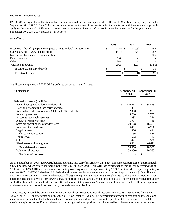### **NOTE 15. Income Taxes**

EMCORE, incorporated in the state of New Jersey, incurred income tax expense of \$0, \$0, and \$1.9 million, during the years ended September 30, 2008, 2007 and 2006, respectively. A reconciliation of the provision for income taxes, with the amount computed by applying the statutory U.S. Federal and state income tax rates to income before provision for income taxes for the years ended September 30, 2008, 2007 and 2006 is as follows:

*(in millions)*

|                                                                      | 2008        | 2007                     | 2006   |
|----------------------------------------------------------------------|-------------|--------------------------|--------|
| Income tax (benefit) expense computed at U.S. Federal statutory rate | $(27.5)$ \$ | $(19.5)$ \$              | 16.4   |
| State taxes, net of U.S. Federal effect                              | (4.1)       | (3.4)                    | 2.7    |
| Non-deductible executive compensation                                |             |                          | 0.9    |
| Debt conversion                                                      | 1.6         | $\overline{\phantom{a}}$ |        |
| Other                                                                | 0.8         |                          |        |
| Valuation allowance                                                  | 29.2        | 22.9                     | (18.1) |
| Income tax expense (benefit)                                         | ٠           | $\sim$                   | 1.9    |
| Effective tax rate                                                   | $0\%$       | $0\%$                    | 3.95%  |

Significant components of EMCORE's deferred tax assets are as follows:

| ( <i>in thousands</i> )                                | September 30,<br>2008 |               |
|--------------------------------------------------------|-----------------------|---------------|
| Deferred tax assets (liabilities):                     |                       |               |
| Federal net operating loss carryforwards               | \$<br>110,963         | \$.<br>84,539 |
| Foreign net operating loss carryforwards               | 1,814                 |               |
| Research credit carryforwards (state and U.S. Federal) | 2,338                 | 1,951         |
| Inventory reserves                                     | 5,200                 | 2,797         |
| Accounts receivable reserves                           | 992                   | 226           |
| Accrued warranty reserve                               | 1,937                 | 445           |
| State net operating loss carryforwards                 | 20,128                | 16,403        |
| Investment write-down                                  | 6.461                 | 4,766         |
| Legal reserves                                         | 426                   | 1,831         |
| Deferred compensation                                  | 1,756                 | 2,588         |
| Tax reserves                                           | 663                   | 1,112         |
| Other                                                  | 1,471                 | 538           |
| Fixed assets and intangibles                           | 3,901                 | (6,611)       |
| Total deferred tax assets                              | 158,050               | 110,585       |
| Valuation allowance                                    | (158,050)             | (110, 585)    |
| Net deferred tax assets                                | \$                    | \$            |

As of September 30, 2008, EMCORE had net operating loss carryforwards for U.S. Federal income tax purposes of approximately \$326.3 million, which expire beginning in the year 2021 through 2028. EMCORE has foreign net operating loss carryforwards of \$7.1 million. EMCORE also has state net operating loss carryforwards of approximately \$259.9 million, which expire beginning in the year 2009. EMCORE also has U.S. Federal and state research and development tax credits of approximately \$1.5 million and \$0.9 million, respectively. The research credits will begin to expire in the year 2009 through 2025. Utilization of EMCORE's net operating loss and tax credit carryforwards may be subject to a substantial annual limitation due to the ownership change limitations set forth in Internal Revenue Code Section 382 and similar state provisions. Such an annual limitation could result in the expiration of the net operating loss and tax credit carryforwards before utilization.

The Company adopted the provisions of Financial Standards Accounting Board Interpretation No. 48, *"Accounting for Income Taxes"* ("FIN 48") an interpretation of SFAS No. 109 on October 1, 2007. The Interpretation prescribes recognition threshold and measurement parameters for the financial statement recognition and measurement of tax positions taken or expected to be taken in the Company's tax return. For those benefits to be recognized, a tax position must be more-likely-than-not to be sustained upon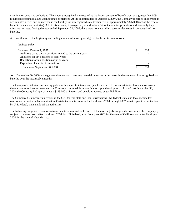examination by taxing authorities. The amount recognized is measured as the largest amount of benefit that has a greater than 50% likelihood of being realized upon ultimate settlement. At the adoption date of October 1, 2007, the Company recorded an increase in accumulated deficit and an increase in the liability for unrecognized state tax benefits of approximately \$326,000 (net of the federal benefit for state tax liabilities). All of this amount, if recognized, would reduce future income tax provisions and favorably impact effective tax rates. During the year ended September 30, 2008, there were no material increases or decreases in unrecognized tax benefits.

A reconciliation of the beginning and ending amount of unrecognized gross tax benefits is as follows:

| ( <i>in thousands</i> )                                      |     |
|--------------------------------------------------------------|-----|
| Balance at October 1, 2007:                                  | 338 |
| Additions based on tax positions related to the current year |     |
| Additions for tax positions of prior years                   |     |
| Reductions for tax positions of prior years                  |     |
| Expiration of statute of limitations                         |     |
| Balance at September 30, 2008                                | 338 |

As of September 30, 2008, management does not anticipate any material increases or decreases in the amounts of unrecognized tax benefits over the next twelve months.

The Company's historical accounting policy with respect to interest and penalties related to tax uncertainties has been to classify these amounts as income taxes, and the Company continued this classification upon the adoption of FIN 48. At September 30, 2008, the Company had approximately \$139,000 of interest and penalties accrued as tax liabilities.

The Company files income tax returns in the U.S. federal, state and local jurisdictions. No federal, state and local income tax returns are currently under examination. Certain income tax returns for fiscal years 2004 through 2007 remain open to examination by U.S. federal, state and local tax authorities.

The following tax years remain open to income tax examination for each of the more significant jurisdictions where the company  $i_{\rm s}$ subject to income taxes: after fiscal year 2004 for U.S. federal; after fiscal year 2003 for the state of California and after fiscal year 2004 for the state of New Mexico.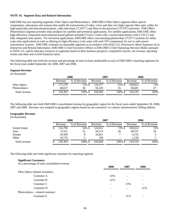### **NOTE 16. Segment Data and Related Information**

EMCORE has two reporting segments: Fiber Optics and Photovoltaics. EMCORE's Fiber Optics segment offers optical components, subsystems and systems that enable the transmission of video, voice and data over high-capacity fiber optic cables for high-speed data and telecommunications, cable television ("CATV") and fiber-to-the-premises ("FTTP") networks. EMCORE's Photovoltaics segment provides solar products for satellite and terrestrial applications. For satellite applications, EMCORE offers high-efficiency compound semiconductor-based gallium arsenide ("GaAs") solar cells, covered interconnect cells ("CICs") and fully integrated solar panels. For terrestrial applications, EMCORE offers concentrating photovoltaic ("CPV") systems for utility scale solar applications as well as offering its high-efficiency GaAs solar cells and CPV components for use in solar power concentrator systems. EMCORE evaluates its reportable segments in accordance with SFAS 131, *Disclosures About Segments of an Enterprise and Related Information.* EMCORE's Chief Executive Officer is EMCORE's Chief Operating Decision Maker pursuant to SFAS 131, and he allocates resources to segments based on their business prospects, competitive factors, net revenue, operating results and other non-GAAP financial ratios.

The following table sets forth the revenue and percentage of total revenue attributable to each of EMCORE's reporting segments for the fiscal years ended September 30, 2008, 2007 and 2006.

# **Segment Revenue**

| (in thousands)      |         |              |         |              |         |              |
|---------------------|---------|--------------|---------|--------------|---------|--------------|
|                     |         | 2008         |         | 2007         |         | 2006         |
|                     | Revenue | % of Revenue | Revenue | % of Revenue | Revenue | % of Revenue |
| <b>Fiber Optics</b> | 171,276 | 72% \$       | 110,377 | 65% \$       | 104,852 | 73%          |
| Photovoltaics       | 68,027  | 28           | 59.229  | 35           | 38,681  | 27           |
| Total revenue       | 239,303 | 100% \$      | 169.606 | 100% \$      | 143.533 | 100%         |

The following table sets forth EMCORE's consolidated revenue by geographic region for the fiscal years ended September 30, 2008, 2007 and 2006. Revenue was assigned to geographic regions based on our customers' or contract manufacturers' billing address.

#### **Geographic Revenue**

*(in thousands)*

|                      |         | 2008         |         | 2007         | 2006    |              |  |  |
|----------------------|---------|--------------|---------|--------------|---------|--------------|--|--|
|                      | Revenue | % of Revenue | Revenue | % of Revenue | Revenue | % of Revenue |  |  |
| <b>United States</b> | 134.796 | 56% \$       | 124.012 | 73% \$       | 109.614 | 76%          |  |  |
| Asia                 | 73,311  | 31           | 34,574  | 20           | 28,537  | 20           |  |  |
| Europe               | 20,420  |              | 10.821  |              | 4.152   |              |  |  |
| Other                | 10.776  |              | 199     |              | 1.230   |              |  |  |
| Total revenue        | 239.303 | 100% \$      | 169.606 | 100% \$      | 143.533 | 100%         |  |  |

The following table sets forth significant customers by reporting segment.

#### **Significant Customers**

As a percentage of total consolidated revenue

|                                   | 2008                     | 2007 | 2006                         |
|-----------------------------------|--------------------------|------|------------------------------|
| Fiber Optics-related customers:   |                          |      |                              |
| Customer A                        | 14%                      |      |                              |
| Customer B                        | 12%                      |      | $\qquad \qquad \blacksquare$ |
| Customer C                        | $\overline{\phantom{a}}$ | 13%  | -                            |
| Customer D                        |                          |      | 12%                          |
| Photovoltaics – related customer: |                          |      |                              |
| Customer E                        |                          | 11%  |                              |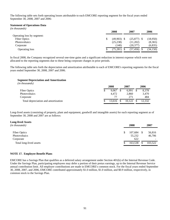The following table sets forth operating losses attributable to each EMCORE reporting segment for the fiscal years ended September 30, 2008, 2007 and 2006:

### **Statement of Operations Data**

*(in thousands)*

|                            | 2008           | 2007          | 2006      |
|----------------------------|----------------|---------------|-----------|
| Operating loss by segment: |                |               |           |
| <b>Fiber Optics</b>        | \$<br>(49.903) | $(25,877)$ \$ | (18,950)  |
| <b>Photovoltaics</b>       | (25, 238)      | (11,202)      | (8,365)   |
| Corporate                  | (140)          | (20, 377)     | (6,835)   |
| <b>Operating loss</b>      | (75,281)<br>\$ | $(57.456)$ \$ | (34, 150) |

In fiscal 2008, the Company recognized several one-time gains and a significant reduction in interest expense which were not allocated to the reporting segments due to these being corporate charges in prior periods.

The following table sets forth the depreciation and amortization attributable to each of EMCORE's reporting segments for the fiscal years ended September 30, 2008, 2007 and 2006.

#### **Segment Depreciation and Amortization**

*(in thousands)*

|                                     | 2008      | 2007   |      | 2006   |
|-------------------------------------|-----------|--------|------|--------|
| <b>Fiber Optics</b>                 | 9.067     | 6.991  |      | 8.378  |
| <b>Photovoltaics</b>                | 4.472     | 2.860  |      | 3.470  |
| Corporate                           |           | 271    |      | 484    |
| Total depreciation and amortization | 13.616 \$ | 10.122 | - \$ | 12.332 |

Long-lived assets (consisting of property, plant and equipment, goodwill and intangible assets) for each reporting segment as of September 30, 2008 and 2007 are as follows:

#### **Long-lived Assets**

| $\overline{\phantom{a}}$<br>(in thousands) | 2008    |      | 2007    |
|--------------------------------------------|---------|------|---------|
| <b>Fiber Optics</b>                        | 107.684 | - \$ | 56,816  |
| Photovoltaics                              | 55,232  |      | 46,706  |
| Corporate                                  | 622     |      |         |
| Total long-lived assets                    | 163,538 | \$   | 103,522 |

### **NOTE 17. Employee Benefit Plans**

EMCORE has a Savings Plan that qualifies as a deferred salary arrangement under Section 401(k) of the Internal Revenue Code. Under the Savings Plan, participating employees may defer a portion of their pretax earnings, up to the Internal Revenue Service annual contribution limit. All employer contributions are made in EMCORE's common stock. For the fiscal years ended September 30, 2008, 2007, and 2006, EMCORE contributed approximately \$1.0 million, \$1.0 million, and \$0.9 million, respectively, in common stock to the Savings Plan.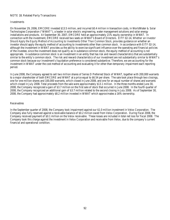# NOTE 18. Related Party Transactions

## *Investments*

On November 29, 2006, EMCORE invested \$13.5 million, and incurred \$0.4 million in transaction costs, in WorldWater & Solar Technologies Corporation ("WWAT"), a leader in solar electric engineering, water management solutions and solar energy installations and products. At September 30, 2007, EMCORE held an approximately 21% equity ownership in WWAT. In connection with the investment, EMCORE received two seats on WWAT's Board of Directors. EITF 02-14, *Whether an Investor Should Apply the Equity Method of Accounting to Investments Other Than Common Stock,* provides guidance on whether an investor should apply the equity method of accounting to investments other than common stock. In accordance with EITF 02-14, although the investment in WWAT provides us the ability to exercise significant influence over the operating and financial policies of the investee, since the investment does not qualify as in-substance common stock, the equity method of accounting is not appropriate. In-substance common stock is an investment in an entity that has risk and reward characteristics that are substantially similar to the entity's common stock. The risk and reward characteristics of our investment are not substantially similar to WWAT's common stock because our investment's liquidation preference is considered substantive. Therefore, we are accounting for the investment in WWAT under the cost method of accounting and evaluating it for other-than-temporary impairment each reporting period.

In June 2008, the Company agreed to sell two million shares of Series D Preferred Stock of WWAT, together with 200,000 warrants to a major shareholder of both EMCORE and WWAT at a price equal to \$6.54 per share. The sale took place through two closings, one for one million shares and 100,000 warrants, which closed in June 2008, and one for an equal number of shares and warrants which closed in July 2008. Total proceeds from the sale were approximately \$13.1 million. In the three months ended June 30, 2008, the Company recognized a gain of \$3.7 million on the first sale of stock that occurred in June 2008. In the fourth quarter of 2008, the Company recognized an additional gain of \$3.7 million related to the second closing in July 2008. As of September 30, 2008, the Company had approximately \$8.2 million invested in WWAT which approximates a 16% ownership.

### *Receivables*

In the September quarter of 2008, the Company took impairment against our \$1.0 million investment in Velox Corporation. The Company also fully reserved against a receivable balance of \$0.2 million owed from Velox Corporation. During fiscal 2008, the Company received payment of \$0.1 million on the Velox receivable. These losses are included in total net loss for fiscal 2008. The Company took this charge against the investment in Velox Corporation and receivable from Velox, due to the company's current financial and operational condition.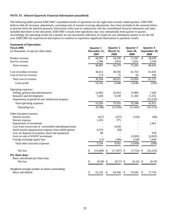### **NOTE 19. Selected Quarterly Financial Information (unaudited)**

The following tables present EMCORE's unaudited results of operations for the eight most recently ended quarters. EMCORE believes that all necessary adjustments, consisting only of normal recurring adjustments, have been included in the amounts below to present fairly the selected quarterly information when read in conjunction with the consolidated financial statements and notes included elsewhere in this document. EMCORE's results from operations may vary substantially from quarter to quarter. Accordingly, the operating results for a quarter are not necessarily indicative of results for any subsequent quarter or for the full year. EMCORE has experienced and expects to continue to experience significant fluctuations in quarterly results.

| <b>Statements of Operations</b>                             |                 |                                          |                          |                                |                 |                                      |                 |                                    |
|-------------------------------------------------------------|-----------------|------------------------------------------|--------------------------|--------------------------------|-----------------|--------------------------------------|-----------------|------------------------------------|
| <b>Fiscal 2008</b><br>(in thousands, except per share data) |                 | <b>Quarter 1</b><br>December 31,<br>2007 |                          | Quarter 2<br>March 31,<br>2008 |                 | Quarter 3<br><b>June 30,</b><br>2008 |                 | Quarter 4<br>September 30,<br>2008 |
| Product revenue                                             | $\overline{\$}$ | 44,501                                   | $\overline{\mathcal{S}}$ | 54,236                         | $\overline{\$}$ | 71,941                               | $\overline{\$}$ | 58,299                             |
| Service revenue                                             |                 | 2,386                                    |                          | 2,043                          |                 | 3,561                                |                 | 2,336                              |
| Total revenue                                               |                 | 46,887                                   |                          | $\overline{56,279}$            |                 | $\overline{75,502}$                  |                 | 60,635                             |
| Cost of product revenue                                     |                 | 36,611                                   |                          | 49,556                         |                 | 61,763                               |                 | 61,033                             |
| Cost of service revenue                                     |                 | 173                                      |                          | 75                             |                 | 93                                   |                 | 104                                |
| Total cost of revenue                                       |                 | 36,784                                   |                          | 49,631                         |                 | 61,856                               |                 | 61,137                             |
| Gross profit                                                |                 | 10,103                                   |                          | 6,648                          |                 | 13,646                               |                 | (502)                              |
| Operating expenses:                                         |                 |                                          |                          |                                |                 |                                      |                 |                                    |
| Selling, general and administrative                         |                 | 11,863                                   |                          | 10,263                         |                 | 13,906                               |                 | 7,428                              |
| Research and development                                    |                 | 7,420                                    |                          | 9,330                          |                 | 11,382                               |                 | 11,351                             |
| Impairment of goodwill and intellectual property            |                 |                                          |                          |                                |                 |                                      |                 | (22, 233)                          |
| Total operating expenses                                    |                 | 19,283                                   |                          | 19,593                         |                 | 25,288                               |                 | 41,012                             |
| Operating loss                                              |                 | (9,180)                                  |                          | (12, 945)                      |                 | (11, 642)                            |                 | (41, 514)                          |
| Other (income) expense:                                     |                 |                                          |                          |                                |                 |                                      |                 |                                    |
| Interest income                                             |                 | (427)                                    |                          | (227)                          |                 | (124)                                |                 | (84)                               |
| Interest expense                                            |                 | 1,205                                    |                          | 375                            |                 |                                      |                 |                                    |
| Impairment of investment                                    |                 |                                          |                          |                                |                 |                                      |                 | 1,461                              |
| Loss from conversion of convertible subordinated notes      |                 |                                          |                          | 4,658                          |                 |                                      |                 |                                    |
| Stock-based compensation expense from tolled options        |                 | 4,374                                    |                          | (58)                           |                 |                                      |                 |                                    |
| Loss on disposal of property, plant and equipment           |                 | 86                                       |                          |                                |                 |                                      |                 | 978                                |
| Gain on sale of WWAT investment                             |                 |                                          |                          |                                |                 | (3,692)                              |                 | (3,692)                            |
| Foreign exchange (gain) loss                                |                 | (12)                                     |                          | (186)                          |                 | (104)                                |                 | 1,048                              |
| Total other (income) expenses                               |                 | $\overline{5,226}$                       |                          | 4,562                          |                 | (3,920)                              |                 | (289)                              |
| Net loss                                                    | \$              | (14, 406)                                | $\mathcal{S}$            | (17,507)                       | $\mathcal{S}$   | (7, 722)                             | -\$             | (41,225)                           |
| Per share data:                                             |                 |                                          |                          |                                |                 |                                      |                 |                                    |
| Basic and diluted per share data:                           |                 |                                          |                          |                                |                 |                                      |                 |                                    |
| Net loss                                                    | \$              | $(0.28)$ \$                              |                          | $(0.27)$ \\$                   |                 | $(0.10)$ \$                          |                 | (0.53)                             |
| Weighted-average number of shares outstanding:              |                 |                                          |                          |                                |                 |                                      |                 |                                    |
| Basic and diluted                                           | \$              | 52,232                                   | \$                       | 64,560                         | \$              | 76,582                               | \$              | 77,734                             |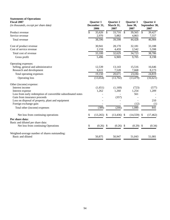| <b>Statements of Operations</b>                              |                      |               |                   |                         |                         |                         |                       |
|--------------------------------------------------------------|----------------------|---------------|-------------------|-------------------------|-------------------------|-------------------------|-----------------------|
| <b>Fiscal 2007</b>                                           | <b>Quarter 1</b>     |               | <b>Quarter 2</b>  |                         | Quarter 3               |                         | Quarter 4             |
| (in thousands, except per share data)                        | December 31,<br>2006 |               | March 31,<br>2007 |                         | <b>June 30,</b><br>2007 |                         | September 30,<br>2007 |
| Product revenue                                              | \$<br>35,626         | $\mathbb{S}$  | 33,716            | $\overline{\mathbb{S}}$ | 39,565                  | $\overline{\mathbb{S}}$ | 39,427                |
| Service revenue                                              | 2,970                |               | 5,882             |                         | 4,863                   |                         | 7,557                 |
| Total revenue                                                | 38,596               |               | 39,598            |                         | 44,428                  |                         | 46,984                |
| Cost of product revenue                                      | 30,941               |               | 28,170            |                         | 32,181                  |                         | 33,188                |
| Cost of service revenue                                      | 2,159                |               | 4,459             |                         | 2,542                   |                         | 5,598                 |
| Total cost of revenue                                        | 33,100               |               | 32,629            |                         | 34,723                  |                         | 38,786                |
| Gross profit                                                 | 5,496                |               | 6,969             |                         | 9,705                   |                         | 8,198                 |
| Operating expenses:                                          |                      |               |                   |                         |                         |                         |                       |
| Selling, general and administrative                          | 12,539               |               | 13,143            |                         | 15,516                  |                         | 16,646                |
| Research and development                                     | 6,611                |               | 7,528             |                         | 7,668                   |                         | 8,173                 |
| Total operating expenses                                     | 19,150               |               | 20,671            |                         | 23,184                  |                         | 24,819                |
| <b>Operating loss</b>                                        | (13, 654)            |               | (13,702)          |                         | (13, 479)               |                         | (16, 621)             |
| Other (income) expense:                                      |                      |               |                   |                         |                         |                         |                       |
| Interest income                                              | (1,651)              |               | (1,169)           |                         | (723)                   |                         | (577)                 |
| Interest expense                                             | 1,262                |               | 1,260             |                         | 1,254                   |                         | 1,209                 |
| Loss from early redemption of convertible subordinated notes |                      |               |                   |                         | 561                     |                         |                       |
| Gain from insurance proceeds                                 |                      |               | (357)             |                         |                         |                         |                       |
| Loss on disposal of property, plant and equipment            |                      |               |                   |                         |                         |                         | 210                   |
| Foreign exchange gain                                        |                      |               |                   |                         | (12)                    |                         | (1)                   |
| Total other (income) expenses                                | (389)                |               | (266)             |                         | 1,080                   |                         | 841                   |
| Net loss from continuing operations                          | \$<br>(13,265)       | $\mathcal{S}$ | (13, 436)         | \$                      | (14, 559)               | $\mathbb{S}$            | (17, 462)             |
| Per share data:                                              |                      |               |                   |                         |                         |                         |                       |
| Basic and diluted per share data:                            |                      |               |                   |                         |                         |                         |                       |
| Net loss from continuing Operations                          | \$<br>$(0.26)$ \$    |               | $(0.26)$ \\$      |                         | (0.29)                  | \$                      | (0.34)                |
| Weighted-average number of shares outstanding:               |                      |               |                   |                         |                         |                         |                       |
| Basic and diluted                                            | 50,875               |               | 50,947            |                         | 51,043                  |                         | 51,081                |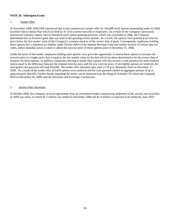### **NOTE 20. Subsequent Events**

### 1. Tender Offer

In November 2008, EMCORE announced that it had commenced a tender offer for 164,088 stock options outstanding under its 2000 Incentive Stock Option Plan which are held by 91 of its current non-officer employees. As a result of the Company's previously announced voluntary inquiry into its historical stock option granting practices, which was concluded in 2006, the Company determined that an incorrect grant date was used in the granting certain options. As a result, the options were granted at an exercise price below the fair market value of the Company's common stock as of the correct date of grant. Consequently, employees holding these options face a potential tax liability under Section 409A of the Internal Revenue Code and similar sections of certain state tax codes, unless remedial action is taken to adjust the exercise price of these options prior to December 31, 2008.

Under the terms of the tender, employees holding such options were given the opportunity to amend these options to increase the exercise price to a higher price that is equal to the fair market value on the date which has been determined to be the correct date of issuance for these options. In addition, employees electing to tender their options will also receive a cash payment for each tendered option equal to the difference between the original exercise price and the new exercise price. If all eligible options are tendered, the anticipated cash payment will total \$44,000. The tender offer remained open until 11:59 p.m. Mountain Time on December 17, 2008. As a result of the tender offer 163,838 options were tendered and the cash payment totaled an aggregate amount of up to approximately \$44,050. Further details regarding the tender can be obtained from the filing on Schedule TO which the Company filed on December 18, 2008 with the Securities and Exchange Commission.

### 2. Auction Rate Securities

In October 2008, the Company received agreements from its investment brokers announcing settlement of the auction rate securities at 100% par value, of which \$1.7 million was settled in November 2008 and \$1.4 million is expected to be settled by June 2010.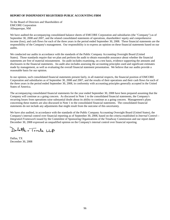### **REPORT OF INDEPENDENT REGISTERED PUBLIC ACCOUNTING FIRM**

To the Board of Directors and Shareholders of EMCORE Corporation Albuquerque, NM

We have audited the accompanying consolidated balance sheets of EMCORE Corporation and subsidiaries (the "Company") as of September 30, 2008 and 2007, and the related consolidated statements of operations, shareholders' equity and comprehensive income (loss), and cash flows for each of the three years in the period ended September 30, 2008. These financial statements are the responsibility of the Company's management. Our responsibility is to express an opinion on these financial statements based on our audits.

We conducted our audits in accordance with the standards of the Public Company Accounting Oversight Board (United States). Those standards require that we plan and perform the audit to obtain reasonable assurance about whether the financial statements are free of material misstatement. An audit includes examining, on a test basis, evidence supporting the amounts and disclosures in the financial statements. An audit also includes assessing the accounting principles used and significant estimates made by management, as well as evaluating the overall financial statement presentation. We believe that our audits provide a reasonable basis for our opinion.

In our opinion, such consolidated financial statements present fairly, in all material respects, the financial position of EMCORE Corporation and subsidiaries as of September 30, 2008 and 2007, and the results of their operations and their cash flows for each of the three years in the period ended September 30, 2008, in conformity with accounting principles generally accepted in the United States of America.

The accompanying consolidated financial statements for the year ended September 30, 2008 have been prepared assuming that the Company will continue as a going concern. As discussed in Note 1 to the consolidated financial statements, the Company's recurring losses from operations raise substantial doubt about its ability to continue as a going concern. Management's plans concerning these matters are also discussed in Note 1 to the consolidated financial statements. The consolidated financial statements do not include any adjustments that might result from the outcome of this uncertainty.

We have also audited, in accordance with the standards of the Public Company Accounting Oversight Board (United States), the Company's internal control over financial reporting as of September 30, 2008, based on the criteria established in *Internal Control— Integrated Framework* issued by the Committee of Sponsoring Organizations of the Treadway Commission and our report dated December 30, 2008 expressed an unqualified opinion on the Company's internal control over financial reporting.

Deloitte  $\tau$ Touche LLP

Dallas, TX December 30, 2008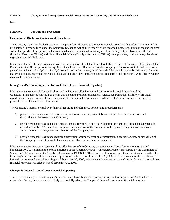### **ITEM 9. Changes in and Disagreements with Accountants on Accounting and Financial Disclosure**

None.

### **ITEM 9A. Controls and Procedures**

### **Evaluation of Disclosure Controls and Procedures**

The Company maintains disclosure controls and procedures designed to provide reasonable assurance that information required to be disclosed in reports filed under the Securities Exchange Act of 1934 (the "Act") is recorded, processed, summarized and reported within the specified time periods and accumulated and communicated to management, including its Chief Executive Officer (Principal Executive Officer) and Chief Financial Officer (Principal Accounting Officer), as appropriate, to allow timely decisions regarding required disclosure.

Management, under the supervision and with the participation of its Chief Executive Officer (Principal Executive Officer) and Chief Financial Officer (Principal Accounting Officer), evaluated the effectiveness of the Company's disclosure controls and procedures (as defined in Rules 13a-15(e) or 15d-15(e) promulgated under the Act), as of the end of the period covered by this report. Based on that evaluation, management concluded that, as of that date, the Company's disclosure controls and procedures were effective at the reasonable assurance level.

### **Management's Annual Report on Internal Control over Financial Reporting**

Management is responsible for establishing and maintaining effective internal control over financial reporting of the Company. Management's intent is to design this system to provide reasonable assurance regarding the reliability of financial reporting and the preparation of financial statements for external purposes in accordance with generally accepted accounting principles in the United States of America.

The Company's internal control over financial reporting includes those policies and procedures that:

- 1) pertain to the maintenance of records that, in reasonable detail, accurately and fairly reflect the transactions and dispositions of the assets of the Company;
- 2) provide reasonable assurance that transactions are recorded as necessary to permit preparation of financial statements in accordance with GAAP, and that receipts and expenditures of the Company are being made only in accordance with authorizations of management and directors of the Company; and
- 3) provide reasonable assurance regarding prevention or timely detection of unauthorized acquisition, use, or disposition of the Company's assets that could have a material effect on the financial statements.

Management performed an assessment of the effectiveness of the Company's internal control over financial reporting as of September 30, 2008, utilizing the criteria described in the "Internal Control — Integrated Framework" issued by the Committee of Sponsoring Organizations of the Treadway Commission ("COSO"). The objective of this assessment was to determine whether the Company's internal control over financial reporting was effective as of September 30, 2008. In its assessment of the effectiveness of internal control over financial reporting as of September 30, 2008, management determined that the Company's internal control over financial reporting was effective as of September 30, 2008.

### **Changes in Internal Control over Financial Reporting**

There were no changes in the Company's internal control over financial reporting during the fourth quarter of 2008 that have materially affected, or are reasonably likely to materially affect, the Company's internal control over financial reporting.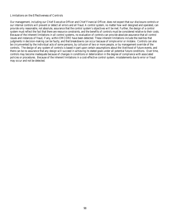### Limitations on the Effectiveness of Controls

Our management, including our Chief Executive Officer and Chief Financial Officer, does not expect that our disclosure controls or our internal controls will prevent or detect all errors and all fraud. A control system, no matter how well designed and operated, can provide only reasonable, not absolute, assurance that the control system's objectives will be met. Further, the design of a control system must reflect the fact that there are resource constraints, and the benefits of controls must be considered relative to their costs. Because of the inherent limitations in all control systems, no evaluation of controls can provide absolute assurance that all control issues and instances of fraud, if any, within EMCORE have been detected. These inherent limitations include the realities that judgments in decision-making can be faulty, and that breakdowns can occur because of simple error or mistake. Controls can also be circumvented by the individual acts of some persons, by collusion of two or more people, or by management override of the controls. The design of any system of controls is based in part upon certain assumptions about the likelihood of future events, and there can be no assurance that any design will succeed in achieving its stated goals under all potential future conditions. Over time, controls may become inadequate because of changes in conditions or deterioration in the degree of compliance with associated policies or procedures. Because of the inherent limitations in a cost-effective control system, misstatements due to error or fraud may occur and not be detected.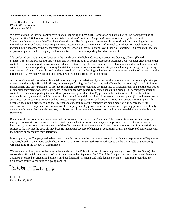### **REPORT OF INDEPENDENT REGISTERED PUBLIC ACCOUNTING FIRM**

To the Board of Directors and Shareholders of EMCORE Corporation Albuquerque, NM

We have audited the internal control over financial reporting of EMCORE Corporation and subsidiaries (the "Company") as of September 30, 2008, based on criteria established in *Internal Control — Integrated Framework* issued by the Committee of Sponsoring Organizations of the Treadway Commission. The Company's management is responsible for maintaining effective internal control over financial reporting and for its assessment of the effectiveness of internal control over financial reporting, included in the accompanying Management's Annual Report on Internal Control over Financial Reporting. Our responsibility is to express an opinion on the Company's internal control over financial reporting based on our audit.

We conducted our audit in accordance with the standards of the Public Company Accounting Oversight Board (United States). Those standards require that we plan and perform the audit to obtain reasonable assurance about whether effective internal control over financial reporting was maintained in all material respects. Our audit included obtaining an understanding of internal control over financial reporting, assessing the risk that a material weakness exists, testing and evaluating the design and operating effectiveness of internal control based on the assessed risk, and performing such other procedures as we considered necessary in the circumstances. We believe that our audit provides a reasonable basis for our opinions.

A company's internal control over financial reporting is a process designed by, or under the supervision of, the company's principal executive and principal financial officers, or persons performing similar functions, and effected by the company's board of directors, management, and other personnel to provide reasonable assurance regarding the reliability of financial reporting and the preparation of financial statements for external purposes in accordance with generally accepted accounting principles. A company's internal control over financial reporting includes those policies and procedures that (1) pertain to the maintenance of records that, in reasonable detail, accurately and fairly reflect the transactions and dispositions of the assets of the company; (2) provide reasonable assurance that transactions are recorded as necessary to permit preparation of financial statements in accordance with generally accepted accounting principles, and that receipts and expenditures of the company are being made only in accordance with authorizations of management and directors of the company; and (3) provide reasonable assurance regarding prevention or timely detection of unauthorized acquisition, use, or disposition of the company's assets that could have a material effect on the financial statements.

Because of the inherent limitations of internal control over financial reporting, including the possibility of collusion or improper management override of controls, material misstatements due to error or fraud may not be prevented or detected on a timely basis. Also, projections of any evaluation of the effectiveness of the internal control over financial reporting to future periods are subject to the risk that the controls may become inadequate because of changes in conditions, or that the degree of compliance with the policies or procedures may deteriorate.

In our opinion, the Company maintained, in all material respects, effective internal control over financial reporting as of September 30, 2008, based on the criteria established in *Internal Control—Integrated Framework* issued by the Committee of Sponsoring Organizations of the Treadway Commission.

We have also audited, in accordance with the standards of the Public Company Accounting Oversight Board (United States), the consolidated financial statements as of and for the year ended September 30, 2008 of the Company and our report dated December 30, 2008 expressed an unqualified opinion on those financial statements and included an explanatory paragraph regarding the Company's ability to continue as a going concern.

 $ubitt_{\text{t}} + \text{Toude } LLP$ 

Dallas, TX December 30, 2008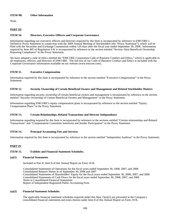### **ITEM 9B. Other Information**

None.

### **PART III**

### **ITEM 10. Directors, Executive Officers and Corporate Governance**

Information regarding our executive officers and directors required by this Item is incorporated by reference to EMCORE's Definitive Proxy Statement in connection with the 2009 Annual Meeting of Stockholders (the "Proxy Statement"), which will be filed with the Securities and Exchange Commission within 120 days after the fiscal year ended September 30, 2008. Information required by Item 405 of Regulation S-K is incorporated by reference to the section entitled "Section 16(a) Beneficial Ownership Reporting Compliance" in the Proxy Statement.

We have adopted a code of ethics entitled the "EMCORE Corporation Code of Business Conduct and Ethics," which is applicable to all employees, officers, and directors of EMCORE. The full text of our Code of Business Conduct and Ethics is included with the Corporate Governance information available on our website (www.emcore.com).

#### **ITEM 11. Executive Compensation**

Information required by this Item is incorporated by reference to the section entitled "Executive Compensation" in the Proxy Statement.

#### **ITEM 12. Security Ownership of Certain Beneficial Owners and Management and Related Stockholder Matters**

Information regarding security ownership of certain beneficial owners and management is incorporated by reference to the section entitled "Security Ownership of Certain Beneficial Owners and Management" in the Proxy Statement.

Information regarding EMCORE's equity compensation plans is incorporated by reference to the section entitled "Equity Compensation Plans" in the Proxy Statement.

#### **ITEM 13. Certain Relationships, Related Transactions and Director Independence**

Information regarding required by this Item is incorporated by reference to the sections entitled "Certain relationships and Related Transactions" and "Compensation Committee Interlocks and Insider Participation" in the Proxy Statement.

#### **ITEM 14. Principal Accounting Fees and Services**

Information required by this Item is incorporated by reference to the section entitled "Independent Auditors" in the Proxy Statement.

### **PART IV**

#### **ITEM 15. Exhibits and Financial Statement Schedules.**

#### **(a)(1) Financial Statements**

Included in Part II, Item 8 of this Annual Report on Form 10-K:

Consolidated Statements of Operations for the fiscal years ended September 30, 2008, 2007, and 2006 Consolidated Balance Sheets as of September 30, 2008 and 2007 Consolidated Statements of Shareholders' Equity for the fiscal years ended September 30, 2008, 2007, and 2006 Consolidated Statements of Cash Flows for the fiscal years ended September 30, 2008, 2007, and 2006 Notes to Consolidated Financial Statements Report of Independent Registered Public Accounting Firm

#### **(a)(2) Financial Statement Schedules**

The applicable financial statement schedules required under this Item  $15(a)(2)$  are presented in the Company's consolidated financial statements and notes thereto under Item 8 of this Annual Report on Form 10-K.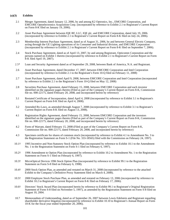#### **(a)(3) Exhibits**

- 2.1 Merger Agreement, dated January 12, 2006, by and among K2 Optronics, Inc., EMCORE Corporation, and EMCORE Optoelectronics Acquisition Corp. (incorporated by reference to Exhibit 2.1 to Registrant's Current Report on Form 8-K filed on January 19, 2006).
- 2.2 Asset Purchase Agreement between IQE RF, LLC, IQE plc, and EMCORE Corporation, dated July 19, 2006. (incorporated by reference to Exhibit 2.1 to Registrant's Current Report on Form 8-K filed on July 24, 2006).
- 2.3 Membership Interest Purchase Agreement, dated as of August 31, 2006, by and between General Electric Company, acting through the GE Lighting operations of its Consumer and Industrial division, and EMCORE Corporation (incorporated by reference to Exhibit 2.1 to Registrant's Current Report on Form 8-K filed on September 7, 2006).
- 2.4 Stock Purchase Agreement, dated as of April 13, 2007, by and among Registrant, Opticomm Corporation and the persons named on Exhibit 1 thereto (incorporated by reference to Exhibit 2.1 to Registrant's Current Report on Form 8-K filed April 19, 2007).
- 2.5\* Loan and Security Agreement dated as of September 29, 2008, between Bank of America, N.A. and Registrant.
- 2.6 Asset Purchase Agreement, dated December 17, 2007, between EMCORE Corporation and Intel Corporation (incorporated by reference to Exhibit 2.1 to the Registrant's Form 10-Q filed on February 11, 2008)
- 2.7 Asset Purchase Agreement, dated April 9, 2008, between EMCORE Corporation and Intel Corporation (incorporated by reference to Exhibit 2.1 to the Registrant's Form 10-Q filed on May 12, 2008)
- 2.8 Securities Purchase Agreement, dated February 15, 2008, between EMCORE Corporation and each investor identified on the signature pages thereto (Filed as part of the Company's Current Report on Form 8-K, Commission file no. 000-22175, dated February 20, 2008, and incorporated herein by reference)
- 3.1 Restated Certificate of Incorporation, dated April 4, 2008 (incorporated by reference to Exhibit 3.1 to Registrant's Current Report on Form 8-K filed on April 4, 2008).
- 3.2 Amended By-Laws, as amended through August 7, 2008 (incorporated by reference to Exhibit 3.1 to Registrant's Current Report on Form 8-K filed on August 13, 2008).
- 4.1 Registration Rights Agreement, dated February 15, 2008, between EMCORE Corporation and the investors identified on the signature pages thereto (Filed as part of the Company's Current Report on Form 8-K, Commission file no. 000-22175, dated February 20, 2008, and incorporated herein by reference)
- 4.2 Form of Warrant, dated February 15, 2008 (Filed as part of the Company's Current Report on Form 8-K, Commission file no. 000-22175, dated February 20, 2008, and incorporated herein by reference)
- 4.3 Specimen certificate for shares of common stock (incorporated by reference to Exhibit 4.1 to Amendment No. 3 to the Registration Statement on Form S-1 (File No. 333-18565) filed with the Commission on February 24, 1997).
- 10.1† 1995 Incentive and Non-Statutory Stock Option Plan (incorporated by reference to Exhibit 10.1 to the Amendment No. 1 to the Registration Statement on Form S-1 filed on February 6, 1997).
- 10.2† 1996 Amendment to Option Plan (incorporated by reference to Exhibit 10.2 to Amendment No. 1 to the Registration Statement on Form S-1 filed on February 6, 1997).
- 10.3† MicroOptical Devices 1996 Stock Option Plan (incorporated by reference to Exhibit 99.1 to the Registration Statement on Form S-8 filed on February 6, 1998).
- 10.4† 2000 Stock Option Plan, as amended and restated on March 31, 2008 (incorporated by reference to the attached Exhibit to the Company's Definitive Proxy Statement filed on March 4, 2008).
- 10.5† 2000 Employee Stock Purchase Plan, as amended and restated on February 13, 2006 (incorporated by reference to Exhibit 10.2 to Registrant's Current Report on Form 8-K filed on February 17, 2006).
- 10.6† Directors' Stock Award Plan (incorporated herein by reference to Exhibit 99.1 to Registrant's Original Registration Statement of Form S-8 filed on November 5, 1997), as amended by the Registration Statement on Form S-8 filed on August 10, 2004.
- 10.7 Memorandum of Understanding, dated as of September 26, 2007 between Lewis Edelstein and Registrant regarding shareholder derivative litigation (incorporated by reference to Exhibit 10.10 to Registrant's Annual Report on Form 10-K for the fiscal year ended September 20, 2006).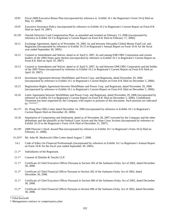- 10.8† Fiscal 2008 Executive Bonus Plan (incorporated by reference to Exhibit 10.1 the Registrant's Form 10-Q filed on May 12, 2008).
- 10.9† Executive Severance Policy (incorporated by reference to Exhibit 10.2 to Registrant's Current Report on Form 8-K filed on April 19, 2007).
- 10.10† Outside Directors Cash Compensation Plan, as amended and restated on February 13, 2006 (incorporated by reference to Exhibit 10.3 to Registrant's Current Report on Form 8-K filed on February 17, 2006).
- 10.11 Exchange Agreement, dated as of November 10, 2005, by and between Alexandra Global Master Fund Ltd. and Registrant (incorporated by reference to Exhibit 10.15 to Registrant's Annual Report on Form 10-K for the fiscal year ended September 30, 2005).
- 10.12 Consent to Amendment and Waiver, dated as of April 9, 2007, by and among EMCORE Corporation and certain holders of the 2004 Notes party thereto (incorporated by reference to Exhibit 10.1 to Registrant's Current Report on Form 8-K filed on April 10, 2007).
- 10.13 Consent to Amendment and Waiver, dated as of April 9, 2007, by and between EMCORE Corporation and the holder of the 2005 Notes (incorporated by reference to Exhibit 10.2 to Registrant's Current Report on Form 8-K filed on April 10, 2007).
- 10.14 Investment Agreement between WorldWater and Power Corp. and Registrant, dated November 29, 2006 (incorporated by reference to Exhibit 10.1 to Registrant's Current Report on Form 8-K filed on December 5, 2006).
- 10.15 Registration Rights Agreement between WorldWater and Power Corp. and Registrant, dated November 29, 2006 (incorporated by reference to Exhibit 10.1 to Registrant's Current Report on Form 8-K filed on December 5, 2006).
- 10.16 Letter Agreement between WorldWater and Power Corp. and Registrant, dated November 29, 2006 (incorporated by reference to Exhibit 10.3 to Registrant's Current Report on Form 8-K filed on December 5, 2006). Confidential Treatment has been requested by the Company with respect to portions of this document. Such portions are indicated by "\*\*\*\*\*".
- 10.17† Dr. Hong Hou Offer Letter dated December 14, 2006 (incorporated by reference to Exhibit 10.1 to Registrant's Current Report filed on December 20, 2006).
- 10.18 Stipulation of Compromise and Settlement, dated as of November 28, 2007 executed by the Company and the other defendants and the plaintiffs in the Federal Court Action and the State Court Actions (incorporated by reference to Exhibit 10.19 to the Registrant's Form 10-K filed of December 31, 2007).
- 10.19† 2008 Director's Stock Award Plan (incorporated by reference to Exhibit 10.1 to Registrant's Form 10-Q filed on February 11, 2008).
- 10.20†\* Mr. John M. Markovich Offer Letter dated August 7, 2008.
- 14.1 Code of Ethics for Financial Professionals (incorporated by reference to Exhibit 14.1 to Registrant's Annual Report on Form 10-K for the fiscal year ended September 30, 2003).
- 21.1\* Subsidiaries of the Registrant.
- 23.1\* Consent of Deloitte & Touche LLP.
- 31.1\* Certificate of Chief Executive Officer Pursuant to Section 302 of the Sarbanes-Oxley Act of 2002, dated December 30, 2008.
- 31.2\* Certificate of Chief Financial Officer Pursuant to Section 302 of the Sarbanes-Oxley Act of 2002, dated December 30, 2008.
- 32.1\* Certificate of Chief Executive Officer Pursuant to Section 906 of the Sarbanes-Oxley Act of 2002, dated December 30, 2008.
- 32.2\* Certificate of Chief Financial Officer Pursuant to Section 906 of the Sarbanes-Oxley Act of 2002, dated December 30, 2008.

\_\_\_\_\_\_\_\_\_\_

<sup>\*</sup> *Filed herewith*

<sup>†</sup> *Management contract or compensatory plan*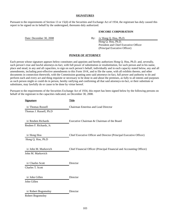#### **SIGNATURES**

Pursuant to the requirements of Section 13 or 15(d) of the Securities and Exchange Act of 1934, the registrant has duly caused this report to be signed on its behalf by the undersigned, thereunto duly authorized.

### **EMCORE CORPORATION**

Date: December 30, 2008 By: /s/ Hong Q. Hou, Ph.D.

Hong Q. Hou, Ph.D. President and Chief Executive Officer (Principal Executive Officer)

### **POWER OF ATTORNEY**

Each person whose signature appears below constitutes and appoints and hereby authorizes Hong Q. Hou, Ph.D. and, severally, such person's true and lawful attorneys-in-fact, with full power of substitution or resubstitution, for such person and in his name, place and stead, in any and all capacities, to sign on such person's behalf, individually and in each capacity stated below, any and all amendments, including post-effective amendments to this Form 10-K, and to file the same, with all exhibits thereto, and other documents in connection therewith, with the Commission granting unto said attorneys-in-fact, full power and authority to do and perform each and every act and thing requisite or necessary to be done in and about the premises, as fully to all intents and purposes as such person might or could do in person, hereby ratifying and confirming all that said attorneys-in-fact, or their substitute or substitutes, may lawfully do or cause to be done by virtue hereof.

Pursuant to the requirements of the Securities Exchange Act of 1934, this report has been signed below by the following persons on behalf of the registrant in the capacities indicated, on December 30, 2008.

| <b>Signature</b>        | <b>Title</b>                                                         |
|-------------------------|----------------------------------------------------------------------|
| /s/ Thomas Russell      | Chairman Emeritus and Lead Director                                  |
| Thomas J. Russell, Ph.D |                                                                      |
| /s/ Reuben Richards     | Executive Chairman & Chairman of the Board                           |
| Reuben F. Richards, Jr. |                                                                      |
| /s/ Hong Hou            | Chief Executive Officer and Director (Principal Executive Officer)   |
| Hong Q. Hou, Ph.D       |                                                                      |
| /s/ John M. Markovich   | Chief Financial Officer (Principal Financial and Accounting Officer) |
| John M. Markovich       |                                                                      |
| /s/ Charles Scott       | Director                                                             |
| Charles T. Scott        |                                                                      |
| /s/ John Gillen         | Director                                                             |
| John Gillen             |                                                                      |
| /s/ Robert Bogomolny    | Director                                                             |
| Robert Bogomolny        |                                                                      |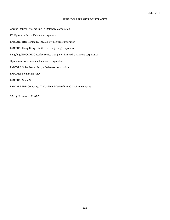### **SUBSIDIARIES OF REGISTRANT\***

Corona Optical Systems, Inc., a Delaware corporation K2 Optronics, Inc. a Delaware corporation EMCORE IRB Company, Inc., a New Mexico corporation EMCORE Hong Kong, Limited, a Hong Kong corporation Langfang EMCORE Optoelectronics Company, Limited, a Chinese corporation Opticomm Corporation, a Delaware corporation EMCORE Solar Power, Inc., a Delaware corporation EMCORE Netherlands B.V. EMCORE Spain S.L. EMCORE IRB Company, LLC, a New Mexico limited liability company

*\*As of December 30, 2008*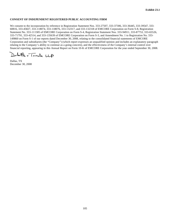### **CONSENT OF INDEPENDENT REGISTERED PUBLIC ACCOUNTING FIRM**

We consent to the incorporation by reference in Registration Statement Nos. 333-27507, 333-37306, 333-36445, 333-39547, 333- 60816, 333-45827, 333-118074, 333-118076, 333-132317, and 333-132318 of EMCORE Corporation on Form S-8, Registration Statement No. 333-111585 of EMCORE Corporation on Form S-4, Registration Statement Nos. 333-94911, 333-87753, 333-65526, 333-71791, 333-42514, and 333-135639 of EMCORE Corporation on Form S-3, and Amendment No. 1 to Registration No. 333- 149860 on Form S-1 of our reports dated December 30, 2008, relating to the consolidated financial statements of EMCORE Corporation and subsidiaries (the "Company") (which report expresses an unqualified opinion and includes an explanatory paragraph relating to the Company's ability to continue as a going concern), and the effectiveness of the Company's internal control over financial reporting, appearing in this Annual Report on Form 10-K of EMCORE Corporation for the year ended September 30, 2008.

 $\det$  + Touche LLP

Dallas, TX December 30, 2008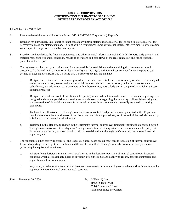### **EMCORE CORPORATION CERTIFICATION PURSUANT TO SECTION 302 OF THE SARBANES-OXLEY ACT OF 2002**

### I, Hong Q. Hou, certify that:

- 1. I have reviewed this Annual Report on Form 10-K of EMCORE Corporation ("Report");
- 2. Based on my knowledge, this Report does not contain any untrue statement of a material fact or omit to state a material fact necessary to make the statements made, in light of the circumstances under which such statements were made, not misleading with respect to the period covered by this Report;
- 3. Based on my knowledge, the financial statements, and other financial information included in this Report, fairly present in all material respects the financial condition, results of operations and cash flows of the registrant as of, and for, the periods presented in this Report;
- 4. The registrant's other certifying officers and I are responsible for establishing and maintaining disclosure controls and procedures (as defined in Exchange Act Rules 13a-15(e) and 15d-15(e)) and internal control over financial reporting (as defined in Exchange Act Rules 13a-15(f) and 15d-15(f)) for the registrant and have:
	- a. Designed such disclosure controls and procedures, or caused such disclosure controls and procedures to be designed under our supervision, to ensure that material information relating to the registrant, including its consolidated subsidiaries, is made known to us by others within those entities, particularly during the period in which this Report is being prepared;
	- b. Designed such internal control over financial reporting, or caused such internal control over financial reporting to be designed under our supervision, to provide reasonable assurance regarding the reliability of financial reporting and the preparation of financial statements for external purposes in accordance with generally accepted accounting principles;
	- c. Evaluated the effectiveness of the registrant's disclosure controls and procedures and presented in this Report our conclusions about the effectiveness of the disclosure controls and procedures, as of the end of the period covered by this Report based on such evaluation; and
	- d. Disclosed in this Report any change in the registrant's internal control over financial reporting that occurred during the registrant's most recent fiscal quarter (the registrant's fourth fiscal quarter in the case of an annual report) that has materially affected, or is reasonably likely to materially affect, the registrant's internal control over financial reporting; and
- 5. The registrant's other certifying officer(s) and I have disclosed, based on our most recent evaluation of internal control over financial reporting, to the registrant's auditors and the audit committee of the registrant's board of directors (or persons performing the equivalent functions):
	- a. All significant deficiencies and material weaknesses in the design or operation of internal control over financial reporting which are reasonably likely to adversely affect the registrant's ability to record, process, summarize and report financial information; and
	- b. Any fraud, whether or not material, that involves management or other employees who have a significant role in the registrant's internal control over financial reporting.

Date: December 30, 2008 By: /s/ Hong Q. Hou

Hong Q. Hou, Ph.D. Chief Executive Officer (Principal Executive Officer)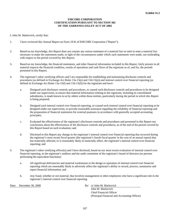### **EMCORE CORPORATION CERTIFICATION PURSUANT TO SECTION 302 OF THE SARBANES-OXLEY ACT OF 2002**

I, John M. Markovich, certify that:

- 1. I have reviewed this Annual Report on Form 10-K of EMCORE Corporation ("Report");
- 2. Based on my knowledge, this Report does not contain any untrue statement of a material fact or omit to state a material fact necessary to make the statements made, in light of the circumstances under which such statements were made, not misleading with respect to the period covered by this Report;
- 3. Based on my knowledge, the financial statements, and other financial information included in this Report, fairly present in all material respects the financial condition, results of operations and cash flows of the registrant as of, and for, the periods presented in this Report;
- 4. The registrant's other certifying officers and I are responsible for establishing and maintaining disclosure controls and procedures (as defined in Exchange Act Rules 13a-15(e) and 15d-15(e)) and internal control over financial reporting (as defined in Exchange Act Rules 13a-15(f) and 15d-15(f)) for the registrant and have:
	- a. Designed such disclosure controls and procedures, or caused such disclosure controls and procedures to be designed under our supervision, to ensure that material information relating to the registrant, including its consolidated subsidiaries, is made known to us by others within those entities, particularly during the period in which this Report is being prepared;
	- b. Designed such internal control over financial reporting, or caused such internal control over financial reporting to be designed under our supervision, to provide reasonable assurance regarding the reliability of financial reporting and the preparation of financial statements for external purposes in accordance with generally accepted accounting principles;
	- c. Evaluated the effectiveness of the registrant's disclosure controls and procedures and presented in this Report our conclusions about the effectiveness of the disclosure controls and procedures, as of the end of the period covered by this Report based on such evaluation; and
	- d. Disclosed in this Report any change in the registrant's internal control over financial reporting that occurred during the registrant's most recent fiscal quarter (the registrant's fourth fiscal quarter in the case of an annual report) that has materially affected, or is reasonably likely to materially affect, the registrant's internal control over financial reporting; and
- 5. The registrant's other certifying officer(s) and I have disclosed, based on our most recent evaluation of internal control over financial reporting, to the registrant's auditors and the audit committee of the registrant's board of directors (or persons performing the equivalent functions):
	- a. All significant deficiencies and material weaknesses in the design or operation of internal control over financial reporting which are reasonably likely to adversely affect the registrant's ability to record, process, summarize and report financial information; and
	- b. Any fraud, whether or not material, that involves management or other employees who have a significant role in the registrant's internal control over financial reporting.

Date: December 30, 2008 By: /s/ John M. Markovich

John M. Markovich Chief Financial Officer (Principal Financial and Accounting Officer)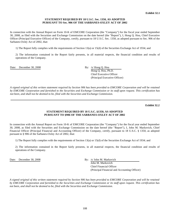#### **STATEMENT REQUIRED BY 18 U.S.C. Sec. 1350, AS ADOPTED PURSUANT TO Sec. 906 OF THE SARBANES-OXLEY ACT OF 2002**

In connection with the Annual Report on Form 10-K of EMCORE Corporation (the "Company") for the fiscal year ended September 30, 2008, as filed with the Securities and Exchange Commission on the date hereof (the "Report"), I, Hong Q. Hou, Chief Executive Officer (Principal Executive Officer) of the Company, certify, pursuant to 18 U.S.C. Sec. 1350, as adopted pursuant to Sec. 906 of the Sarbanes-Oxley Act of 2002, that:

1) The Report fully complies with the requirements of Section 13(a) or 15(d) of the Securities Exchange Act of 1934; and

2) The information contained in the Report fairly presents, in all material respects, the financial condition and results of operations of the Company.

Date: December 30, 2008 By: /s/ Hong Q. Hou

Hong Q. Hou, Ph.D. Chief Executive Officer (Principal Executive Officer)

*A signed original of this written statement required by Section 906 has been provided to EMCORE Corporation and will be retained by EMCORE Corporation and furnished to the Securities and Exchange Commission or its staff upon request. This certification has not been, and shall not be deemed to be, filed with the Securities and Exchange Commission.*

**Exhibit 32.2**

#### **STATEMENT REQUIRED BY 18 U.S.C. §1350, AS ADOPTED PURSUANT TO §906 OF THE SARBANES-OXLEY ACT OF 2002**

In connection with the Annual Report on Form 10-K of EMCORE Corporation (the "Company") for the fiscal year ended September 30, 2008, as filed with the Securities and Exchange Commission on the date hereof (the "Report"), I, John M. Markovich, Chief Financial Officer (Principal Financial and Accounting Officer) of the Company, certify, pursuant to 18 U.S.C. § 1350, as adopted pursuant to § 906 of the Sarbanes-Oxley Act of 2002, that:

1) The Report fully complies with the requirements of Section 13(a) or 15(d) of the Securities Exchange Act of 1934; and

2) The information contained in the Report fairly presents, in all material respects, the financial condition and results of operations of the Company.

Date: December 30, 2008 By: /s/ John M. Markovich

John M. Markovich Chief Financial Officer (Principal Financial and Accounting Officer)

*A signed original of this written statement required by Section 906 has been provided to EMCORE Corporation and will be retained by EMCORE Corporation and furnished to the Securities and Exchange Commission or its staff upon request. This certification has not been, and shall not be deemed to be, filed with the Securities and Exchange Commission.*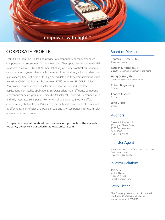

# CORPORATE PROFILE

EMCORE Corporation is a leading provider of compound semiconductor-based components and subsystems for the broadband, fiber optic, satellite and terrestrial solar power markets. EMCORE's Fiber Optics segment offers optical components, subsystems and systems that enable the transmission of video, voice and data over high-capacity fiber optic cables for high-speed data and telecommunications, cable television (CATV) and fiber-to-the-premises (FTTP) networks. EMCORE's Solar Photovoltaics segment provides solar products for satellite and terrestrial applications. For satellite applications, EMCORE offers high- efficiency compound semiconductor-based gallium arsenide (GaAs) solar cells, covered interconnect cells and fully integrated solar panels. For terrestrial applications, EMCORE offers concentrating photovoltaic (CPV) systems for utility scale solar applications as well as offering its high-efficiency GaAs solar cells and CPV components for use in solar power concentrator systems.

For specific information about our company, our products or the markets we serve, please visit our website at www.emcore.com

# Board of Directors

Thomas J. Russell, Ph.D. Chairman Emeritus

Reuben F. Richards, Jr. Executive Chairman, Chairman of the Board

Hong Q. Hou, Ph.D. Chief Executive Officer and Director

Robert Bogomolny Director

Charles T. Scott Director

John Gillen Director

## Auditors

Deloitte & Touche LLP JPMorgan Chase Tower 2200 Ross Avenue Suite 1600 Dallas, TX 75201

## Transfer Agent

American Stock Transfer & Trust Company 59 Maiden Lane New York, NY 10038

## Investor Relations

**TTC** Group Victor Allgeier (646) 290-6400 info@ttcominc.com

## Stock Listing

The Company's common stock is traded on the NASDAQ National Market under the symbol "EMKR"